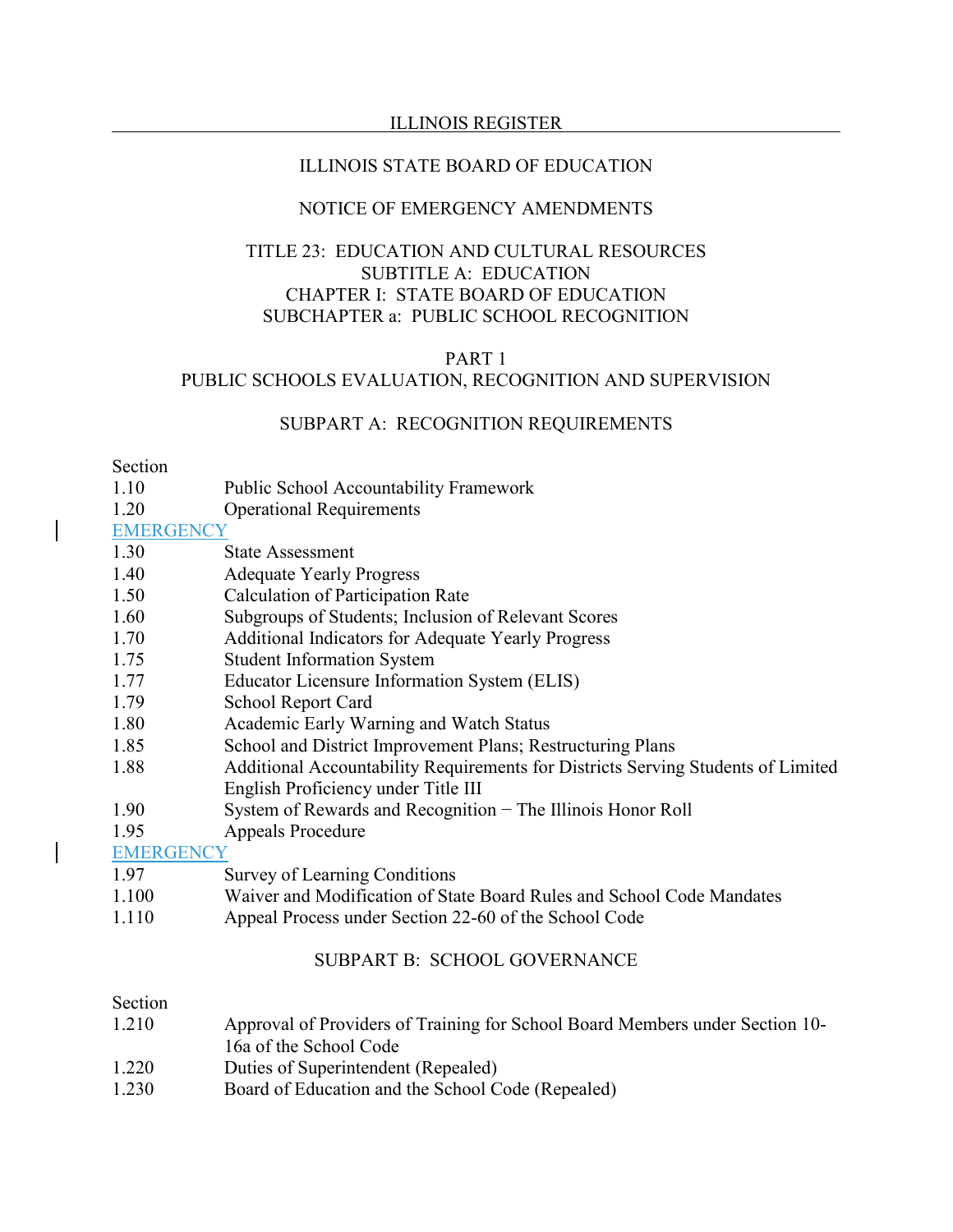#### ILLINOIS STATE BOARD OF EDUCATION

### NOTICE OF EMERGENCY AMENDMENTS

# TITLE 23: EDUCATION AND CULTURAL RESOURCES SUBTITLE A: EDUCATION CHAPTER I: STATE BOARD OF EDUCATION SUBCHAPTER a: PUBLIC SCHOOL RECOGNITION

#### PART 1

#### PUBLIC SCHOOLS EVALUATION, RECOGNITION AND SUPERVISION

#### SUBPART A: RECOGNITION REQUIREMENTS

#### Section

- 1.10 Public School Accountability Framework
- 1.20 Operational Requirements

#### **EMERGENCY**

- 1.30 State Assessment
- 1.40 Adequate Yearly Progress
- 1.50 Calculation of Participation Rate
- 1.60 Subgroups of Students; Inclusion of Relevant Scores
- 1.70 Additional Indicators for Adequate Yearly Progress
- 1.75 Student Information System
- 1.77 Educator Licensure Information System (ELIS)
- 1.79 School Report Card
- 1.80 Academic Early Warning and Watch Status
- 1.85 School and District Improvement Plans; Restructuring Plans
- 1.88 Additional Accountability Requirements for Districts Serving Students of Limited English Proficiency under Title III
- 1.90 System of Rewards and Recognition − The Illinois Honor Roll
- 1.95 Appeals Procedure

**EMERGENCY** 

- 1.97 Survey of Learning Conditions
- 1.100 Waiver and Modification of State Board Rules and School Code Mandates
- 1.110 Appeal Process under Section 22-60 of the School Code

## SUBPART B: SCHOOL GOVERNANCE

#### Section

- 1.210 Approval of Providers of Training for School Board Members under Section 10- 16a of the School Code
- 1.220 Duties of Superintendent (Repealed)
- 1.230 Board of Education and the School Code (Repealed)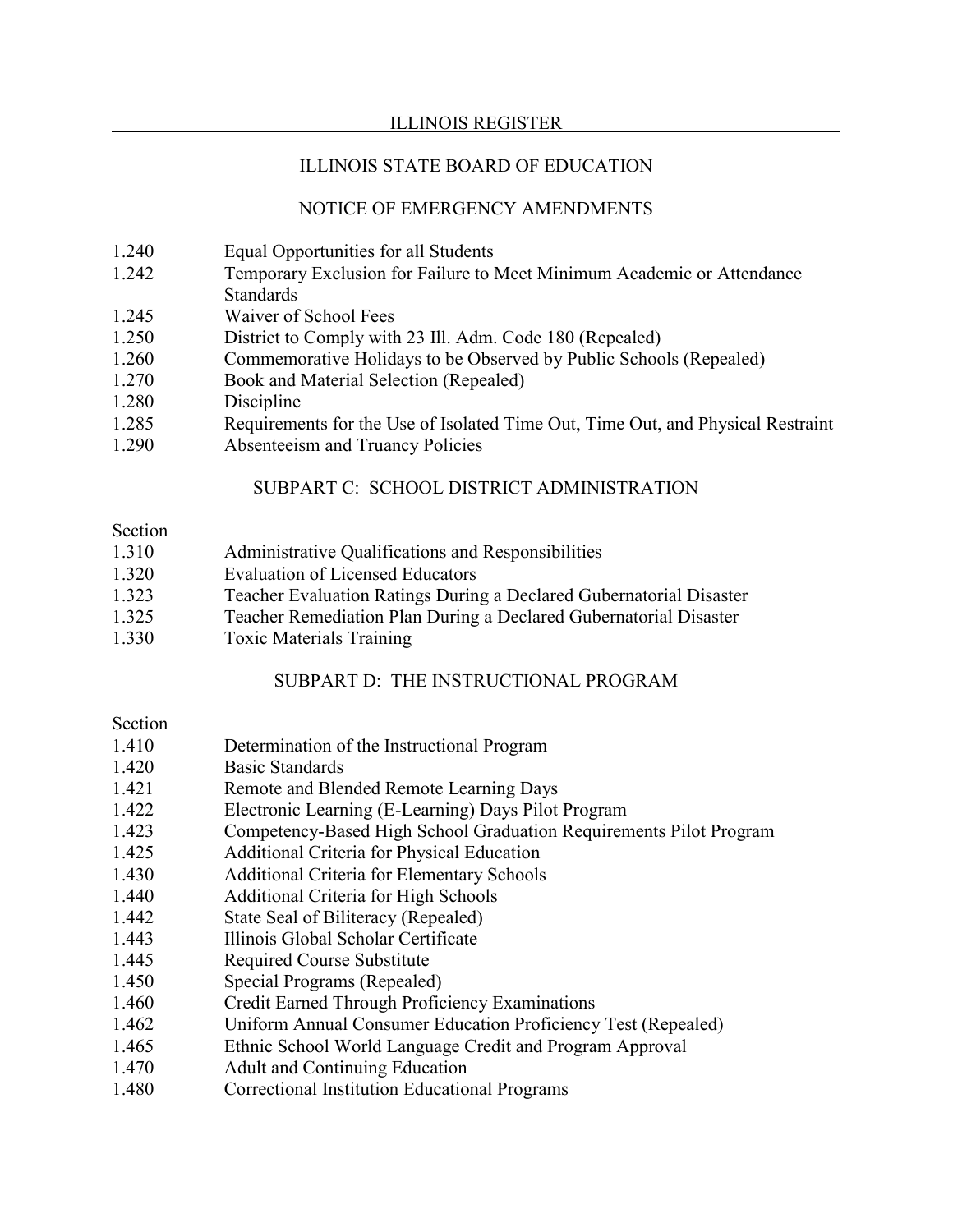# ILLINOIS STATE BOARD OF EDUCATION

# NOTICE OF EMERGENCY AMENDMENTS

- 1.240 Equal Opportunities for all Students
- 1.242 Temporary Exclusion for Failure to Meet Minimum Academic or Attendance **Standards**
- 1.245 Waiver of School Fees
- 1.250 District to Comply with 23 Ill. Adm. Code 180 (Repealed)
- 1.260 Commemorative Holidays to be Observed by Public Schools (Repealed)
- 1.270 Book and Material Selection (Repealed)
- 1.280 Discipline
- 1.285 Requirements for the Use of Isolated Time Out, Time Out, and Physical Restraint
- 1.290 Absenteeism and Truancy Policies

# SUBPART C: SCHOOL DISTRICT ADMINISTRATION

#### Section

- 1.310 Administrative Qualifications and Responsibilities
- 1.320 Evaluation of Licensed Educators
- 1.323 Teacher Evaluation Ratings During a Declared Gubernatorial Disaster
- 1.325 Teacher Remediation Plan During a Declared Gubernatorial Disaster
- 1.330 Toxic Materials Training

# SUBPART D: THE INSTRUCTIONAL PROGRAM

### Section

- 1.410 Determination of the Instructional Program
- 1.420 Basic Standards
- 1.421 Remote and Blended Remote Learning Days
- 1.422 Electronic Learning (E-Learning) Days Pilot Program
- 1.423 Competency-Based High School Graduation Requirements Pilot Program
- 1.425 Additional Criteria for Physical Education
- 1.430 Additional Criteria for Elementary Schools
- 1.440 Additional Criteria for High Schools
- 1.442 State Seal of Biliteracy (Repealed)
- 1.443 Illinois Global Scholar Certificate
- 1.445 Required Course Substitute
- 1.450 Special Programs (Repealed)
- 1.460 Credit Earned Through Proficiency Examinations
- 1.462 Uniform Annual Consumer Education Proficiency Test (Repealed)
- 1.465 Ethnic School World Language Credit and Program Approval
- 1.470 Adult and Continuing Education
- 1.480 Correctional Institution Educational Programs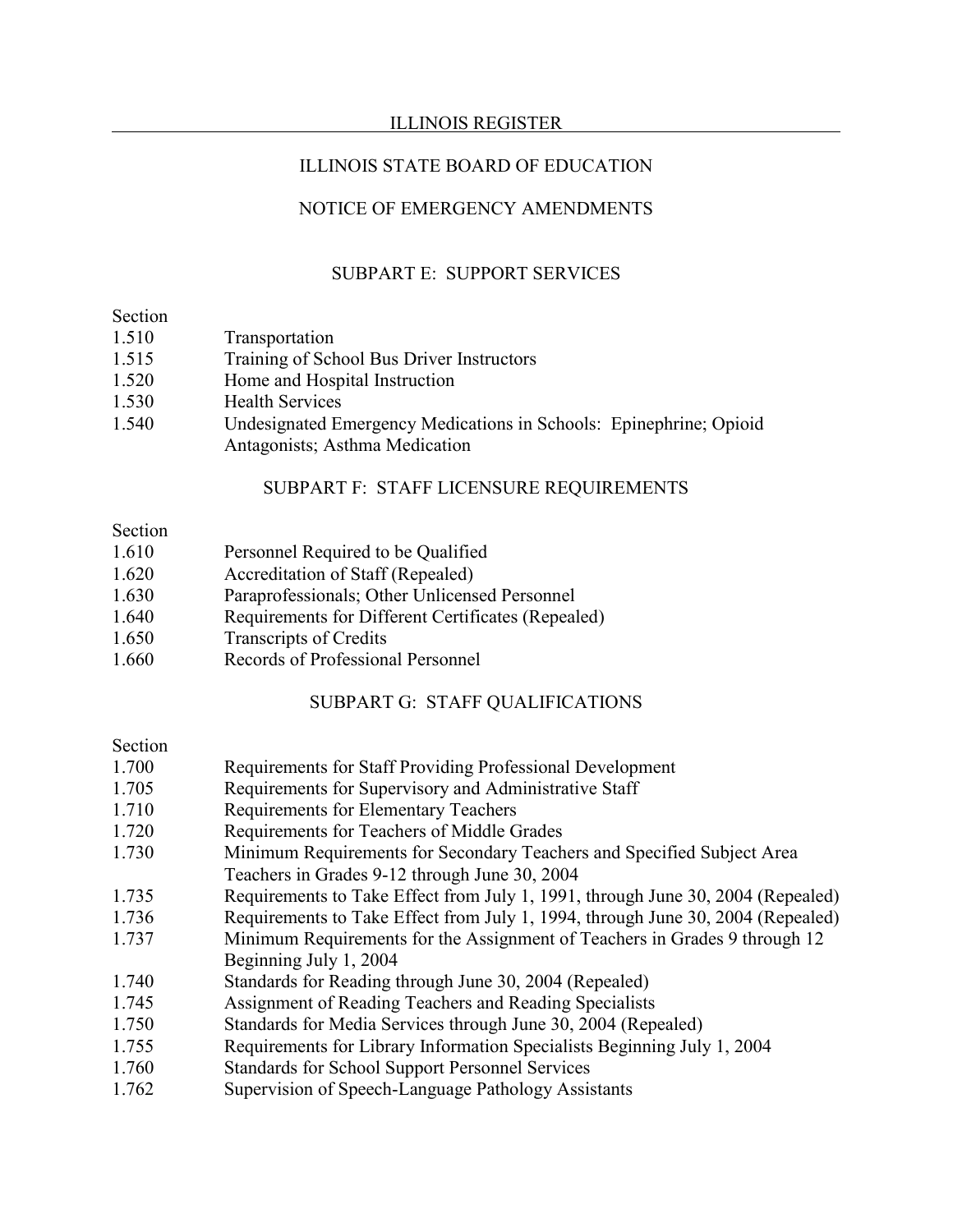# ILLINOIS STATE BOARD OF EDUCATION

# NOTICE OF EMERGENCY AMENDMENTS

# SUBPART E: SUPPORT SERVICES

#### Section

| Transportation |
|----------------|
|                |

- 1.515 Training of School Bus Driver Instructors
- 1.520 Home and Hospital Instruction
- 1.530 Health Services
- 1.540 Undesignated Emergency Medications in Schools: Epinephrine; Opioid Antagonists; Asthma Medication

# SUBPART F: STAFF LICENSURE REQUIREMENTS

### Section

- 1.610 Personnel Required to be Qualified
- 1.620 Accreditation of Staff (Repealed)
- 1.630 Paraprofessionals; Other Unlicensed Personnel
- 1.640 Requirements for Different Certificates (Repealed)
- 1.650 Transcripts of Credits
- 1.660 Records of Professional Personnel

# SUBPART G: STAFF QUALIFICATIONS

# Section

- 1.700 Requirements for Staff Providing Professional Development
- 1.705 Requirements for Supervisory and Administrative Staff
- 1.710 Requirements for Elementary Teachers
- 1.720 Requirements for Teachers of Middle Grades
- 1.730 Minimum Requirements for Secondary Teachers and Specified Subject Area Teachers in Grades 9-12 through June 30, 2004
- 1.735 Requirements to Take Effect from July 1, 1991, through June 30, 2004 (Repealed)
- 1.736 Requirements to Take Effect from July 1, 1994, through June 30, 2004 (Repealed)
- 1.737 Minimum Requirements for the Assignment of Teachers in Grades 9 through 12 Beginning July 1, 2004
- 1.740 Standards for Reading through June 30, 2004 (Repealed)
- 1.745 Assignment of Reading Teachers and Reading Specialists
- 1.750 Standards for Media Services through June 30, 2004 (Repealed)
- 1.755 Requirements for Library Information Specialists Beginning July 1, 2004
- 1.760 Standards for School Support Personnel Services
- 1.762 Supervision of Speech-Language Pathology Assistants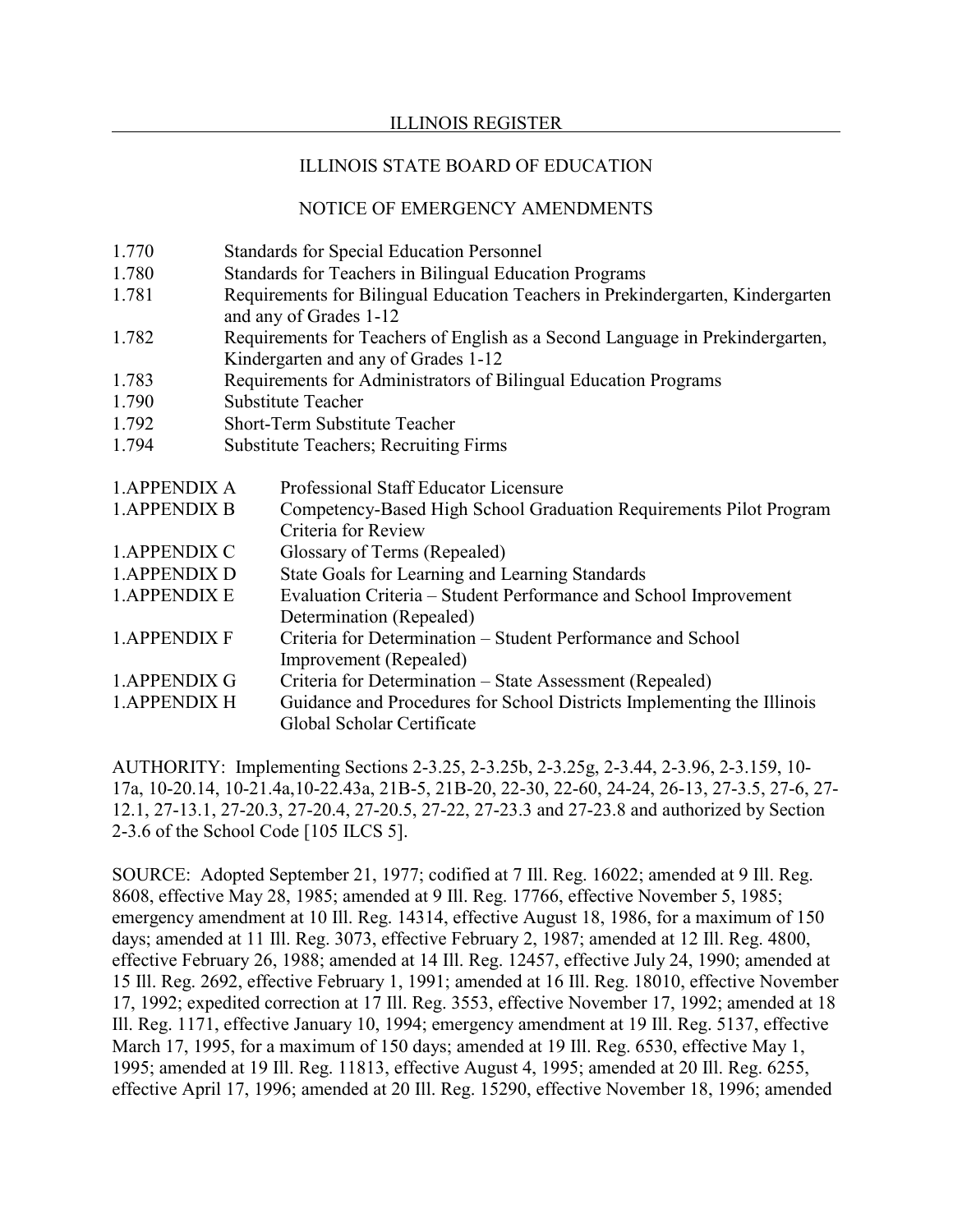### ILLINOIS STATE BOARD OF EDUCATION

# NOTICE OF EMERGENCY AMENDMENTS

| 1.770                | <b>Standards for Special Education Personnel</b>                               |                                                                               |  |  |
|----------------------|--------------------------------------------------------------------------------|-------------------------------------------------------------------------------|--|--|
| 1.780                | Standards for Teachers in Bilingual Education Programs                         |                                                                               |  |  |
| 1.781                | Requirements for Bilingual Education Teachers in Prekindergarten, Kindergarten |                                                                               |  |  |
|                      |                                                                                | and any of Grades 1-12                                                        |  |  |
| 1.782                |                                                                                | Requirements for Teachers of English as a Second Language in Prekindergarten, |  |  |
|                      |                                                                                | Kindergarten and any of Grades 1-12                                           |  |  |
| 1.783                | Requirements for Administrators of Bilingual Education Programs                |                                                                               |  |  |
| 1.790                | <b>Substitute Teacher</b>                                                      |                                                                               |  |  |
| 1.792                | <b>Short-Term Substitute Teacher</b>                                           |                                                                               |  |  |
| 1.794                | <b>Substitute Teachers; Recruiting Firms</b>                                   |                                                                               |  |  |
|                      |                                                                                |                                                                               |  |  |
| <b>1.APPENDIX A</b>  |                                                                                | Professional Staff Educator Licensure                                         |  |  |
| <b>1. APPENDIX B</b> |                                                                                | Competency-Based High School Graduation Requirements Pilot Program            |  |  |
|                      |                                                                                | Criteria for Review                                                           |  |  |
| <b>1.APPENDIX C</b>  |                                                                                | Glossary of Terms (Repealed)                                                  |  |  |
| <b>1.APPENDIX D</b>  |                                                                                | State Goals for Learning and Learning Standards                               |  |  |
| <b>1.APPENDIX E</b>  |                                                                                | Evaluation Criteria - Student Performance and School Improvement              |  |  |
|                      |                                                                                | Determination (Repealed)                                                      |  |  |
| <b>1. APPENDIX F</b> |                                                                                | Criteria for Determination - Student Performance and School                   |  |  |
|                      |                                                                                | Improvement (Repealed)                                                        |  |  |
| <b>1.APPENDIX G</b>  |                                                                                | Criteria for Determination - State Assessment (Repealed)                      |  |  |
| <b>1.APPENDIX H</b>  |                                                                                | Guidance and Procedures for School Districts Implementing the Illinois        |  |  |
|                      |                                                                                | Global Scholar Certificate                                                    |  |  |

AUTHORITY: Implementing Sections 2-3.25, 2-3.25b, 2-3.25g, 2-3.44, 2-3.96, 2-3.159, 10- 17a, 10-20.14, 10-21.4a,10-22.43a, 21B-5, 21B-20, 22-30, 22-60, 24-24, 26-13, 27-3.5, 27-6, 27- 12.1, 27-13.1, 27-20.3, 27-20.4, 27-20.5, 27-22, 27-23.3 and 27-23.8 and authorized by Section 2-3.6 of the School Code [105 ILCS 5].

SOURCE: Adopted September 21, 1977; codified at 7 Ill. Reg. 16022; amended at 9 Ill. Reg. 8608, effective May 28, 1985; amended at 9 Ill. Reg. 17766, effective November 5, 1985; emergency amendment at 10 Ill. Reg. 14314, effective August 18, 1986, for a maximum of 150 days; amended at 11 Ill. Reg. 3073, effective February 2, 1987; amended at 12 Ill. Reg. 4800, effective February 26, 1988; amended at 14 Ill. Reg. 12457, effective July 24, 1990; amended at 15 Ill. Reg. 2692, effective February 1, 1991; amended at 16 Ill. Reg. 18010, effective November 17, 1992; expedited correction at 17 Ill. Reg. 3553, effective November 17, 1992; amended at 18 Ill. Reg. 1171, effective January 10, 1994; emergency amendment at 19 Ill. Reg. 5137, effective March 17, 1995, for a maximum of 150 days; amended at 19 Ill. Reg. 6530, effective May 1, 1995; amended at 19 Ill. Reg. 11813, effective August 4, 1995; amended at 20 Ill. Reg. 6255, effective April 17, 1996; amended at 20 Ill. Reg. 15290, effective November 18, 1996; amended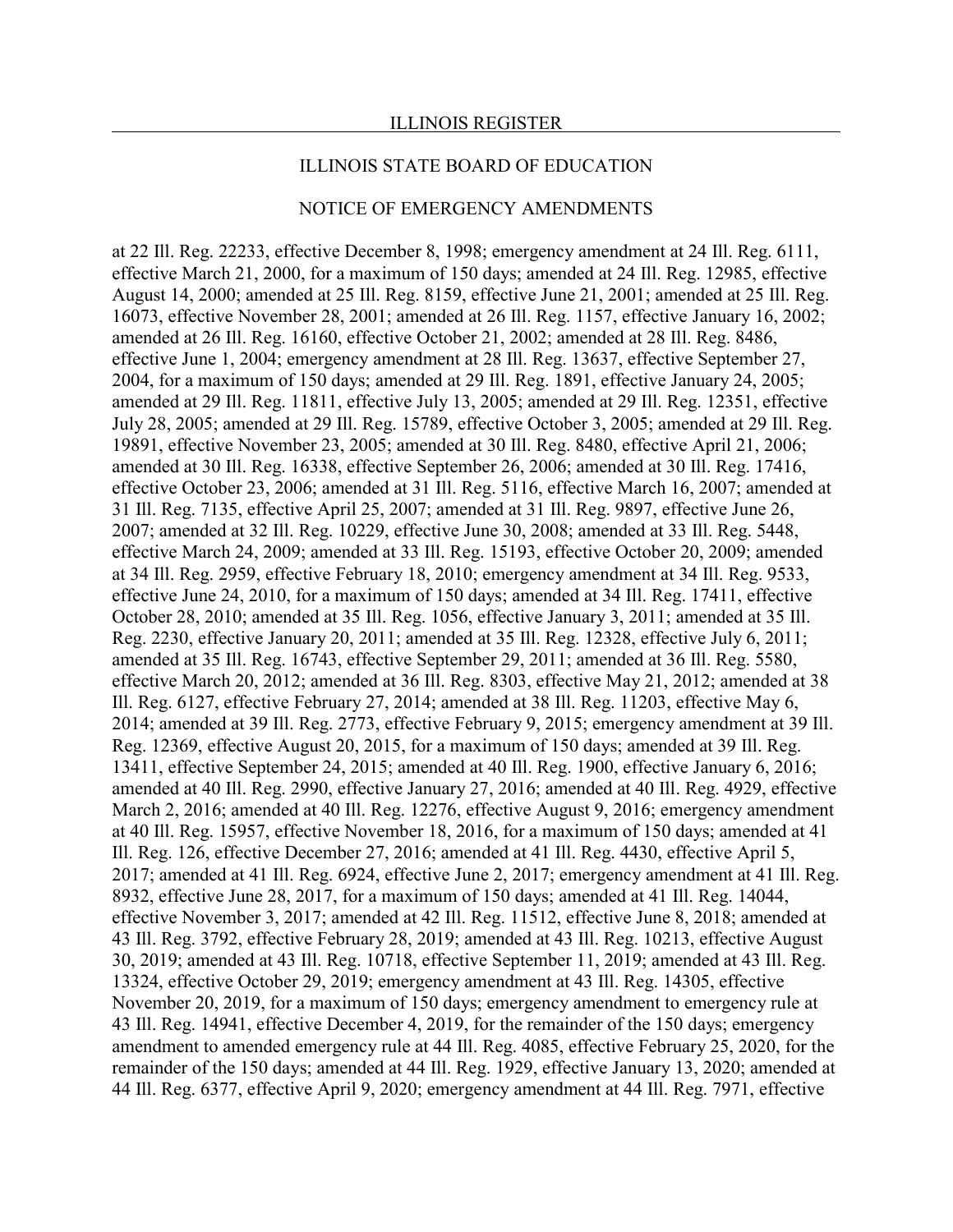#### ILLINOIS STATE BOARD OF EDUCATION

#### NOTICE OF EMERGENCY AMENDMENTS

at 22 Ill. Reg. 22233, effective December 8, 1998; emergency amendment at 24 Ill. Reg. 6111, effective March 21, 2000, for a maximum of 150 days; amended at 24 Ill. Reg. 12985, effective August 14, 2000; amended at 25 Ill. Reg. 8159, effective June 21, 2001; amended at 25 Ill. Reg. 16073, effective November 28, 2001; amended at 26 Ill. Reg. 1157, effective January 16, 2002; amended at 26 Ill. Reg. 16160, effective October 21, 2002; amended at 28 Ill. Reg. 8486, effective June 1, 2004; emergency amendment at 28 Ill. Reg. 13637, effective September 27, 2004, for a maximum of 150 days; amended at 29 Ill. Reg. 1891, effective January 24, 2005; amended at 29 Ill. Reg. 11811, effective July 13, 2005; amended at 29 Ill. Reg. 12351, effective July 28, 2005; amended at 29 Ill. Reg. 15789, effective October 3, 2005; amended at 29 Ill. Reg. 19891, effective November 23, 2005; amended at 30 Ill. Reg. 8480, effective April 21, 2006; amended at 30 Ill. Reg. 16338, effective September 26, 2006; amended at 30 Ill. Reg. 17416, effective October 23, 2006; amended at 31 Ill. Reg. 5116, effective March 16, 2007; amended at 31 Ill. Reg. 7135, effective April 25, 2007; amended at 31 Ill. Reg. 9897, effective June 26, 2007; amended at 32 Ill. Reg. 10229, effective June 30, 2008; amended at 33 Ill. Reg. 5448, effective March 24, 2009; amended at 33 Ill. Reg. 15193, effective October 20, 2009; amended at 34 Ill. Reg. 2959, effective February 18, 2010; emergency amendment at 34 Ill. Reg. 9533, effective June 24, 2010, for a maximum of 150 days; amended at 34 Ill. Reg. 17411, effective October 28, 2010; amended at 35 Ill. Reg. 1056, effective January 3, 2011; amended at 35 Ill. Reg. 2230, effective January 20, 2011; amended at 35 Ill. Reg. 12328, effective July 6, 2011; amended at 35 Ill. Reg. 16743, effective September 29, 2011; amended at 36 Ill. Reg. 5580, effective March 20, 2012; amended at 36 Ill. Reg. 8303, effective May 21, 2012; amended at 38 Ill. Reg. 6127, effective February 27, 2014; amended at 38 Ill. Reg. 11203, effective May 6, 2014; amended at 39 Ill. Reg. 2773, effective February 9, 2015; emergency amendment at 39 Ill. Reg. 12369, effective August 20, 2015, for a maximum of 150 days; amended at 39 Ill. Reg. 13411, effective September 24, 2015; amended at 40 Ill. Reg. 1900, effective January 6, 2016; amended at 40 Ill. Reg. 2990, effective January 27, 2016; amended at 40 Ill. Reg. 4929, effective March 2, 2016; amended at 40 Ill. Reg. 12276, effective August 9, 2016; emergency amendment at 40 Ill. Reg. 15957, effective November 18, 2016, for a maximum of 150 days; amended at 41 Ill. Reg. 126, effective December 27, 2016; amended at 41 Ill. Reg. 4430, effective April 5, 2017; amended at 41 Ill. Reg. 6924, effective June 2, 2017; emergency amendment at 41 Ill. Reg. 8932, effective June 28, 2017, for a maximum of 150 days; amended at 41 Ill. Reg. 14044, effective November 3, 2017; amended at 42 Ill. Reg. 11512, effective June 8, 2018; amended at 43 Ill. Reg. 3792, effective February 28, 2019; amended at 43 Ill. Reg. 10213, effective August 30, 2019; amended at 43 Ill. Reg. 10718, effective September 11, 2019; amended at 43 Ill. Reg. 13324, effective October 29, 2019; emergency amendment at 43 Ill. Reg. 14305, effective November 20, 2019, for a maximum of 150 days; emergency amendment to emergency rule at 43 Ill. Reg. 14941, effective December 4, 2019, for the remainder of the 150 days; emergency amendment to amended emergency rule at 44 Ill. Reg. 4085, effective February 25, 2020, for the remainder of the 150 days; amended at 44 Ill. Reg. 1929, effective January 13, 2020; amended at 44 Ill. Reg. 6377, effective April 9, 2020; emergency amendment at 44 Ill. Reg. 7971, effective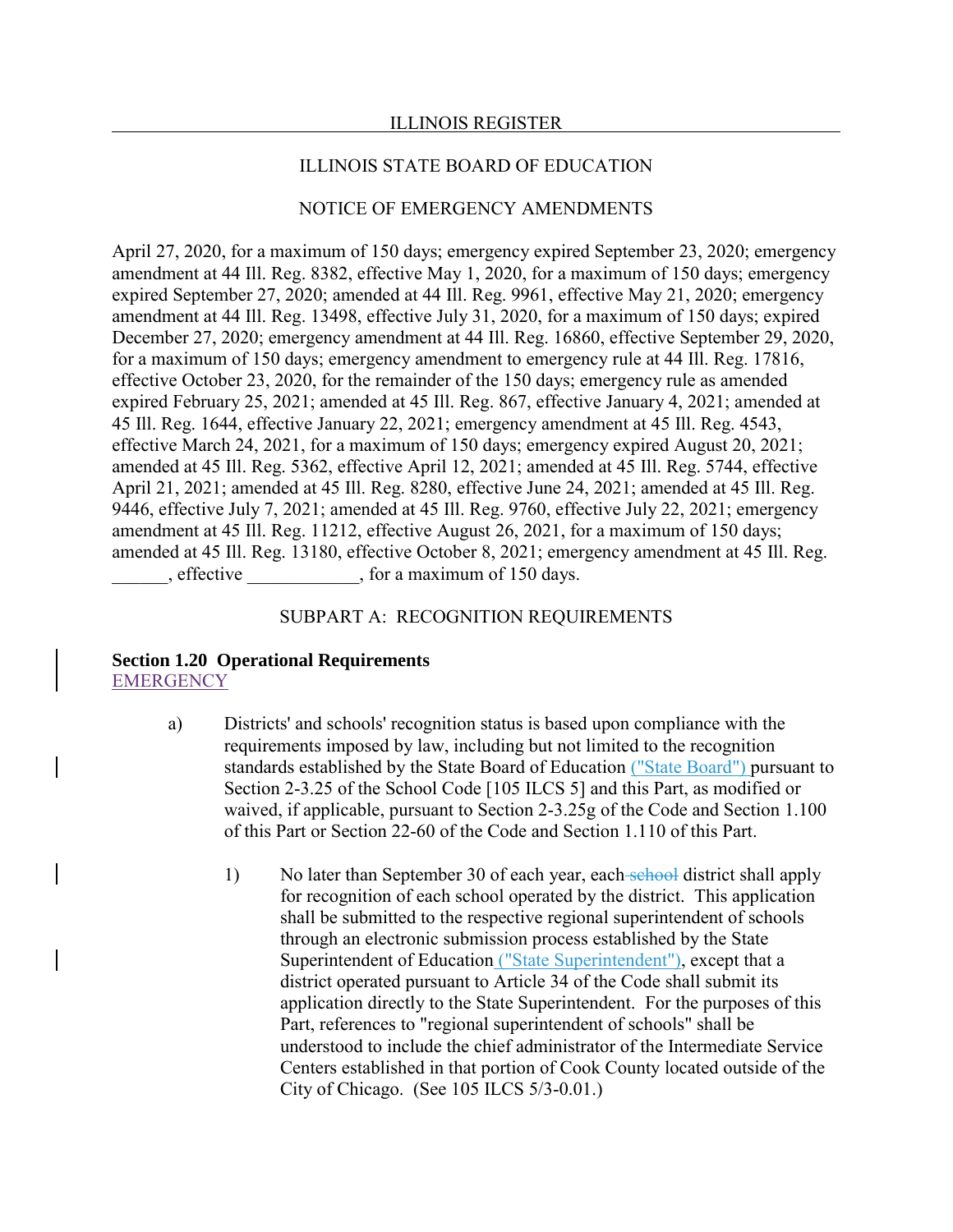#### ILLINOIS STATE BOARD OF EDUCATION

# NOTICE OF EMERGENCY AMENDMENTS

April 27, 2020, for a maximum of 150 days; emergency expired September 23, 2020; emergency amendment at 44 Ill. Reg. 8382, effective May 1, 2020, for a maximum of 150 days; emergency expired September 27, 2020; amended at 44 Ill. Reg. 9961, effective May 21, 2020; emergency amendment at 44 Ill. Reg. 13498, effective July 31, 2020, for a maximum of 150 days; expired December 27, 2020; emergency amendment at 44 Ill. Reg. 16860, effective September 29, 2020, for a maximum of 150 days; emergency amendment to emergency rule at 44 Ill. Reg. 17816, effective October 23, 2020, for the remainder of the 150 days; emergency rule as amended expired February 25, 2021; amended at 45 Ill. Reg. 867, effective January 4, 2021; amended at 45 Ill. Reg. 1644, effective January 22, 2021; emergency amendment at 45 Ill. Reg. 4543, effective March 24, 2021, for a maximum of 150 days; emergency expired August 20, 2021; amended at 45 Ill. Reg. 5362, effective April 12, 2021; amended at 45 Ill. Reg. 5744, effective April 21, 2021; amended at 45 Ill. Reg. 8280, effective June 24, 2021; amended at 45 Ill. Reg. 9446, effective July 7, 2021; amended at 45 Ill. Reg. 9760, effective July 22, 2021; emergency amendment at 45 Ill. Reg. 11212, effective August 26, 2021, for a maximum of 150 days; amended at 45 Ill. Reg. 13180, effective October 8, 2021; emergency amendment at 45 Ill. Reg. effective here extends to the state of 150 days.

#### SUBPART A: RECOGNITION REQUIREMENTS

#### **Section 1.20 Operational Requirements** EMERGENCY

- a) Districts' and schools' recognition status is based upon compliance with the requirements imposed by law, including but not limited to the recognition standards established by the State Board of Education ("State Board") pursuant to Section 2-3.25 of the School Code [105 ILCS 5] and this Part, as modified or waived, if applicable, pursuant to Section 2-3.25g of the Code and Section 1.100 of this Part or Section 22-60 of the Code and Section 1.110 of this Part.
	- 1) No later than September 30 of each year, each school district shall apply for recognition of each school operated by the district. This application shall be submitted to the respective regional superintendent of schools through an electronic submission process established by the State Superintendent of Education ("State Superintendent"), except that a district operated pursuant to Article 34 of the Code shall submit its application directly to the State Superintendent. For the purposes of this Part, references to "regional superintendent of schools" shall be understood to include the chief administrator of the Intermediate Service Centers established in that portion of Cook County located outside of the City of Chicago. (See 105 ILCS 5/3-0.01.)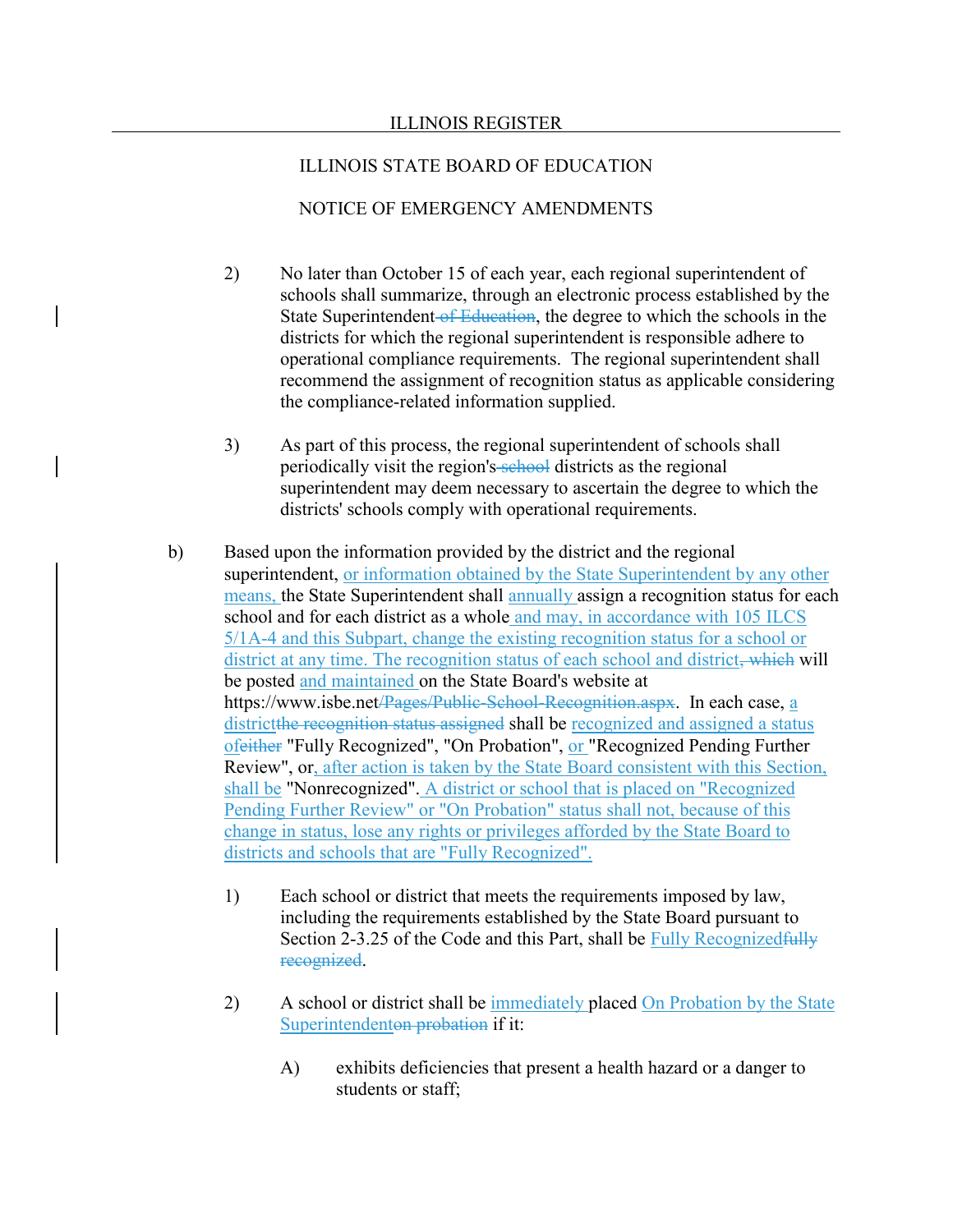- 2) No later than October 15 of each year, each regional superintendent of schools shall summarize, through an electronic process established by the State Superintendent of Education, the degree to which the schools in the districts for which the regional superintendent is responsible adhere to operational compliance requirements. The regional superintendent shall recommend the assignment of recognition status as applicable considering the compliance-related information supplied.
- 3) As part of this process, the regional superintendent of schools shall periodically visit the region's school districts as the regional superintendent may deem necessary to ascertain the degree to which the districts' schools comply with operational requirements.
- b) Based upon the information provided by the district and the regional superintendent, or information obtained by the State Superintendent by any other means, the State Superintendent shall annually assign a recognition status for each school and for each district as a whole and may, in accordance with 105 ILCS 5/1A-4 and this Subpart, change the existing recognition status for a school or district at any time. The recognition status of each school and district, which will be posted and maintained on the State Board's website at https://www.isbe.net/Pages/Public-School-Recognition.aspx. In each case, a districtthe recognition status assigned shall be recognized and assigned a status ofeither "Fully Recognized", "On Probation", or "Recognized Pending Further Review", or, after action is taken by the State Board consistent with this Section, shall be "Nonrecognized". A district or school that is placed on "Recognized Pending Further Review" or "On Probation" status shall not, because of this change in status, lose any rights or privileges afforded by the State Board to districts and schools that are "Fully Recognized".
	- 1) Each school or district that meets the requirements imposed by law, including the requirements established by the State Board pursuant to Section 2-3.25 of the Code and this Part, shall be Fully Recognized fully recognized.
	- 2) A school or district shall be immediately placed On Probation by the State Superintendenton probation if it:
		- A) exhibits deficiencies that present a health hazard or a danger to students or staff;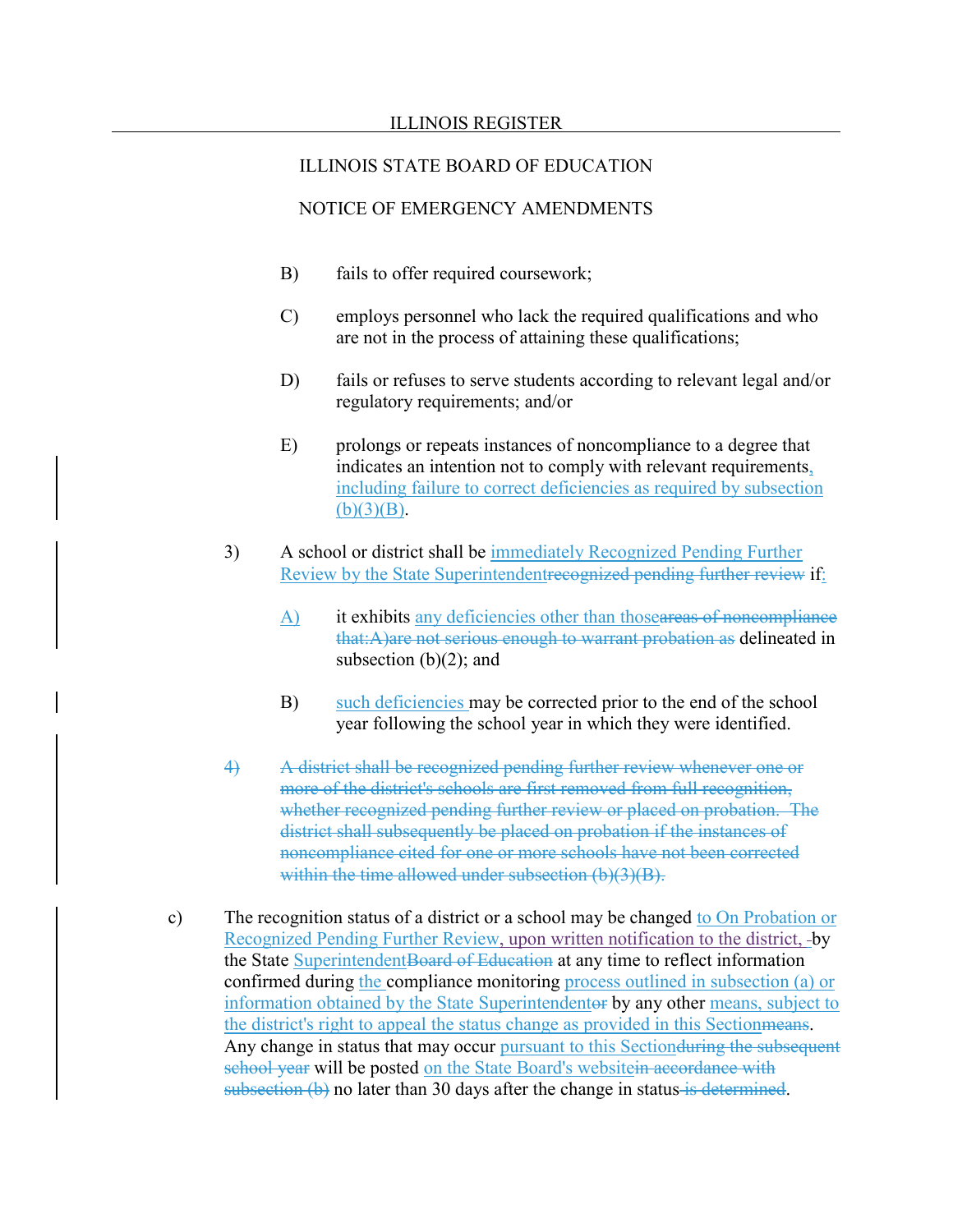#### ILLINOIS STATE BOARD OF EDUCATION

- B) fails to offer required coursework;
- C) employs personnel who lack the required qualifications and who are not in the process of attaining these qualifications;
- D) fails or refuses to serve students according to relevant legal and/or regulatory requirements; and/or
- E) prolongs or repeats instances of noncompliance to a degree that indicates an intention not to comply with relevant requirements, including failure to correct deficiencies as required by subsection  $(b)(3)(B)$ .
- 3) A school or district shall be immediately Recognized Pending Further Review by the State Superintendentrecognized pending further review if:
	- A) it exhibits any deficiencies other than thoseareas of noncompliance that:A)are not serious enough to warrant probation as delineated in subsection  $(b)(2)$ ; and
	- B) such deficiencies may be corrected prior to the end of the school year following the school year in which they were identified.
- 4) A district shall be recognized pending further review whenever one or more of the district's schools are first removed from full recognition, whether recognized pending further review or placed on probation. The district shall subsequently be placed on probation if the instances of noncompliance cited for one or more schools have not been corrected within the time allowed under subsection (b)(3)(B).
- c) The recognition status of a district or a school may be changed to On Probation or Recognized Pending Further Review, upon written notification to the district, by the State Superintendent Board of Education at any time to reflect information confirmed during the compliance monitoring process outlined in subsection (a) or information obtained by the State Superintendentor by any other means, subject to the district's right to appeal the status change as provided in this Sectionmeans. Any change in status that may occur pursuant to this Section during the subsequent school year will be posted on the State Board's websitein accordance with  $subsection$  (b) no later than 30 days after the change in status is determined.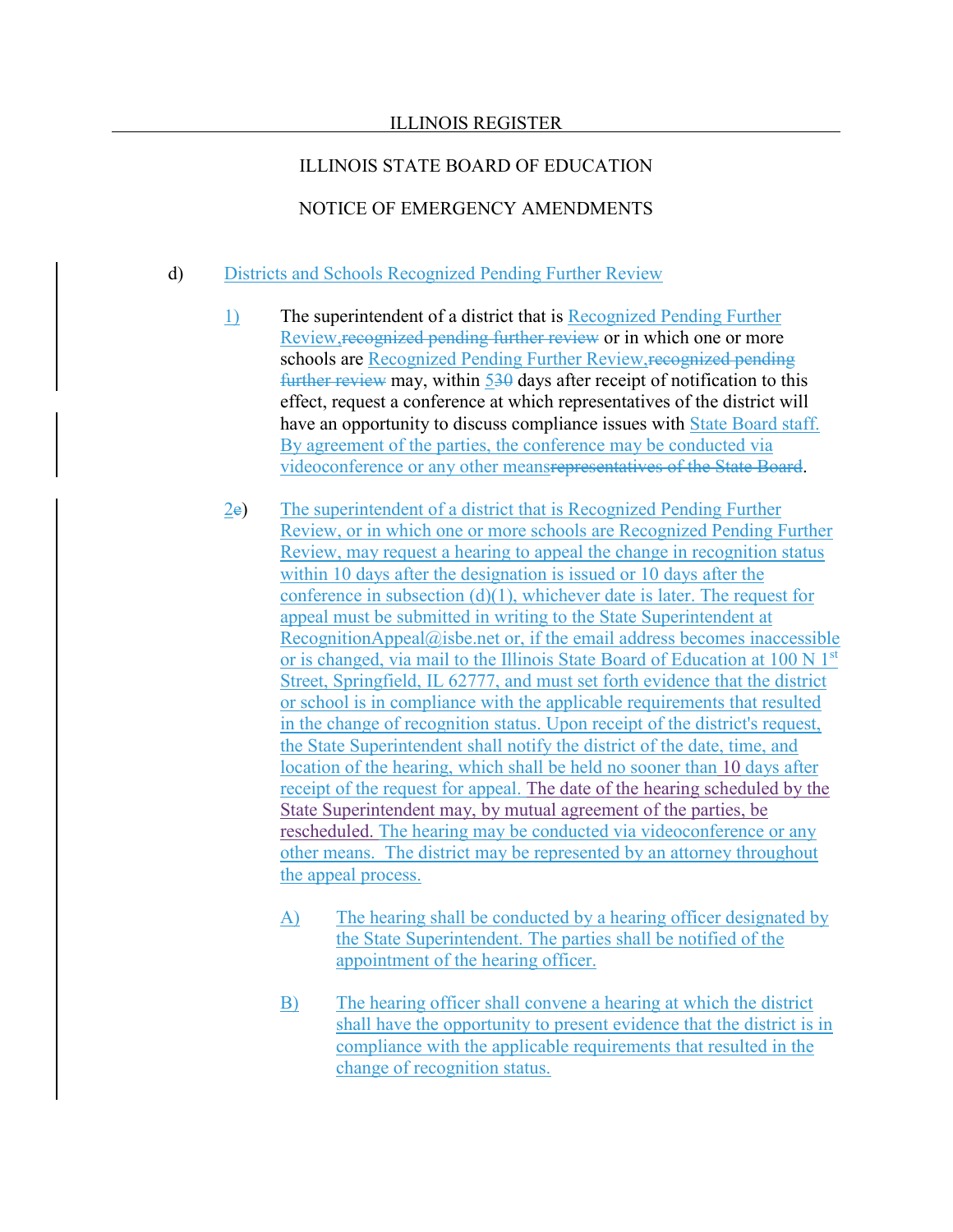# NOTICE OF EMERGENCY AMENDMENTS

#### d) Districts and Schools Recognized Pending Further Review

- 1) The superintendent of a district that is Recognized Pending Further Review, recognized pending further review or in which one or more schools are Recognized Pending Further Review, recognized pending further review may, within 530 days after receipt of notification to this effect, request a conference at which representatives of the district will have an opportunity to discuss compliance issues with State Board staff. By agreement of the parties, the conference may be conducted via videoconference or any other meansrepresentatives of the State Board.
- 2e) The superintendent of a district that is Recognized Pending Further Review, or in which one or more schools are Recognized Pending Further Review, may request a hearing to appeal the change in recognition status within 10 days after the designation is issued or 10 days after the conference in subsection (d)(1), whichever date is later. The request for appeal must be submitted in writing to the State Superintendent at RecognitionAppeal@isbe.net or, if the email address becomes inaccessible or is changed, via mail to the Illinois State Board of Education at 100 N 1<sup>st</sup> Street, Springfield, IL 62777, and must set forth evidence that the district or school is in compliance with the applicable requirements that resulted in the change of recognition status. Upon receipt of the district's request, the State Superintendent shall notify the district of the date, time, and location of the hearing, which shall be held no sooner than 10 days after receipt of the request for appeal. The date of the hearing scheduled by the State Superintendent may, by mutual agreement of the parties, be rescheduled. The hearing may be conducted via videoconference or any other means. The district may be represented by an attorney throughout the appeal process.
	- A) The hearing shall be conducted by a hearing officer designated by the State Superintendent. The parties shall be notified of the appointment of the hearing officer.
	- B) The hearing officer shall convene a hearing at which the district shall have the opportunity to present evidence that the district is in compliance with the applicable requirements that resulted in the change of recognition status.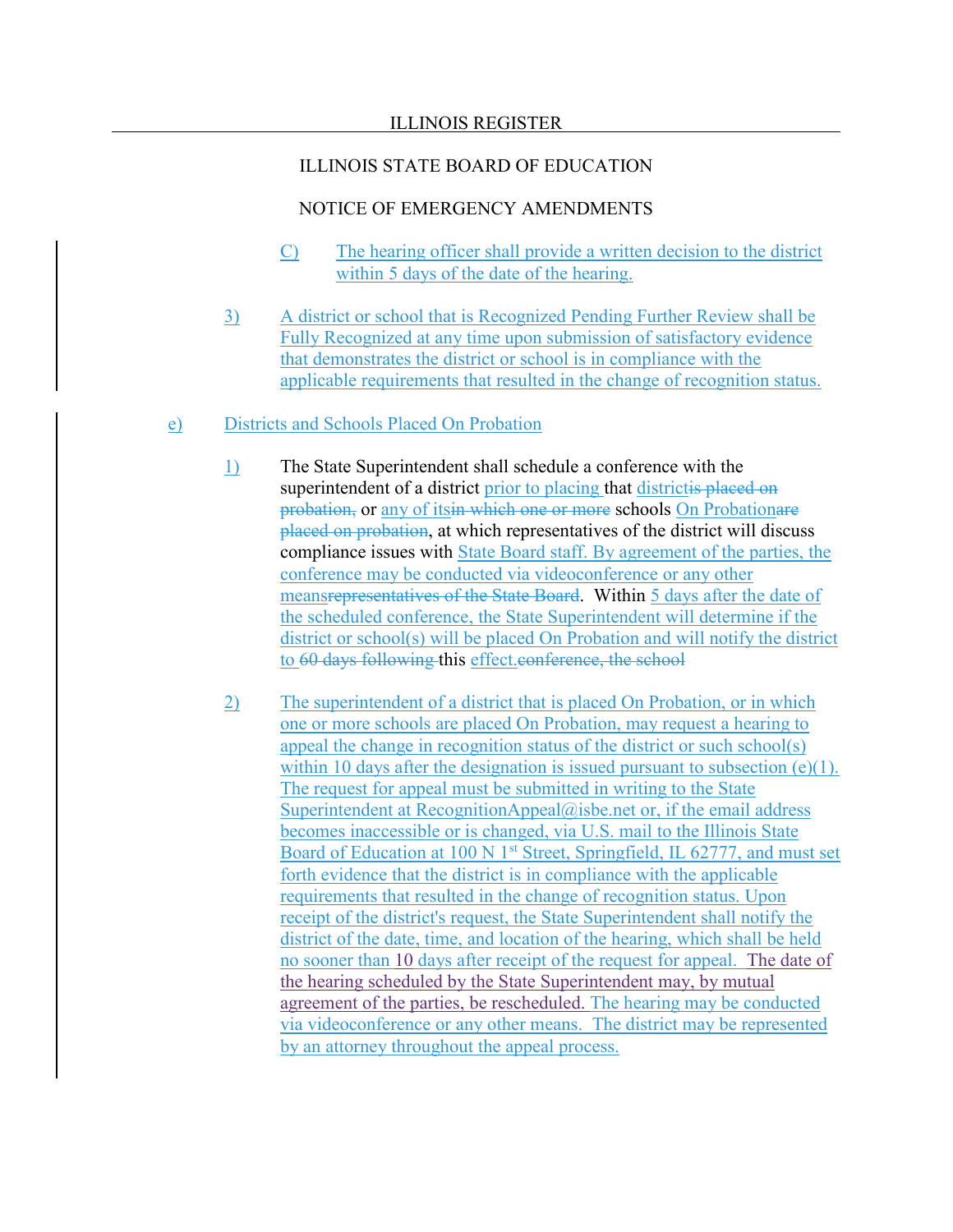# NOTICE OF EMERGENCY AMENDMENTS

- C) The hearing officer shall provide a written decision to the district within 5 days of the date of the hearing.
- 3) A district or school that is Recognized Pending Further Review shall be Fully Recognized at any time upon submission of satisfactory evidence that demonstrates the district or school is in compliance with the applicable requirements that resulted in the change of recognition status.

# e) Districts and Schools Placed On Probation

- 1) The State Superintendent shall schedule a conference with the superintendent of a district prior to placing that districtis placed on probation, or any of itsin which one or more schools On Probationare placed on probation, at which representatives of the district will discuss compliance issues with State Board staff. By agreement of the parties, the conference may be conducted via videoconference or any other meansrepresentatives of the State Board. Within 5 days after the date of the scheduled conference, the State Superintendent will determine if the district or school(s) will be placed On Probation and will notify the district to 60 days following this effect.conference, the school
- 2) The superintendent of a district that is placed On Probation, or in which one or more schools are placed On Probation, may request a hearing to appeal the change in recognition status of the district or such school(s) within 10 days after the designation is issued pursuant to subsection (e)(1). The request for appeal must be submitted in writing to the State Superintendent at [RecognitionAppeal@isbe.net](mailto:RecognitionAppeal@isbe.net) or, if the email address becomes inaccessible or is changed, via U.S. mail to the Illinois State Board of Education at 100 N  $1<sup>st</sup>$  Street, Springfield, IL 62777, and must set forth evidence that the district is in compliance with the applicable requirements that resulted in the change of recognition status. Upon receipt of the district's request, the State Superintendent shall notify the district of the date, time, and location of the hearing, which shall be held no sooner than 10 days after receipt of the request for appeal. The date of the hearing scheduled by the State Superintendent may, by mutual agreement of the parties, be rescheduled. The hearing may be conducted via videoconference or any other means. The district may be represented by an attorney throughout the appeal process.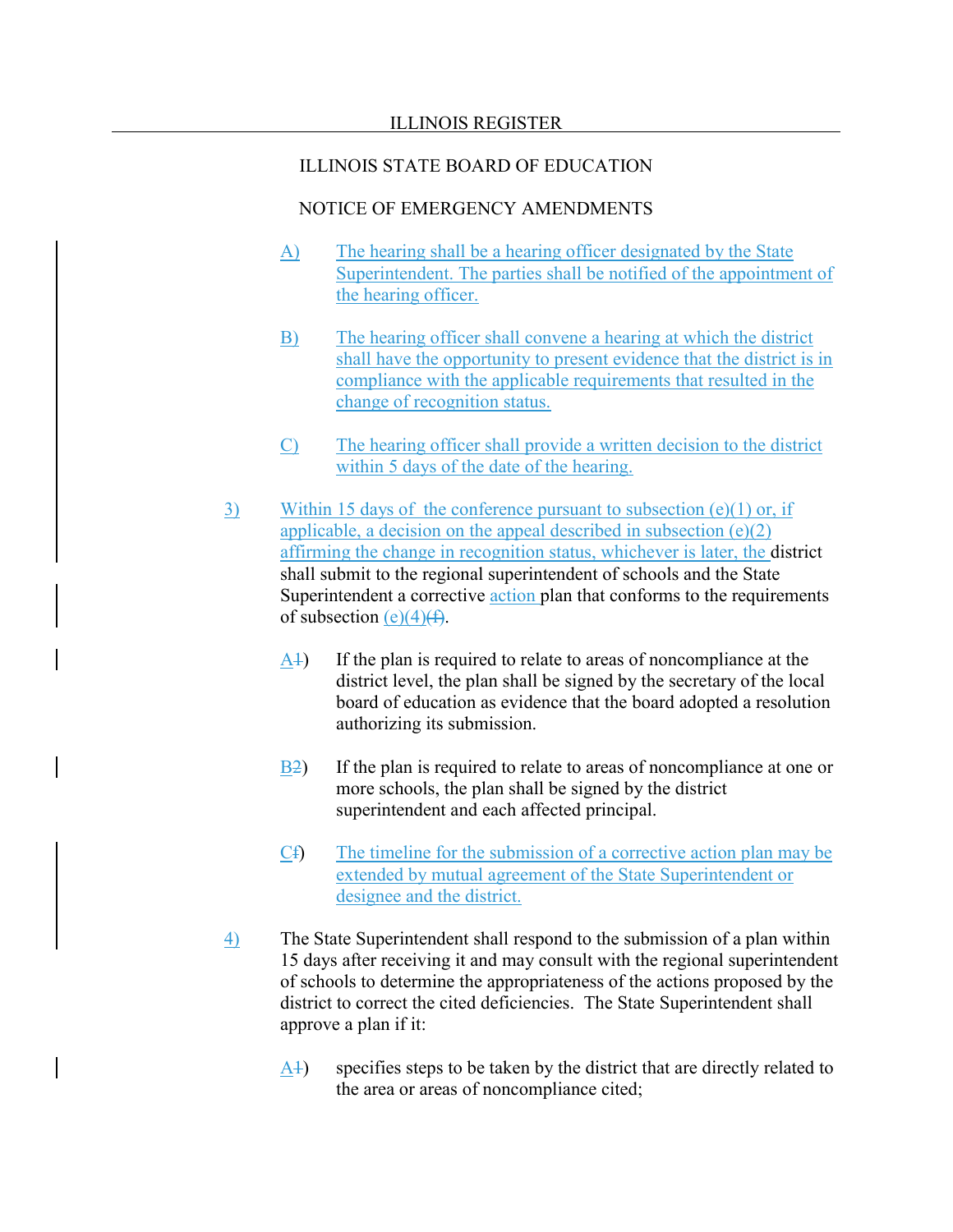- A) The hearing shall be a hearing officer designated by the State Superintendent. The parties shall be notified of the appointment of the hearing officer.
- B) The hearing officer shall convene a hearing at which the district shall have the opportunity to present evidence that the district is in compliance with the applicable requirements that resulted in the change of recognition status.
- C) The hearing officer shall provide a written decision to the district within 5 days of the date of the hearing.
- 3) Within 15 days of the conference pursuant to subsection (e)(1) or, if applicable, a decision on the appeal described in subsection  $(e)(2)$ affirming the change in recognition status, whichever is later, the district shall submit to the regional superintendent of schools and the State Superintendent a corrective action plan that conforms to the requirements of subsection  $(e)(4)$ (f).
	- A1) If the plan is required to relate to areas of noncompliance at the district level, the plan shall be signed by the secretary of the local board of education as evidence that the board adopted a resolution authorizing its submission.
	- B2) If the plan is required to relate to areas of noncompliance at one or more schools, the plan shall be signed by the district superintendent and each affected principal.
	- Cf) The timeline for the submission of a corrective action plan may be extended by mutual agreement of the State Superintendent or designee and the district.
- 4) The State Superintendent shall respond to the submission of a plan within 15 days after receiving it and may consult with the regional superintendent of schools to determine the appropriateness of the actions proposed by the district to correct the cited deficiencies. The State Superintendent shall approve a plan if it:
	- A1) specifies steps to be taken by the district that are directly related to the area or areas of noncompliance cited;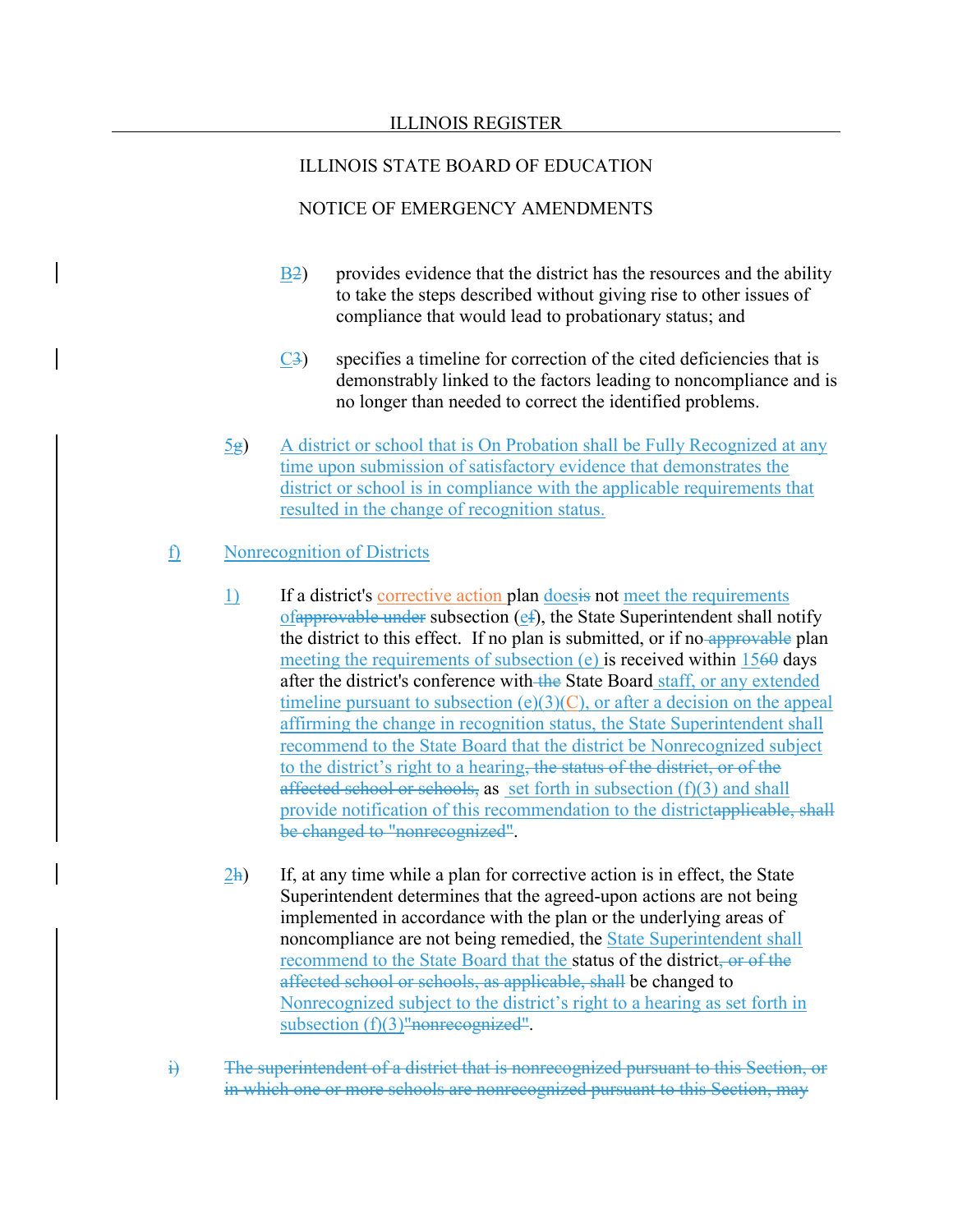# NOTICE OF EMERGENCY AMENDMENTS

- B2) provides evidence that the district has the resources and the ability to take the steps described without giving rise to other issues of compliance that would lead to probationary status; and
- $\overline{C3}$  specifies a timeline for correction of the cited deficiencies that is demonstrably linked to the factors leading to noncompliance and is no longer than needed to correct the identified problems.
- $5g$  A district or school that is On Probation shall be Fully Recognized at any time upon submission of satisfactory evidence that demonstrates the district or school is in compliance with the applicable requirements that resulted in the change of recognition status.

# f) Nonrecognition of Districts

- 1) If a district's corrective action plan doesis not meet the requirements ofapprovable under subsection  $(ef)$ , the State Superintendent shall notify the district to this effect. If no plan is submitted, or if no approvable plan meeting the requirements of subsection (e) is received within 1560 days after the district's conference with the State Board staff, or any extended timeline pursuant to subsection  $(e)(3)(C)$ , or after a decision on the appeal affirming the change in recognition status, the State Superintendent shall recommend to the State Board that the district be Nonrecognized subject to the district's right to a hearing, the status of the district, or of the affected school or schools, as set forth in subsection  $(f)(3)$  and shall provide notification of this recommendation to the districtapplicable, shall be changed to "nonrecognized".
- $2h$  If, at any time while a plan for corrective action is in effect, the State Superintendent determines that the agreed-upon actions are not being implemented in accordance with the plan or the underlying areas of noncompliance are not being remedied, the State Superintendent shall recommend to the State Board that the status of the district, or of the affected school or schools, as applicable, shall be changed to Nonrecognized subject to the district's right to a hearing as set forth in subsection (f)(3)<del>"nonrecognized"</del>.
- i) The superintendent of a district that is nonrecognized pursuant to this Section, or in which one or more schools are nonrecognized pursuant to this Section, may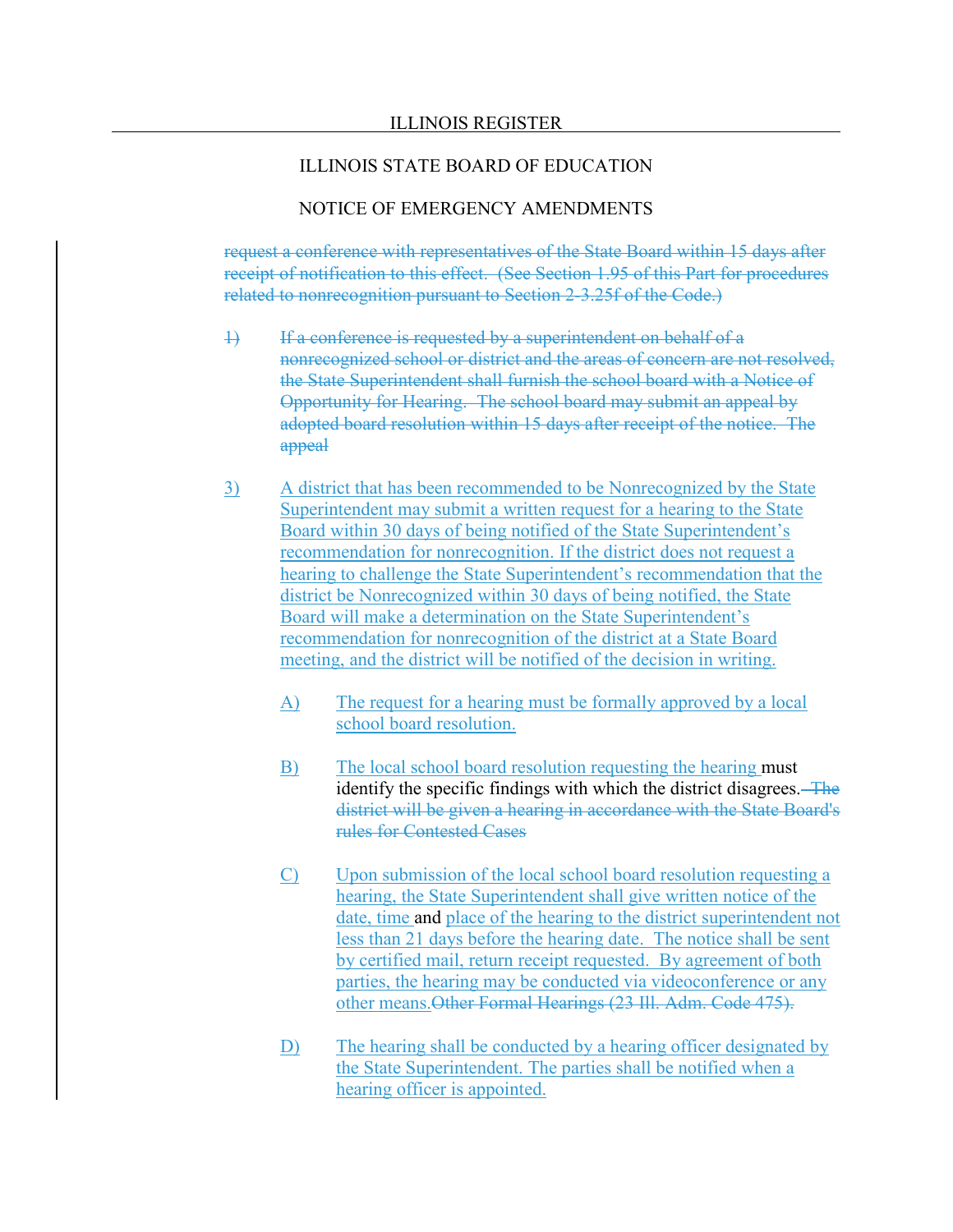### NOTICE OF EMERGENCY AMENDMENTS

request a conference with representatives of the State Board within 15 days after receipt of notification to this effect. (See Section 1.95 of this Part for procedures related to nonrecognition pursuant to Section 2-3.25f of the Code.)

- 1) If a conference is requested by a superintendent on behalf of a nonrecognized school or district and the areas of concern are not resolved, the State Superintendent shall furnish the school board with a Notice of Opportunity for Hearing. The school board may submit an appeal by adopted board resolution within 15 days after receipt of the notice. The appeal
- 3) A district that has been recommended to be Nonrecognized by the State Superintendent may submit a written request for a hearing to the State Board within 30 days of being notified of the State Superintendent's recommendation for nonrecognition. If the district does not request a hearing to challenge the State Superintendent's recommendation that the district be Nonrecognized within 30 days of being notified, the State Board will make a determination on the State Superintendent's recommendation for nonrecognition of the district at a State Board meeting, and the district will be notified of the decision in writing.
	- A) The request for a hearing must be formally approved by a local school board resolution.
	- B) The local school board resolution requesting the hearing must identify the specific findings with which the district disagrees. The district will be given a hearing in accordance with the State Board's rules for Contested Cases
	- C) Upon submission of the local school board resolution requesting a hearing, the State Superintendent shall give written notice of the date, time and place of the hearing to the district superintendent not less than 21 days before the hearing date. The notice shall be sent by certified mail, return receipt requested. By agreement of both parties, the hearing may be conducted via videoconference or any other means.Other Formal Hearings (23 Ill. Adm. Code 475).
	- D) The hearing shall be conducted by a hearing officer designated by the State Superintendent. The parties shall be notified when a hearing officer is appointed.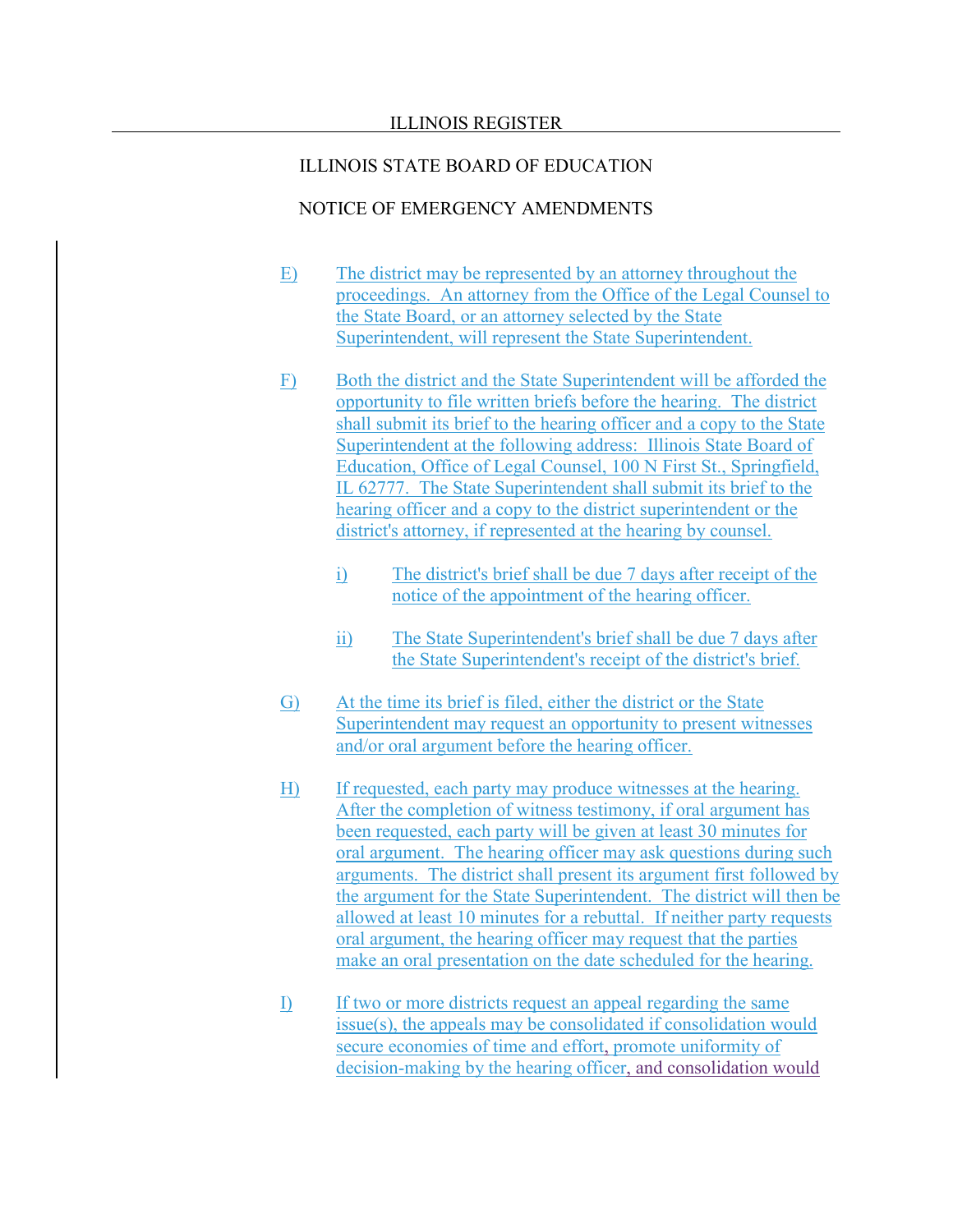- E) The district may be represented by an attorney throughout the proceedings. An attorney from the Office of the Legal Counsel to the State Board, or an attorney selected by the State Superintendent, will represent the State Superintendent.
- F) Both the district and the State Superintendent will be afforded the opportunity to file written briefs before the hearing. The district shall submit its brief to the hearing officer and a copy to the State Superintendent at the following address: Illinois State Board of Education, Office of Legal Counsel, 100 N First St., Springfield, IL 62777. The State Superintendent shall submit its brief to the hearing officer and a copy to the district superintendent or the district's attorney, if represented at the hearing by counsel.
	- i) The district's brief shall be due 7 days after receipt of the notice of the appointment of the hearing officer.
	- ii) The State Superintendent's brief shall be due 7 days after the State Superintendent's receipt of the district's brief.
- G) At the time its brief is filed, either the district or the State Superintendent may request an opportunity to present witnesses and/or oral argument before the hearing officer.
- H) If requested, each party may produce witnesses at the hearing. After the completion of witness testimony, if oral argument has been requested, each party will be given at least 30 minutes for oral argument. The hearing officer may ask questions during such arguments. The district shall present its argument first followed by the argument for the State Superintendent. The district will then be allowed at least 10 minutes for a rebuttal. If neither party requests oral argument, the hearing officer may request that the parties make an oral presentation on the date scheduled for the hearing.
- I) If two or more districts request an appeal regarding the same issue(s), the appeals may be consolidated if consolidation would secure economies of time and effort, promote uniformity of decision-making by the hearing officer, and consolidation would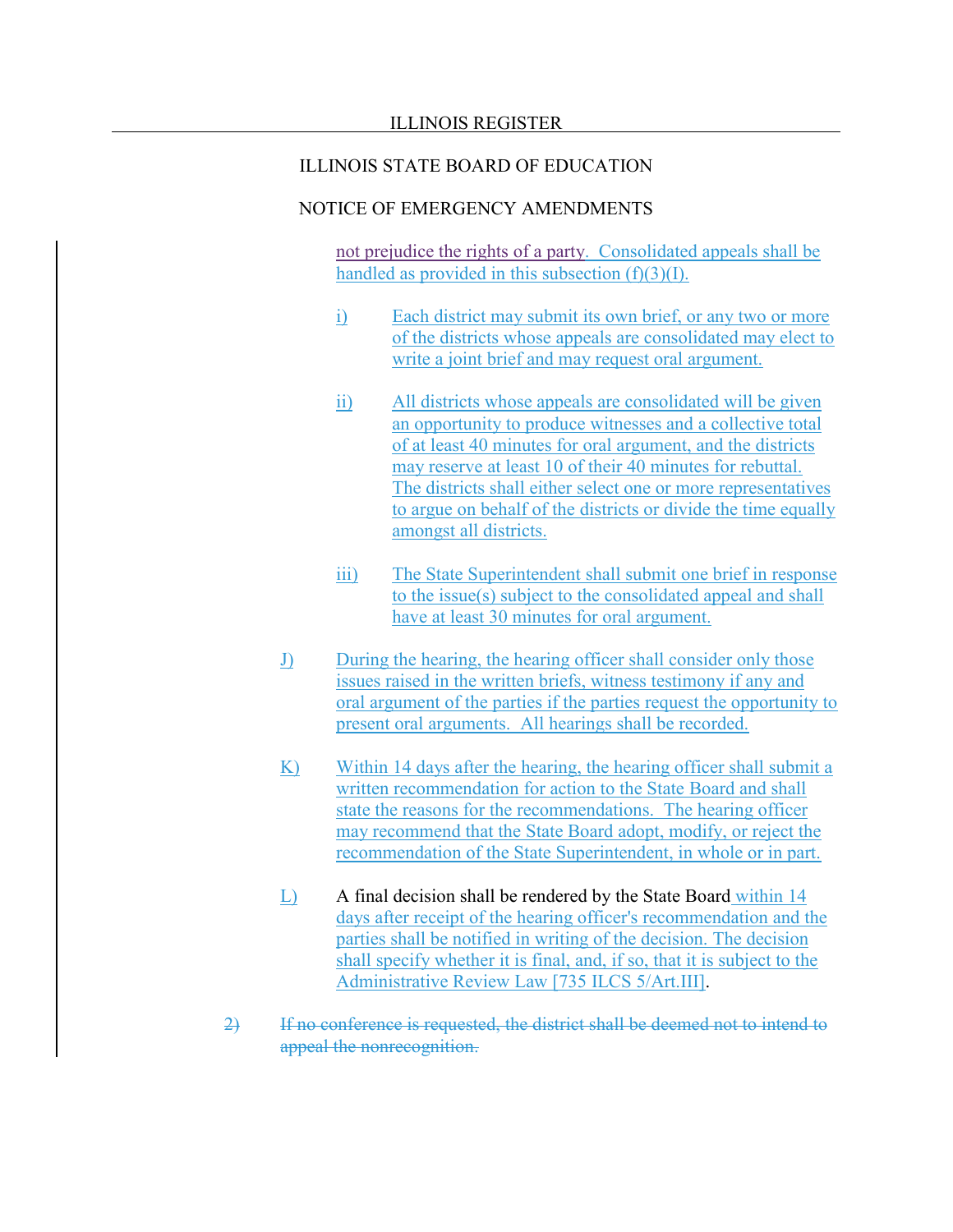### NOTICE OF EMERGENCY AMENDMENTS

not prejudice the rights of a party. Consolidated appeals shall be handled as provided in this subsection  $(f)(3)(I)$ .

- i) Each district may submit its own brief, or any two or more of the districts whose appeals are consolidated may elect to write a joint brief and may request oral argument.
- ii) All districts whose appeals are consolidated will be given an opportunity to produce witnesses and a collective total of at least 40 minutes for oral argument, and the districts may reserve at least 10 of their 40 minutes for rebuttal. The districts shall either select one or more representatives to argue on behalf of the districts or divide the time equally amongst all districts.
- iii) The State Superintendent shall submit one brief in response to the issue(s) subject to the consolidated appeal and shall have at least 30 minutes for oral argument.
- J) During the hearing, the hearing officer shall consider only those issues raised in the written briefs, witness testimony if any and oral argument of the parties if the parties request the opportunity to present oral arguments. All hearings shall be recorded.
- K) Within 14 days after the hearing, the hearing officer shall submit a written recommendation for action to the State Board and shall state the reasons for the recommendations. The hearing officer may recommend that the State Board adopt, modify, or reject the recommendation of the State Superintendent, in whole or in part.
- L) A final decision shall be rendered by the State Board within 14 days after receipt of the hearing officer's recommendation and the parties shall be notified in writing of the decision. The decision shall specify whether it is final, and, if so, that it is subject to the Administrative Review Law [735 ILCS 5/Art.III].
- 2) If no conference is requested, the district shall be deemed not to intend to appeal the nonrecognition.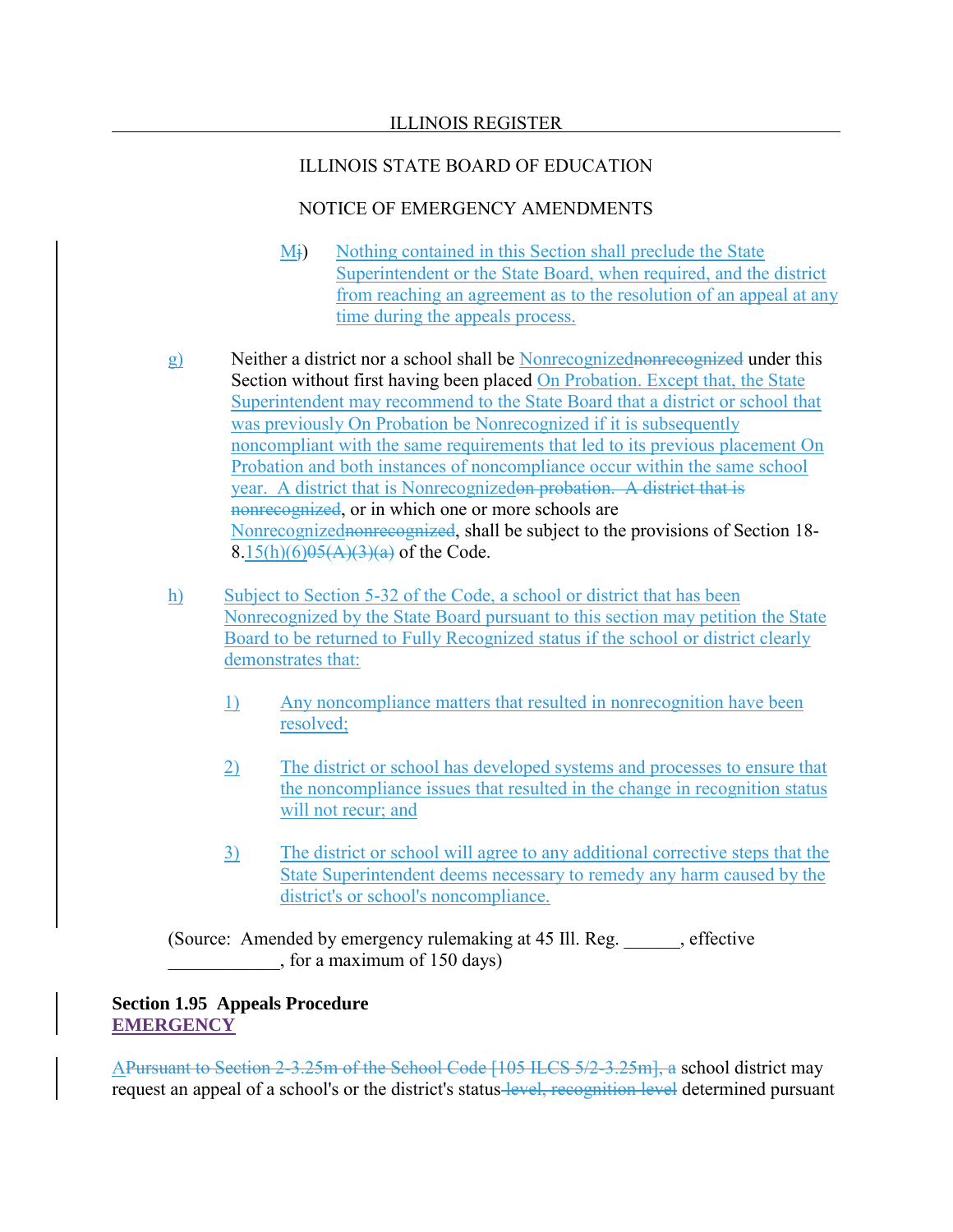# NOTICE OF EMERGENCY AMENDMENTS

- Mj) Nothing contained in this Section shall preclude the State Superintendent or the State Board, when required, and the district from reaching an agreement as to the resolution of an appeal at any time during the appeals process.
- g) Neither a district nor a school shall be Nonrecognizednonrecognized under this Section without first having been placed On Probation. Except that, the State Superintendent may recommend to the State Board that a district or school that was previously On Probation be Nonrecognized if it is subsequently noncompliant with the same requirements that led to its previous placement On Probation and both instances of noncompliance occur within the same school year. A district that is Nonrecognizedon probation. A district that is nonrecognized, or in which one or more schools are Nonrecognizednonrecognized, shall be subject to the provisions of Section 18- $8.15(h)(6)95(A)(3)(a)$  of the Code.
- h) Subject to Section 5-32 of the Code, a school or district that has been Nonrecognized by the State Board pursuant to this section may petition the State Board to be returned to Fully Recognized status if the school or district clearly demonstrates that:
	- 1) Any noncompliance matters that resulted in nonrecognition have been resolved;
	- 2) The district or school has developed systems and processes to ensure that the noncompliance issues that resulted in the change in recognition status will not recur; and
	- 3) The district or school will agree to any additional corrective steps that the State Superintendent deems necessary to remedy any harm caused by the district's or school's noncompliance.

(Source: Amended by emergency rulemaking at 45 Ill. Reg. \_\_\_\_\_\_, effective \_\_\_\_\_\_\_\_\_\_\_\_, for a maximum of 150 days)

# **Section 1.95 Appeals Procedure EMERGENCY**

APursuant to Section 2-3.25m of the School Code [105 ILCS 5/2-3.25m], a school district may request an appeal of a school's or the district's status level, recognition level determined pursuant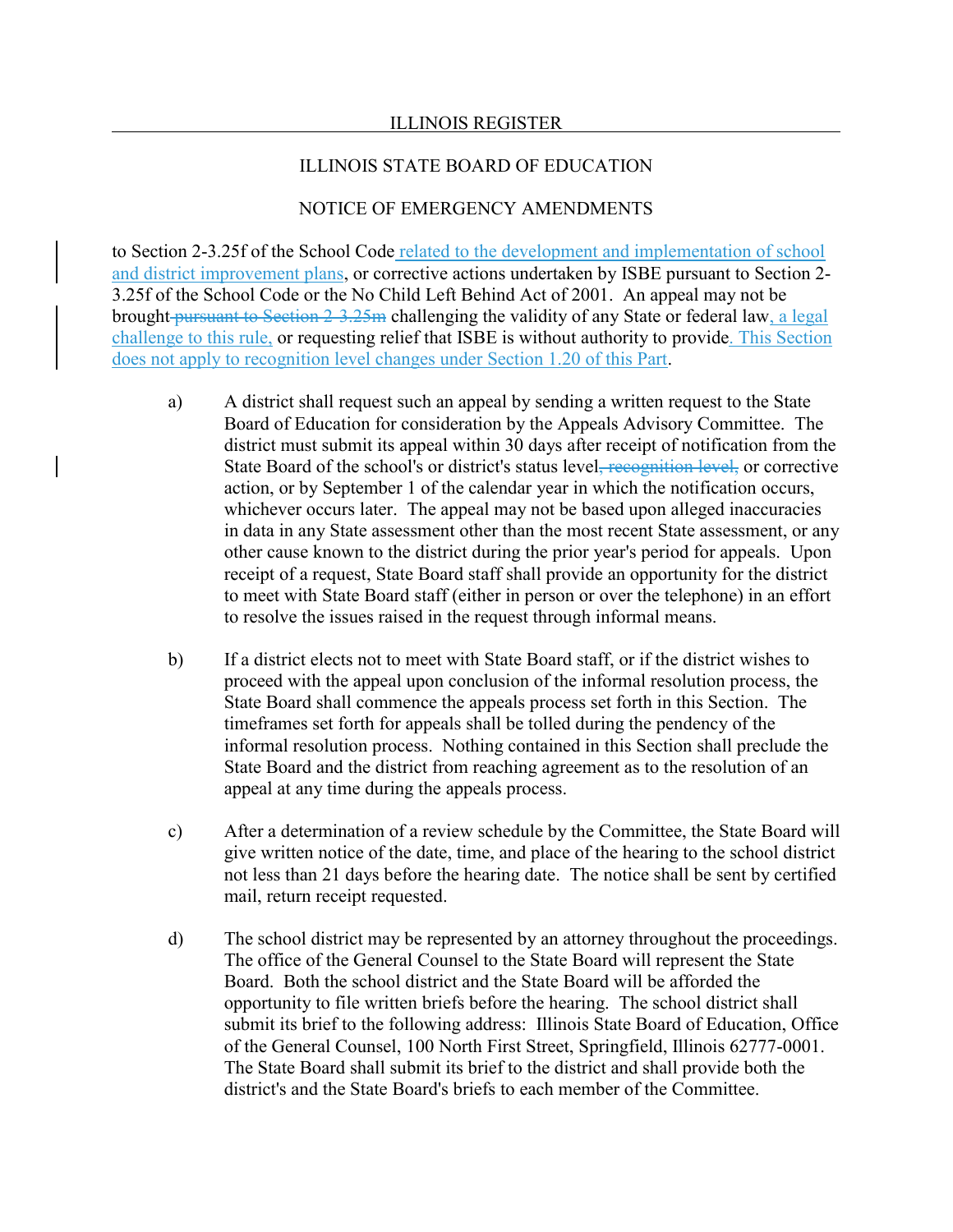### ILLINOIS STATE BOARD OF EDUCATION

#### NOTICE OF EMERGENCY AMENDMENTS

to Section 2-3.25f of the School Code related to the development and implementation of school and district improvement plans, or corrective actions undertaken by ISBE pursuant to Section 2- 3.25f of the School Code or the No Child Left Behind Act of 2001. An appeal may not be brought pursuant to Section 2-3.25m challenging the validity of any State or federal law, a legal challenge to this rule, or requesting relief that ISBE is without authority to provide. This Section does not apply to recognition level changes under Section 1.20 of this Part.

- a) A district shall request such an appeal by sending a written request to the State Board of Education for consideration by the Appeals Advisory Committee. The district must submit its appeal within 30 days after receipt of notification from the State Board of the school's or district's status level, recognition level, or corrective action, or by September 1 of the calendar year in which the notification occurs, whichever occurs later. The appeal may not be based upon alleged inaccuracies in data in any State assessment other than the most recent State assessment, or any other cause known to the district during the prior year's period for appeals. Upon receipt of a request, State Board staff shall provide an opportunity for the district to meet with State Board staff (either in person or over the telephone) in an effort to resolve the issues raised in the request through informal means.
- b) If a district elects not to meet with State Board staff, or if the district wishes to proceed with the appeal upon conclusion of the informal resolution process, the State Board shall commence the appeals process set forth in this Section. The timeframes set forth for appeals shall be tolled during the pendency of the informal resolution process. Nothing contained in this Section shall preclude the State Board and the district from reaching agreement as to the resolution of an appeal at any time during the appeals process.
- c) After a determination of a review schedule by the Committee, the State Board will give written notice of the date, time, and place of the hearing to the school district not less than 21 days before the hearing date. The notice shall be sent by certified mail, return receipt requested.
- d) The school district may be represented by an attorney throughout the proceedings. The office of the General Counsel to the State Board will represent the State Board. Both the school district and the State Board will be afforded the opportunity to file written briefs before the hearing. The school district shall submit its brief to the following address: Illinois State Board of Education, Office of the General Counsel, 100 North First Street, Springfield, Illinois 62777-0001. The State Board shall submit its brief to the district and shall provide both the district's and the State Board's briefs to each member of the Committee.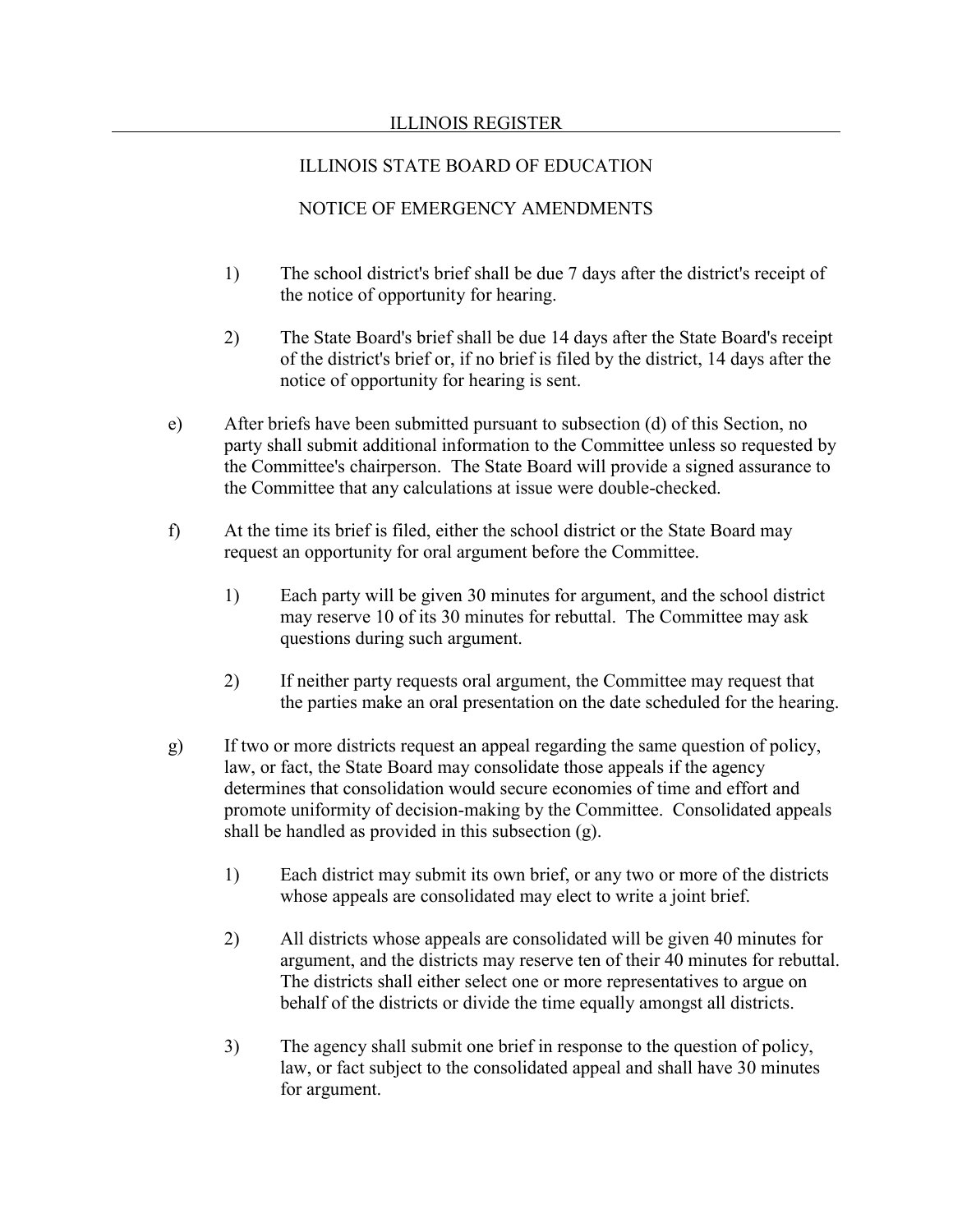- 1) The school district's brief shall be due 7 days after the district's receipt of the notice of opportunity for hearing.
- 2) The State Board's brief shall be due 14 days after the State Board's receipt of the district's brief or, if no brief is filed by the district, 14 days after the notice of opportunity for hearing is sent.
- e) After briefs have been submitted pursuant to subsection (d) of this Section, no party shall submit additional information to the Committee unless so requested by the Committee's chairperson. The State Board will provide a signed assurance to the Committee that any calculations at issue were double-checked.
- f) At the time its brief is filed, either the school district or the State Board may request an opportunity for oral argument before the Committee.
	- 1) Each party will be given 30 minutes for argument, and the school district may reserve 10 of its 30 minutes for rebuttal. The Committee may ask questions during such argument.
	- 2) If neither party requests oral argument, the Committee may request that the parties make an oral presentation on the date scheduled for the hearing.
- g) If two or more districts request an appeal regarding the same question of policy, law, or fact, the State Board may consolidate those appeals if the agency determines that consolidation would secure economies of time and effort and promote uniformity of decision-making by the Committee. Consolidated appeals shall be handled as provided in this subsection (g).
	- 1) Each district may submit its own brief, or any two or more of the districts whose appeals are consolidated may elect to write a joint brief.
	- 2) All districts whose appeals are consolidated will be given 40 minutes for argument, and the districts may reserve ten of their 40 minutes for rebuttal. The districts shall either select one or more representatives to argue on behalf of the districts or divide the time equally amongst all districts.
	- 3) The agency shall submit one brief in response to the question of policy, law, or fact subject to the consolidated appeal and shall have 30 minutes for argument.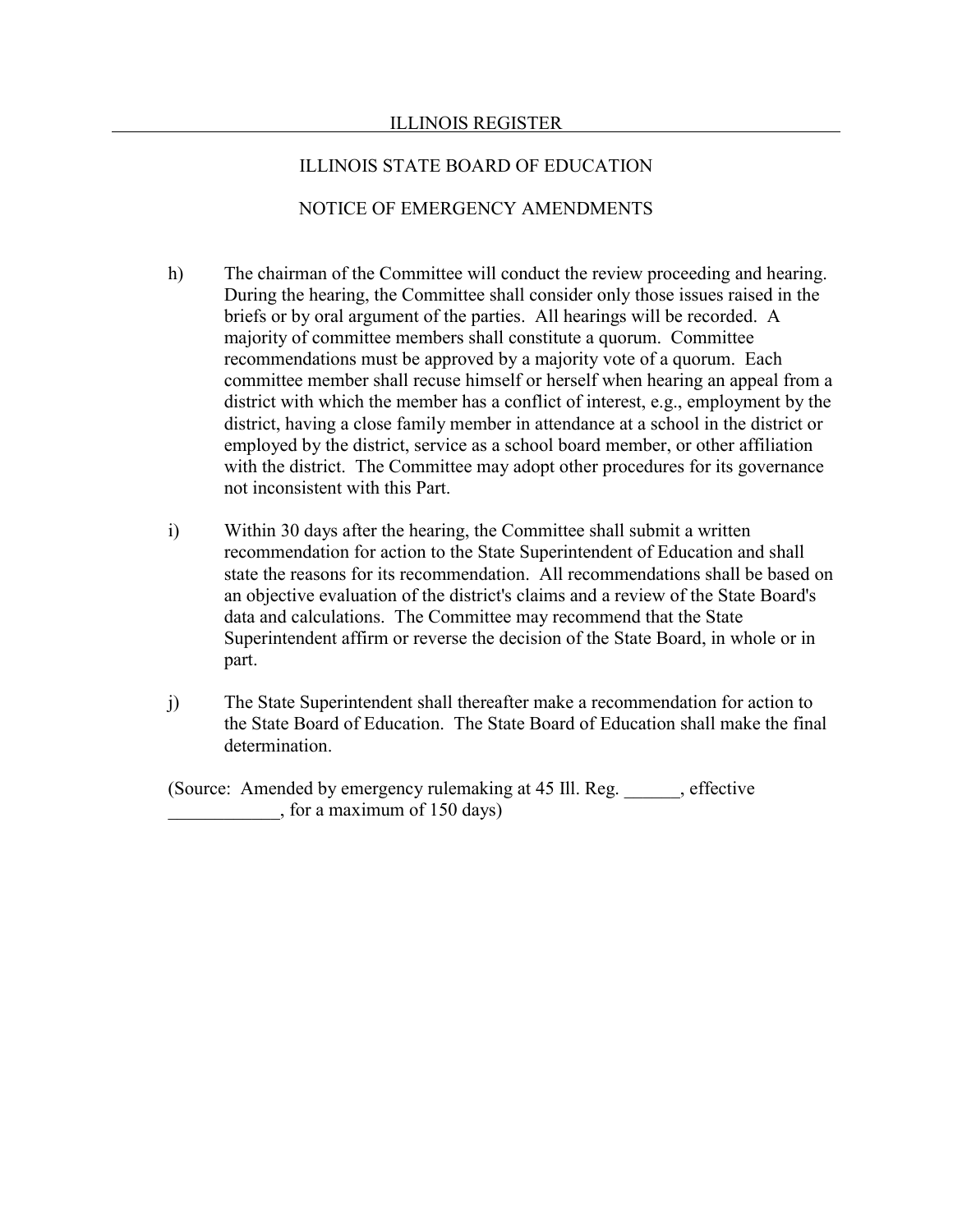#### ILLINOIS STATE BOARD OF EDUCATION

### NOTICE OF EMERGENCY AMENDMENTS

- h) The chairman of the Committee will conduct the review proceeding and hearing. During the hearing, the Committee shall consider only those issues raised in the briefs or by oral argument of the parties. All hearings will be recorded. A majority of committee members shall constitute a quorum. Committee recommendations must be approved by a majority vote of a quorum. Each committee member shall recuse himself or herself when hearing an appeal from a district with which the member has a conflict of interest, e.g., employment by the district, having a close family member in attendance at a school in the district or employed by the district, service as a school board member, or other affiliation with the district. The Committee may adopt other procedures for its governance not inconsistent with this Part.
- i) Within 30 days after the hearing, the Committee shall submit a written recommendation for action to the State Superintendent of Education and shall state the reasons for its recommendation. All recommendations shall be based on an objective evaluation of the district's claims and a review of the State Board's data and calculations. The Committee may recommend that the State Superintendent affirm or reverse the decision of the State Board, in whole or in part.
- j) The State Superintendent shall thereafter make a recommendation for action to the State Board of Education. The State Board of Education shall make the final determination.

(Source: Amended by emergency rulemaking at 45 Ill. Reg. effective \_\_\_\_\_\_\_\_\_\_\_\_, for a maximum of 150 days)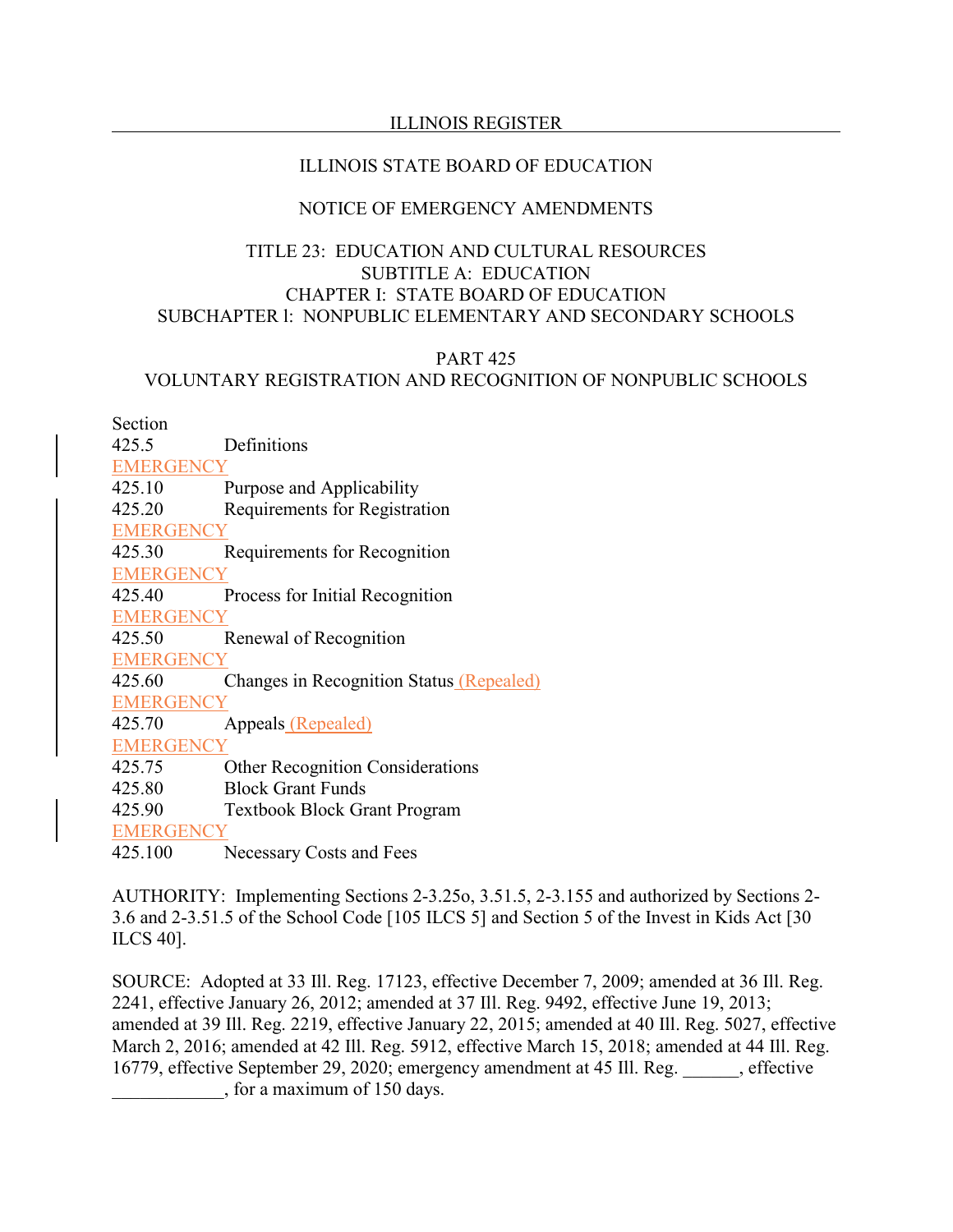# ILLINOIS STATE BOARD OF EDUCATION

# NOTICE OF EMERGENCY AMENDMENTS

# TITLE 23: EDUCATION AND CULTURAL RESOURCES SUBTITLE A: EDUCATION CHAPTER I: STATE BOARD OF EDUCATION SUBCHAPTER l: NONPUBLIC ELEMENTARY AND SECONDARY SCHOOLS

## PART 425 VOLUNTARY REGISTRATION AND RECOGNITION OF NONPUBLIC SCHOOLS

Section

425.5 Definitions **EMERGENCY** 425.10 Purpose and Applicability 425.20 Requirements for Registration **EMERGENCY** 425.30 Requirements for Recognition **EMERGENCY** 425.40 Process for Initial Recognition **EMERGENCY** 425.50 Renewal of Recognition **EMERGENCY** 425.60 Changes in Recognition Status (Repealed) **EMERGENCY** 425.70 Appeals (Repealed) **EMERGENCY** 425.75 Other Recognition Considerations 425.80 Block Grant Funds 425.90 Textbook Block Grant Program **EMERGENCY** 

425.100 Necessary Costs and Fees

AUTHORITY: Implementing Sections 2-3.25o, 3.51.5, 2-3.155 and authorized by Sections 2- 3.6 and 2-3.51.5 of the School Code [105 ILCS 5] and Section 5 of the Invest in Kids Act [30 ILCS 40].

SOURCE: Adopted at 33 Ill. Reg. 17123, effective December 7, 2009; amended at 36 Ill. Reg. 2241, effective January 26, 2012; amended at 37 Ill. Reg. 9492, effective June 19, 2013; amended at 39 Ill. Reg. 2219, effective January 22, 2015; amended at 40 Ill. Reg. 5027, effective March 2, 2016; amended at 42 Ill. Reg. 5912, effective March 15, 2018; amended at 44 Ill. Reg. 16779, effective September 29, 2020; emergency amendment at 45 Ill. Reg. \_\_\_\_\_\_, effective \_\_\_\_\_\_\_\_\_\_\_\_, for a maximum of 150 days.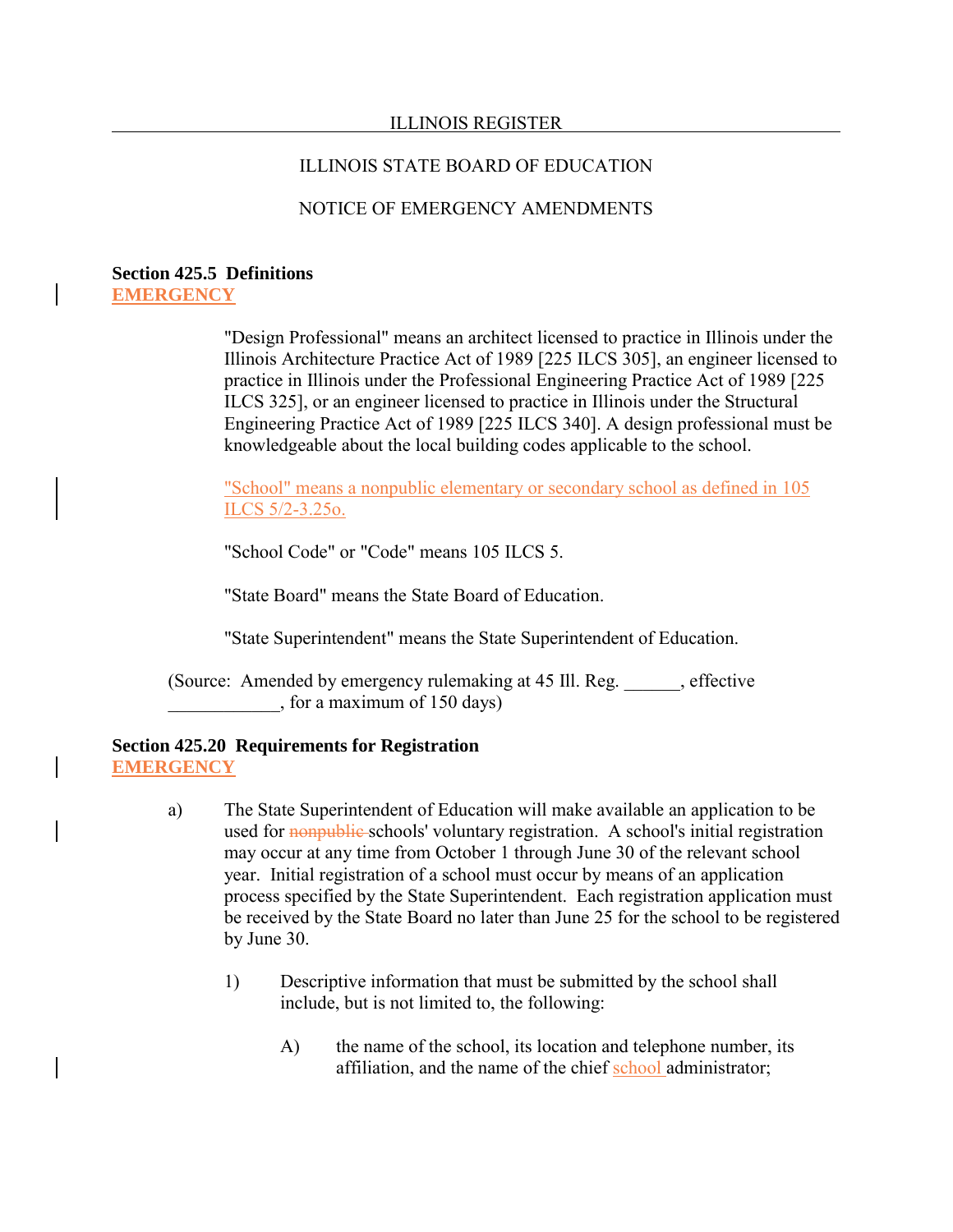#### ILLINOIS STATE BOARD OF EDUCATION

## NOTICE OF EMERGENCY AMENDMENTS

#### **Section 425.5 Definitions EMERGENCY**

"Design Professional" means an architect licensed to practice in Illinois under the Illinois Architecture Practice Act of 1989 [225 ILCS 305], an engineer licensed to practice in Illinois under the Professional Engineering Practice Act of 1989 [225 ILCS 325], or an engineer licensed to practice in Illinois under the Structural Engineering Practice Act of 1989 [225 ILCS 340]. A design professional must be knowledgeable about the local building codes applicable to the school.

"School" means a nonpublic elementary or secondary school as defined in 105 ILCS 5/2-3.25o.

"School Code" or "Code" means 105 ILCS 5.

"State Board" means the State Board of Education.

"State Superintendent" means the State Superintendent of Education.

(Source: Amended by emergency rulemaking at 45 Ill. Reg. \_\_\_\_\_\_, effective \_\_\_\_\_\_\_\_\_\_\_\_, for a maximum of 150 days)

#### **Section 425.20 Requirements for Registration EMERGENCY**

- a) The State Superintendent of Education will make available an application to be used for nonpublic-schools' voluntary registration. A school's initial registration may occur at any time from October 1 through June 30 of the relevant school year. Initial registration of a school must occur by means of an application process specified by the State Superintendent. Each registration application must be received by the State Board no later than June 25 for the school to be registered by June 30.
	- 1) Descriptive information that must be submitted by the school shall include, but is not limited to, the following:
		- A) the name of the school, its location and telephone number, its affiliation, and the name of the chief school administrator;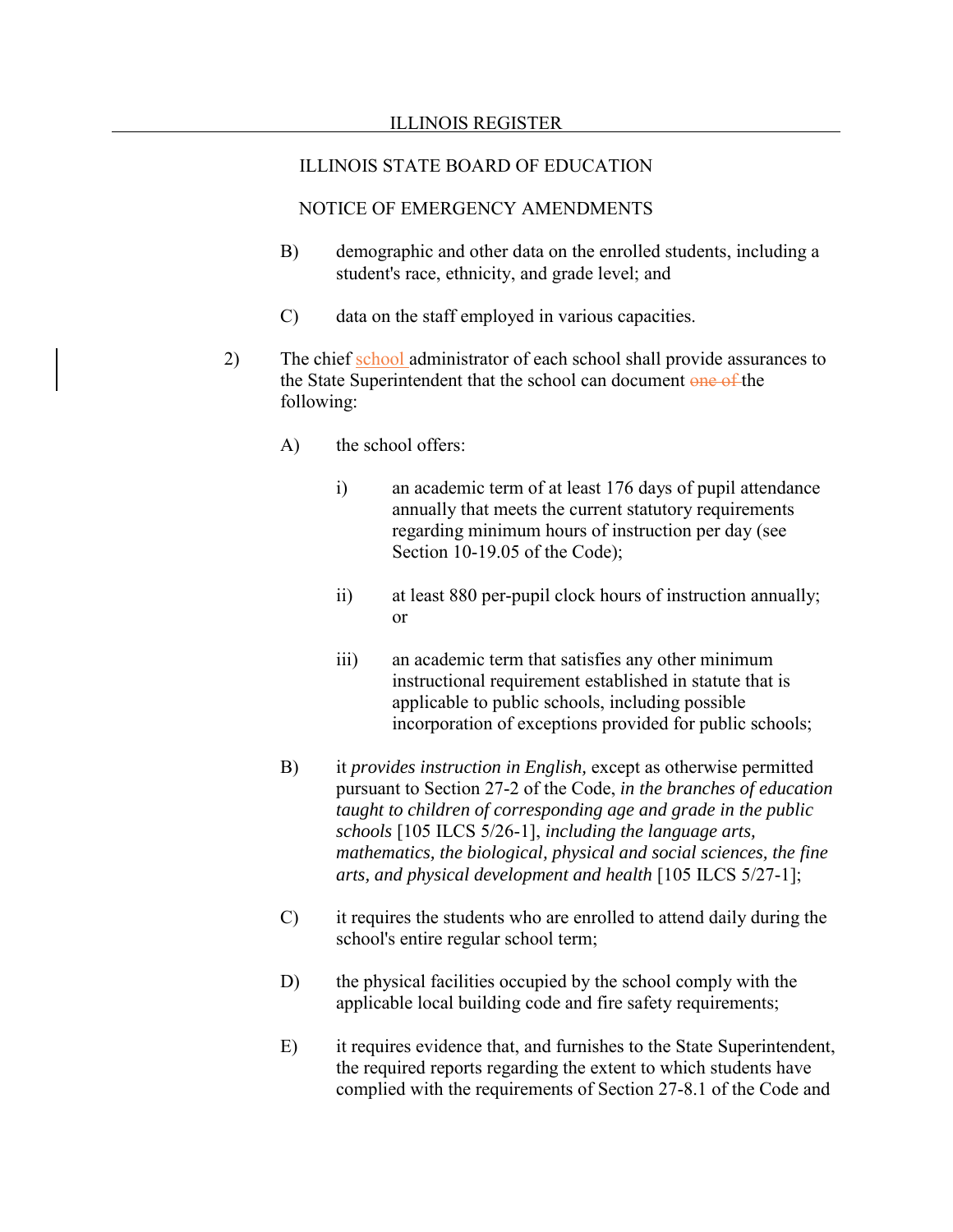- B) demographic and other data on the enrolled students, including a student's race, ethnicity, and grade level; and
- C) data on the staff employed in various capacities.
- 2) The chief school administrator of each school shall provide assurances to the State Superintendent that the school can document one of the following:
	- A) the school offers:
		- i) an academic term of at least 176 days of pupil attendance annually that meets the current statutory requirements regarding minimum hours of instruction per day (see Section 10-19.05 of the Code);
		- ii) at least 880 per-pupil clock hours of instruction annually; or
		- iii) an academic term that satisfies any other minimum instructional requirement established in statute that is applicable to public schools, including possible incorporation of exceptions provided for public schools;
	- B) it *provides instruction in English,* except as otherwise permitted pursuant to Section 27-2 of the Code, *in the branches of education taught to children of corresponding age and grade in the public schools* [105 ILCS 5/26-1], *including the language arts, mathematics, the biological, physical and social sciences, the fine arts, and physical development and health* [105 ILCS 5/27-1];
	- C) it requires the students who are enrolled to attend daily during the school's entire regular school term;
	- D) the physical facilities occupied by the school comply with the applicable local building code and fire safety requirements;
	- E) it requires evidence that, and furnishes to the State Superintendent, the required reports regarding the extent to which students have complied with the requirements of Section 27-8.1 of the Code and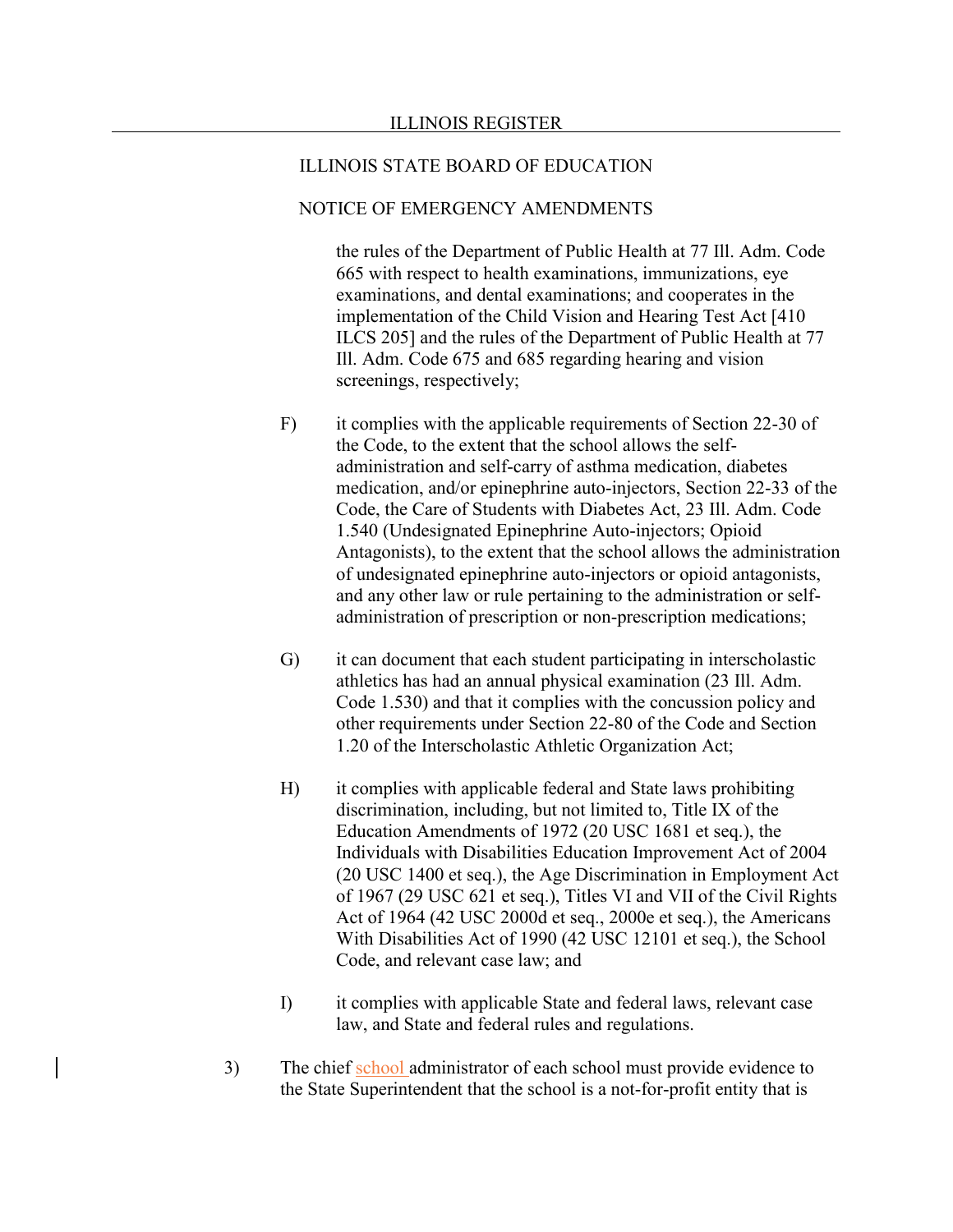#### NOTICE OF EMERGENCY AMENDMENTS

the rules of the Department of Public Health at 77 Ill. Adm. Code 665 with respect to health examinations, immunizations, eye examinations, and dental examinations; and cooperates in the implementation of the Child Vision and Hearing Test Act [410 ILCS 205] and the rules of the Department of Public Health at 77 Ill. Adm. Code 675 and 685 regarding hearing and vision screenings, respectively;

- F) it complies with the applicable requirements of Section 22-30 of the Code, to the extent that the school allows the selfadministration and self-carry of asthma medication, diabetes medication, and/or epinephrine auto-injectors, Section 22-33 of the Code, the Care of Students with Diabetes Act, 23 Ill. Adm. Code 1.540 (Undesignated Epinephrine Auto-injectors; Opioid Antagonists), to the extent that the school allows the administration of undesignated epinephrine auto-injectors or opioid antagonists, and any other law or rule pertaining to the administration or selfadministration of prescription or non-prescription medications;
- G) it can document that each student participating in interscholastic athletics has had an annual physical examination (23 Ill. Adm. Code 1.530) and that it complies with the concussion policy and other requirements under Section 22-80 of the Code and Section 1.20 of the Interscholastic Athletic Organization Act;
- H) it complies with applicable federal and State laws prohibiting discrimination, including, but not limited to, Title IX of the Education Amendments of 1972 (20 USC 1681 et seq.), the Individuals with Disabilities Education Improvement Act of 2004 (20 USC 1400 et seq.), the Age Discrimination in Employment Act of 1967 (29 USC 621 et seq.), Titles VI and VII of the Civil Rights Act of 1964 (42 USC 2000d et seq., 2000e et seq.), the Americans With Disabilities Act of 1990 (42 USC 12101 et seq.), the School Code, and relevant case law; and
- I) it complies with applicable State and federal laws, relevant case law, and State and federal rules and regulations.
- 3) The chief school administrator of each school must provide evidence to the State Superintendent that the school is a not-for-profit entity that is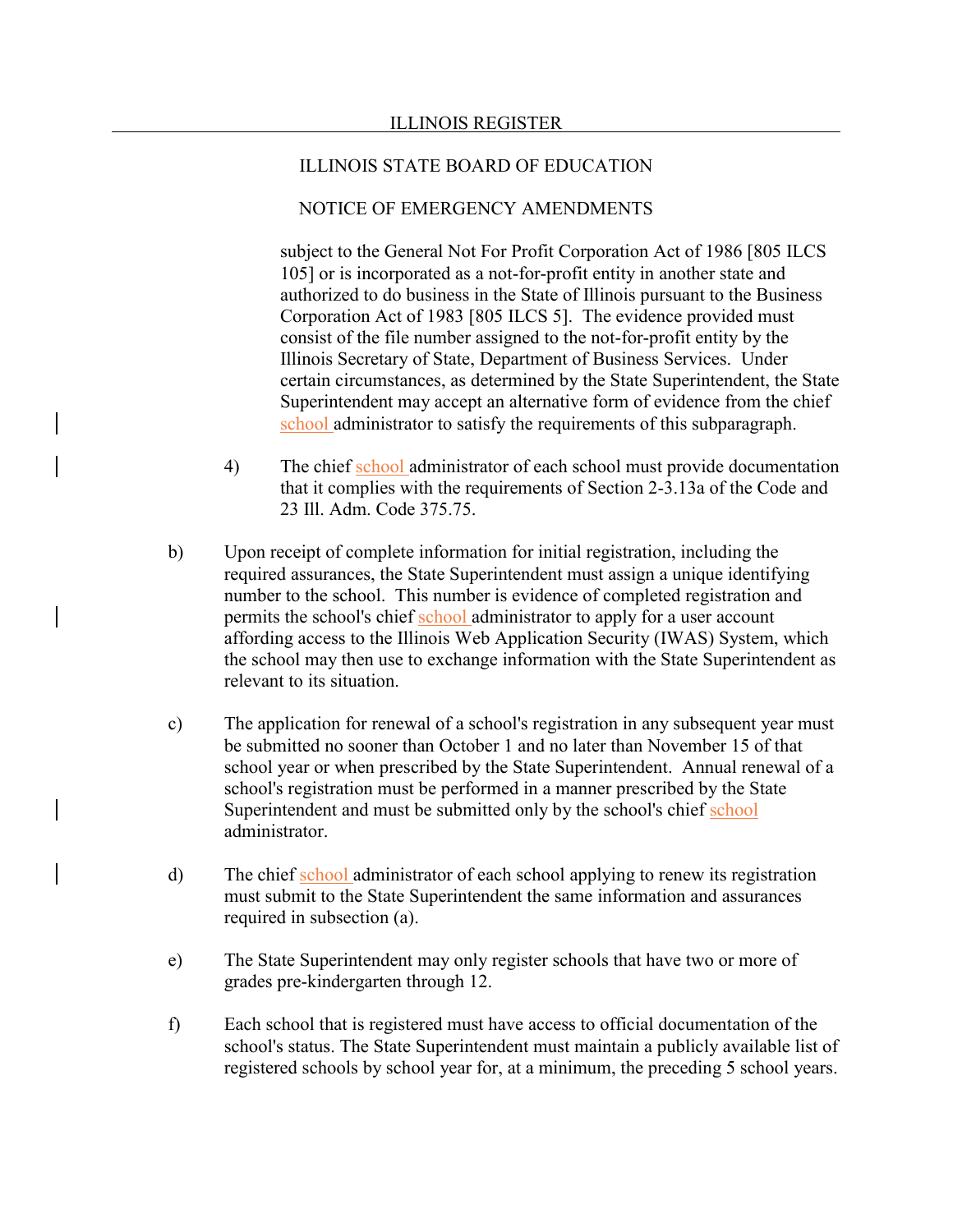#### NOTICE OF EMERGENCY AMENDMENTS

subject to the General Not For Profit Corporation Act of 1986 [805 ILCS 105] or is incorporated as a not-for-profit entity in another state and authorized to do business in the State of Illinois pursuant to the Business Corporation Act of 1983 [805 ILCS 5]. The evidence provided must consist of the file number assigned to the not-for-profit entity by the Illinois Secretary of State, Department of Business Services. Under certain circumstances, as determined by the State Superintendent, the State Superintendent may accept an alternative form of evidence from the chief school administrator to satisfy the requirements of this subparagraph.

- 4) The chief school administrator of each school must provide documentation that it complies with the requirements of Section 2-3.13a of the Code and 23 Ill. Adm. Code 375.75.
- b) Upon receipt of complete information for initial registration, including the required assurances, the State Superintendent must assign a unique identifying number to the school. This number is evidence of completed registration and permits the school's chief school administrator to apply for a user account affording access to the Illinois Web Application Security (IWAS) System, which the school may then use to exchange information with the State Superintendent as relevant to its situation.
- c) The application for renewal of a school's registration in any subsequent year must be submitted no sooner than October 1 and no later than November 15 of that school year or when prescribed by the State Superintendent. Annual renewal of a school's registration must be performed in a manner prescribed by the State Superintendent and must be submitted only by the school's chief school administrator.
- d) The chief school administrator of each school applying to renew its registration must submit to the State Superintendent the same information and assurances required in subsection (a).
- e) The State Superintendent may only register schools that have two or more of grades pre-kindergarten through 12.
- f) Each school that is registered must have access to official documentation of the school's status. The State Superintendent must maintain a publicly available list of registered schools by school year for, at a minimum, the preceding 5 school years.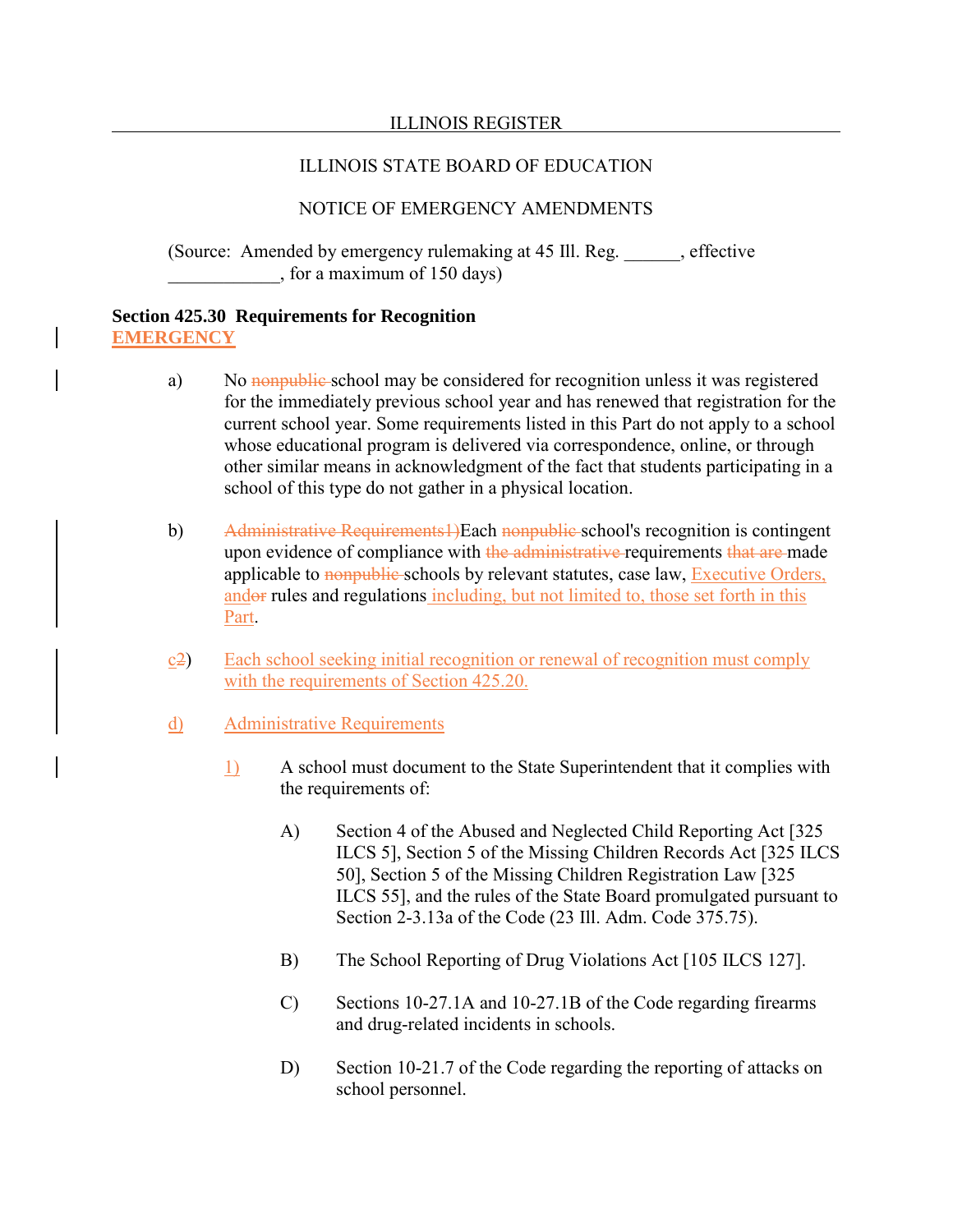# NOTICE OF EMERGENCY AMENDMENTS

(Source: Amended by emergency rulemaking at 45 Ill. Reg. effective \_\_\_\_\_\_\_\_\_\_\_\_, for a maximum of 150 days)

#### **Section 425.30 Requirements for Recognition EMERGENCY**

- a) No nonpublic school may be considered for recognition unless it was registered for the immediately previous school year and has renewed that registration for the current school year. Some requirements listed in this Part do not apply to a school whose educational program is delivered via correspondence, online, or through other similar means in acknowledgment of the fact that students participating in a school of this type do not gather in a physical location.
- b) Administrative Requirements1)Each nonpublic school's recognition is contingent upon evidence of compliance with the administrative requirements that are made applicable to nonpublic schools by relevant statutes, case law, Executive Orders, andor rules and regulations including, but not limited to, those set forth in this Part.
- c2) Each school seeking initial recognition or renewal of recognition must comply with the requirements of Section 425.20.
- d) Administrative Requirements
	- 1) A school must document to the State Superintendent that it complies with the requirements of:
		- A) Section 4 of the Abused and Neglected Child Reporting Act [325 ILCS 5], Section 5 of the Missing Children Records Act [325 ILCS 50], Section 5 of the Missing Children Registration Law [325 ILCS 55], and the rules of the State Board promulgated pursuant to Section 2-3.13a of the Code (23 Ill. Adm. Code 375.75).
		- B) The School Reporting of Drug Violations Act [105 ILCS 127].
		- C) Sections 10-27.1A and 10-27.1B of the Code regarding firearms and drug-related incidents in schools.
		- D) Section 10-21.7 of the Code regarding the reporting of attacks on school personnel.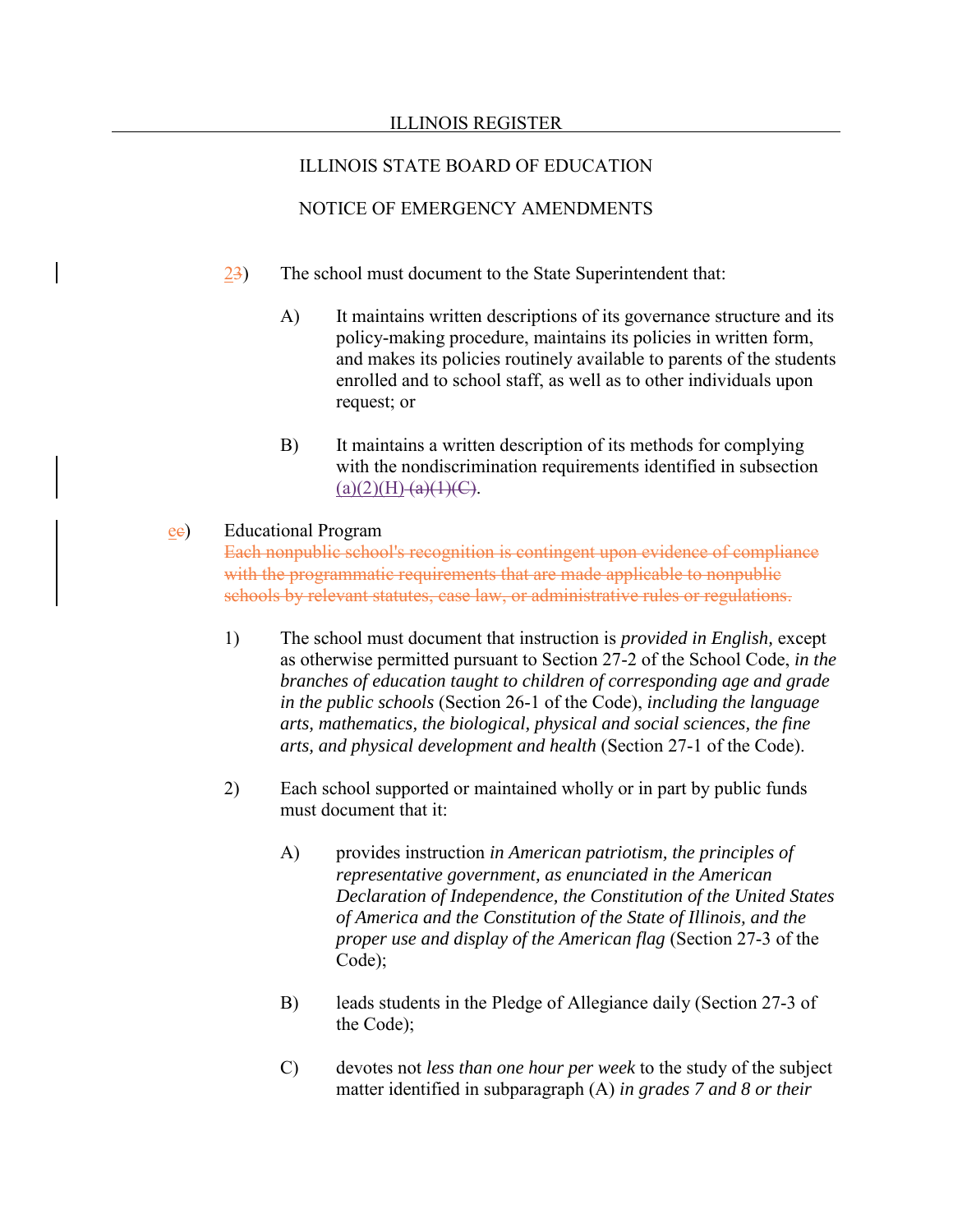# NOTICE OF EMERGENCY AMENDMENTS

- 23) The school must document to the State Superintendent that:
	- A) It maintains written descriptions of its governance structure and its policy-making procedure, maintains its policies in written form, and makes its policies routinely available to parents of the students enrolled and to school staff, as well as to other individuals upon request; or
	- B) It maintains a written description of its methods for complying with the nondiscrimination requirements identified in subsection  $(a)(2)(H)$   $(a)(1)(C)$ .

### ec) Educational Program

Each nonpublic school's recognition is contingent upon evidence of compliance with the programmatic requirements that are made applicable to nonpublic schools by relevant statutes, case law, or administrative rules or regulations.

- 1) The school must document that instruction is *provided in English,* except as otherwise permitted pursuant to Section 27-2 of the School Code, *in the branches of education taught to children of corresponding age and grade in the public schools* (Section 26-1 of the Code), *including the language arts, mathematics, the biological, physical and social sciences, the fine arts, and physical development and health* (Section 27-1 of the Code).
- 2) Each school supported or maintained wholly or in part by public funds must document that it:
	- A) provides instruction *in American patriotism, the principles of representative government, as enunciated in the American Declaration of Independence, the Constitution of the United States of America and the Constitution of the State of Illinois, and the proper use and display of the American flag* (Section 27-3 of the Code);
	- B) leads students in the Pledge of Allegiance daily (Section 27-3 of the Code);
	- C) devotes not *less than one hour per week* to the study of the subject matter identified in subparagraph (A) *in grades 7 and 8 or their*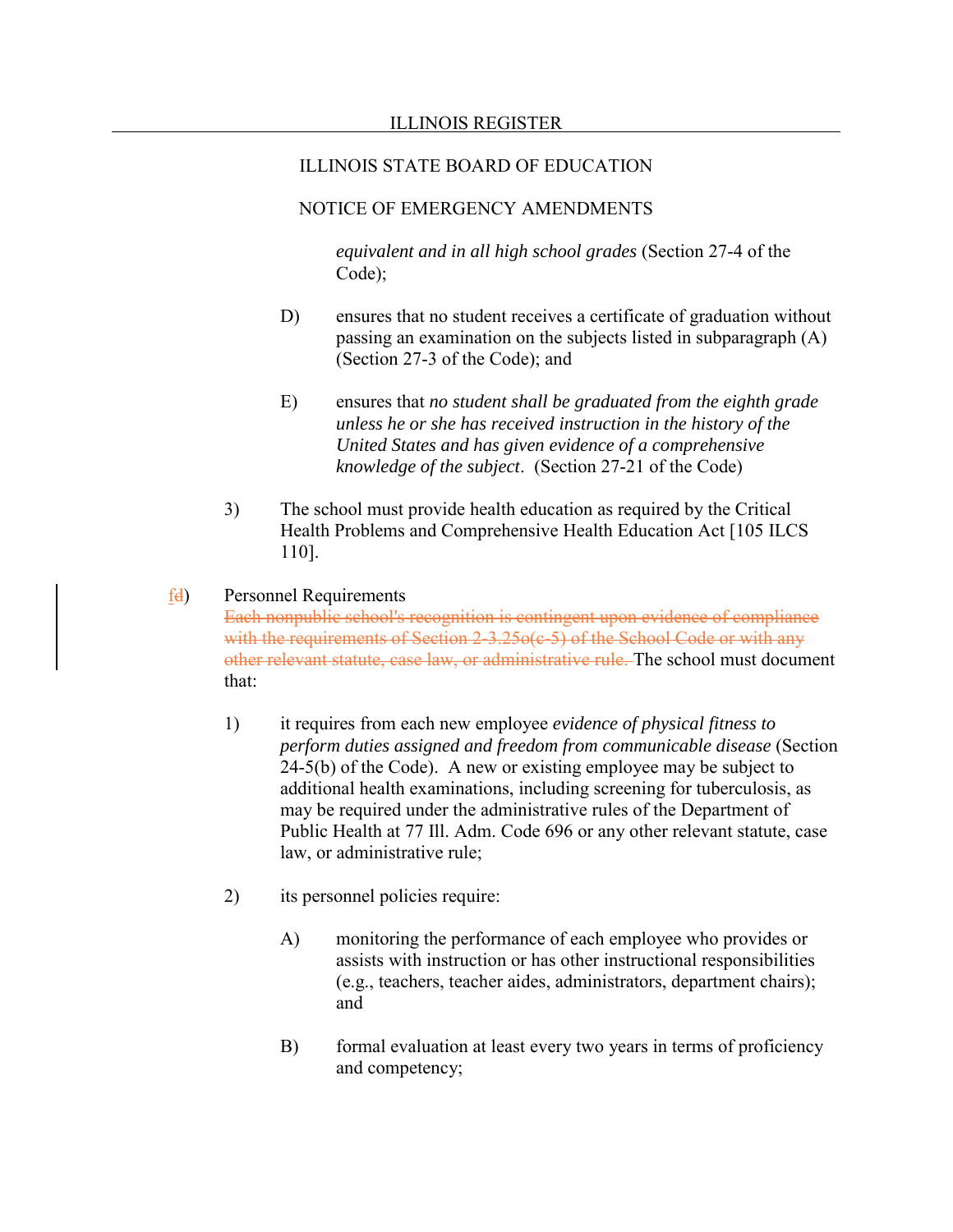## NOTICE OF EMERGENCY AMENDMENTS

*equivalent and in all high school grades* (Section 27-4 of the Code);

- D) ensures that no student receives a certificate of graduation without passing an examination on the subjects listed in subparagraph (A) (Section 27-3 of the Code); and
- E) ensures that *no student shall be graduated from the eighth grade unless he or she has received instruction in the history of the United States and has given evidence of a comprehensive knowledge of the subject*. (Section 27-21 of the Code)
- 3) The school must provide health education as required by the Critical Health Problems and Comprehensive Health Education Act [105 ILCS 110].

#### fd) Personnel Requirements

Each nonpublic school's recognition is contingent upon evidence of compliance with the requirements of Section 2-3.25o(c-5) of the School Code or with any other relevant statute, case law, or administrative rule. The school must document that:

- 1) it requires from each new employee *evidence of physical fitness to perform duties assigned and freedom from communicable disease* (Section 24-5(b) of the Code). A new or existing employee may be subject to additional health examinations, including screening for tuberculosis, as may be required under the administrative rules of the Department of Public Health at 77 Ill. Adm. Code 696 or any other relevant statute, case law, or administrative rule;
- 2) its personnel policies require:
	- A) monitoring the performance of each employee who provides or assists with instruction or has other instructional responsibilities (e.g., teachers, teacher aides, administrators, department chairs); and
	- B) formal evaluation at least every two years in terms of proficiency and competency;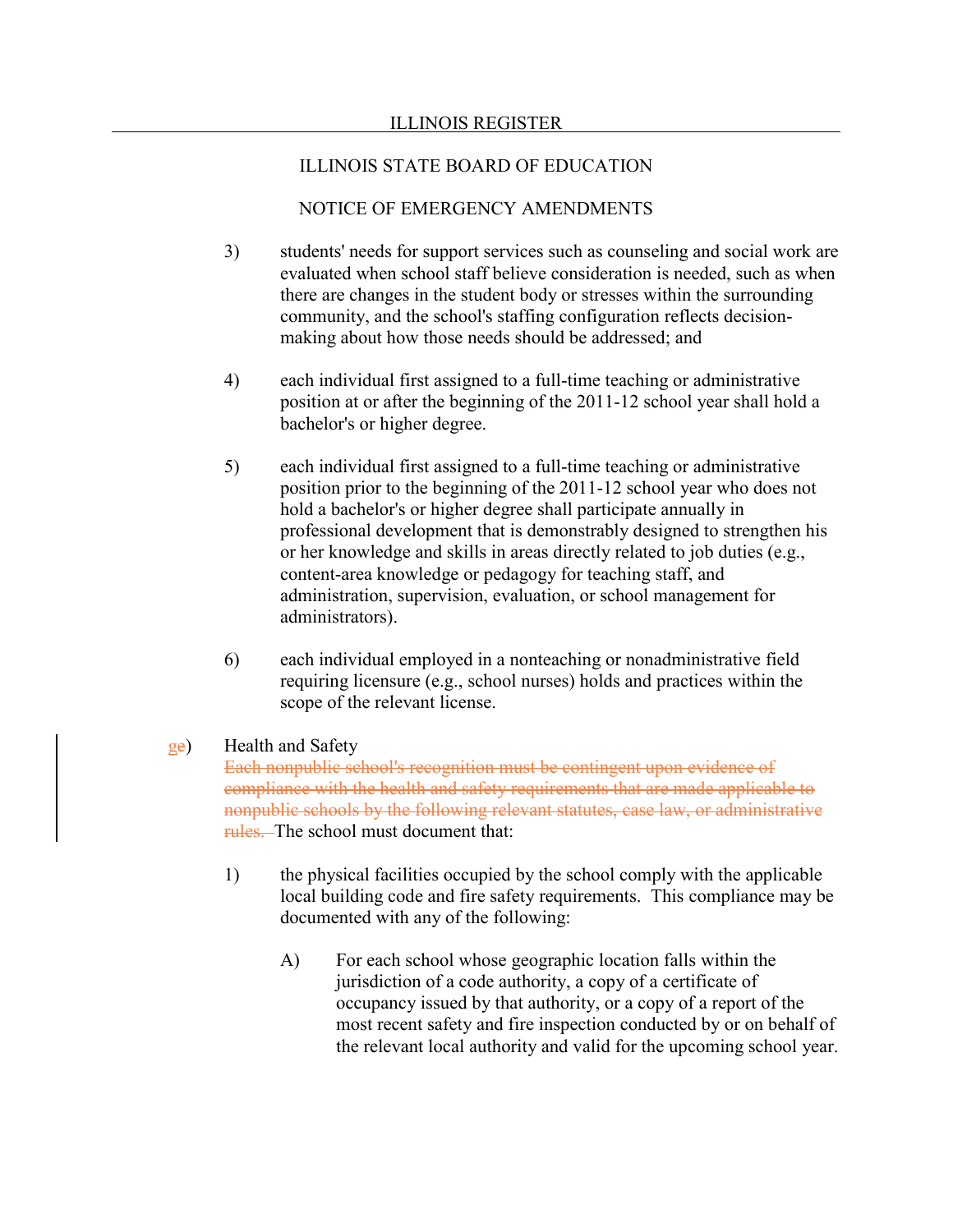### NOTICE OF EMERGENCY AMENDMENTS

- 3) students' needs for support services such as counseling and social work are evaluated when school staff believe consideration is needed, such as when there are changes in the student body or stresses within the surrounding community, and the school's staffing configuration reflects decisionmaking about how those needs should be addressed; and
- 4) each individual first assigned to a full-time teaching or administrative position at or after the beginning of the 2011-12 school year shall hold a bachelor's or higher degree.
- 5) each individual first assigned to a full-time teaching or administrative position prior to the beginning of the 2011-12 school year who does not hold a bachelor's or higher degree shall participate annually in professional development that is demonstrably designed to strengthen his or her knowledge and skills in areas directly related to job duties (e.g., content-area knowledge or pedagogy for teaching staff, and administration, supervision, evaluation, or school management for administrators).
- 6) each individual employed in a nonteaching or nonadministrative field requiring licensure (e.g., school nurses) holds and practices within the scope of the relevant license.

### ge) Health and Safety

Each nonpublic school's recognition must be contingent upon evidence of compliance with the health and safety requirements that are made applicable to nonpublic schools by the following relevant statutes, case law, or administrative rules. The school must document that:

- 1) the physical facilities occupied by the school comply with the applicable local building code and fire safety requirements. This compliance may be documented with any of the following:
	- A) For each school whose geographic location falls within the jurisdiction of a code authority, a copy of a certificate of occupancy issued by that authority, or a copy of a report of the most recent safety and fire inspection conducted by or on behalf of the relevant local authority and valid for the upcoming school year.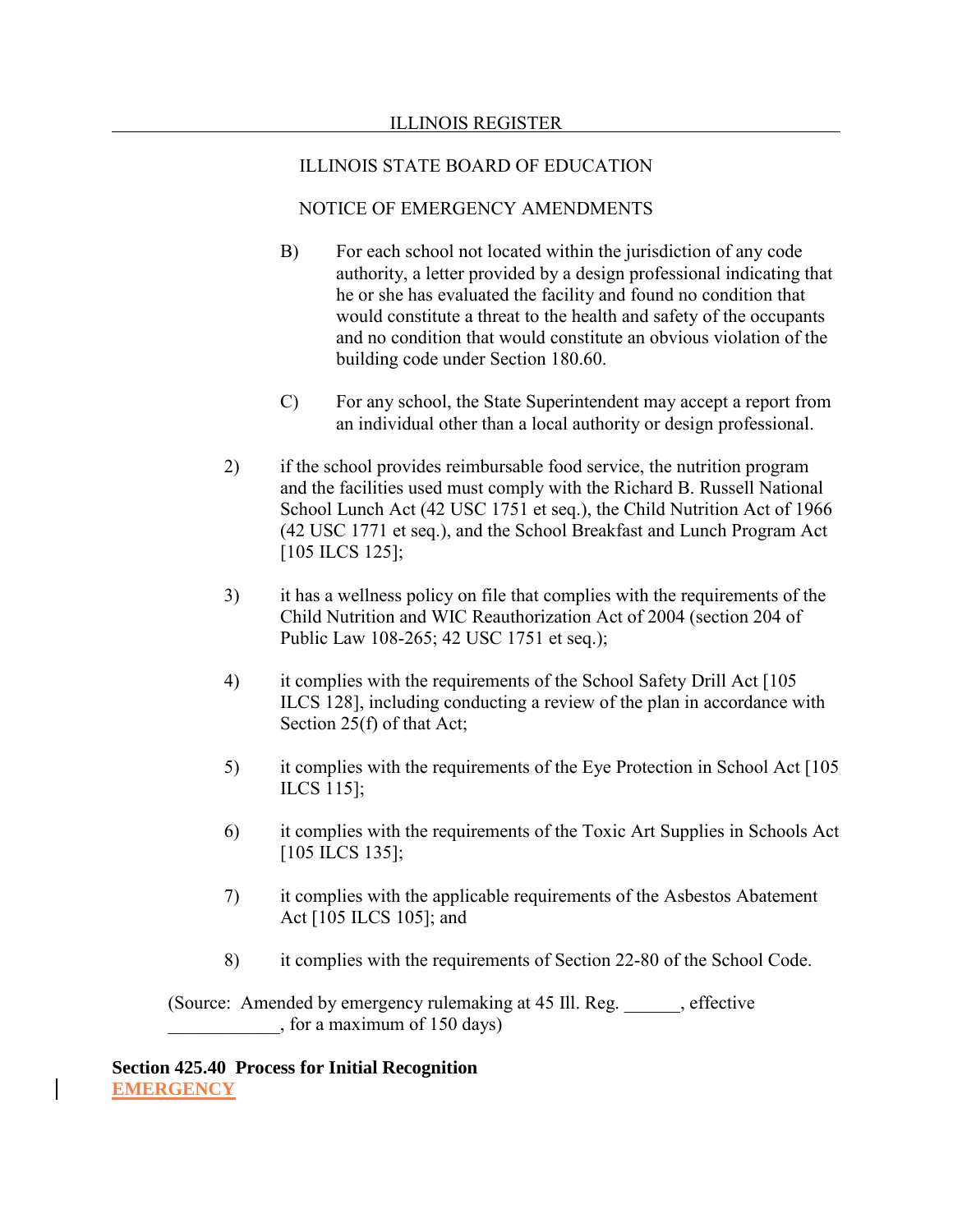# NOTICE OF EMERGENCY AMENDMENTS

- B) For each school not located within the jurisdiction of any code authority, a letter provided by a design professional indicating that he or she has evaluated the facility and found no condition that would constitute a threat to the health and safety of the occupants and no condition that would constitute an obvious violation of the building code under Section 180.60.
- C) For any school, the State Superintendent may accept a report from an individual other than a local authority or design professional.
- 2) if the school provides reimbursable food service, the nutrition program and the facilities used must comply with the Richard B. Russell National School Lunch Act (42 USC 1751 et seq.), the Child Nutrition Act of 1966 (42 USC 1771 et seq.), and the School Breakfast and Lunch Program Act [105 ILCS 125];
- 3) it has a wellness policy on file that complies with the requirements of the Child Nutrition and WIC Reauthorization Act of 2004 (section 204 of Public Law 108-265; 42 USC 1751 et seq.);
- 4) it complies with the requirements of the School Safety Drill Act [105 ILCS 128], including conducting a review of the plan in accordance with Section 25(f) of that Act;
- 5) it complies with the requirements of the Eye Protection in School Act [105 ILCS 115];
- 6) it complies with the requirements of the Toxic Art Supplies in Schools Act [105 ILCS 135];
- 7) it complies with the applicable requirements of the Asbestos Abatement Act [105 ILCS 105]; and
- 8) it complies with the requirements of Section 22-80 of the School Code.

(Source: Amended by emergency rulemaking at 45 Ill. Reg. effective \_\_\_\_\_\_\_\_\_\_\_\_, for a maximum of 150 days)

**Section 425.40 Process for Initial Recognition EMERGENCY**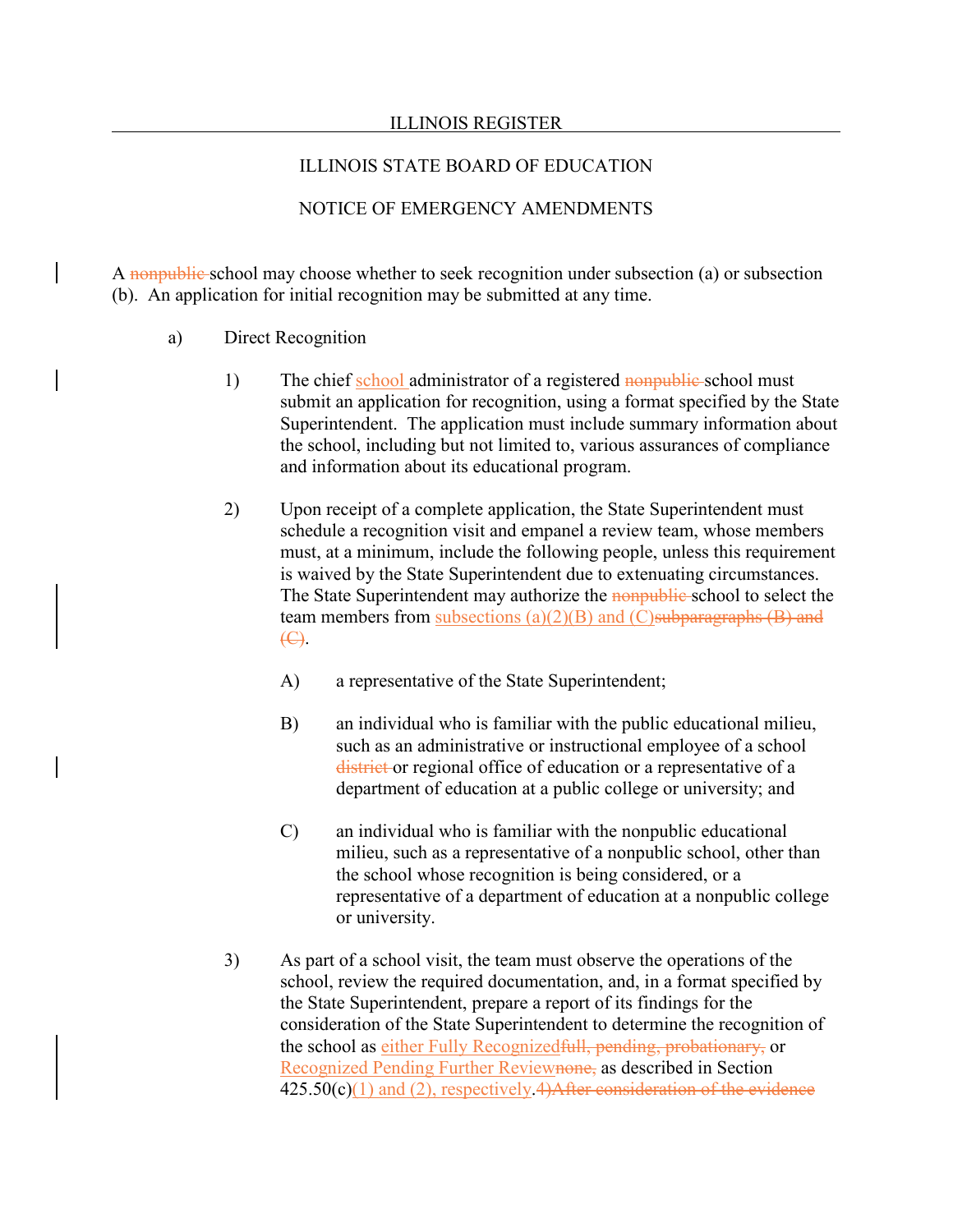#### ILLINOIS STATE BOARD OF EDUCATION

## NOTICE OF EMERGENCY AMENDMENTS

A nonpublic school may choose whether to seek recognition under subsection (a) or subsection (b). An application for initial recognition may be submitted at any time.

- a) Direct Recognition
	- 1) The chief school administrator of a registered nonpublic school must submit an application for recognition, using a format specified by the State Superintendent. The application must include summary information about the school, including but not limited to, various assurances of compliance and information about its educational program.
	- 2) Upon receipt of a complete application, the State Superintendent must schedule a recognition visit and empanel a review team, whose members must, at a minimum, include the following people, unless this requirement is waived by the State Superintendent due to extenuating circumstances. The State Superintendent may authorize the nonpublic school to select the team members from subsections  $(a)(2)(B)$  and  $(C)$ subparagraphs  $(B)$  and (C).
		- A) a representative of the State Superintendent;
		- B) an individual who is familiar with the public educational milieu, such as an administrative or instructional employee of a school district or regional office of education or a representative of a department of education at a public college or university; and
		- C) an individual who is familiar with the nonpublic educational milieu, such as a representative of a nonpublic school, other than the school whose recognition is being considered, or a representative of a department of education at a nonpublic college or university.
	- 3) As part of a school visit, the team must observe the operations of the school, review the required documentation, and, in a format specified by the State Superintendent, prepare a report of its findings for the consideration of the State Superintendent to determine the recognition of the school as either Fully Recognizedfull, pending, probationary, or Recognized Pending Further Reviewnone, as described in Section  $425.50(c)(1)$  and (2), respectively.  $4)$ After consideration of the evidence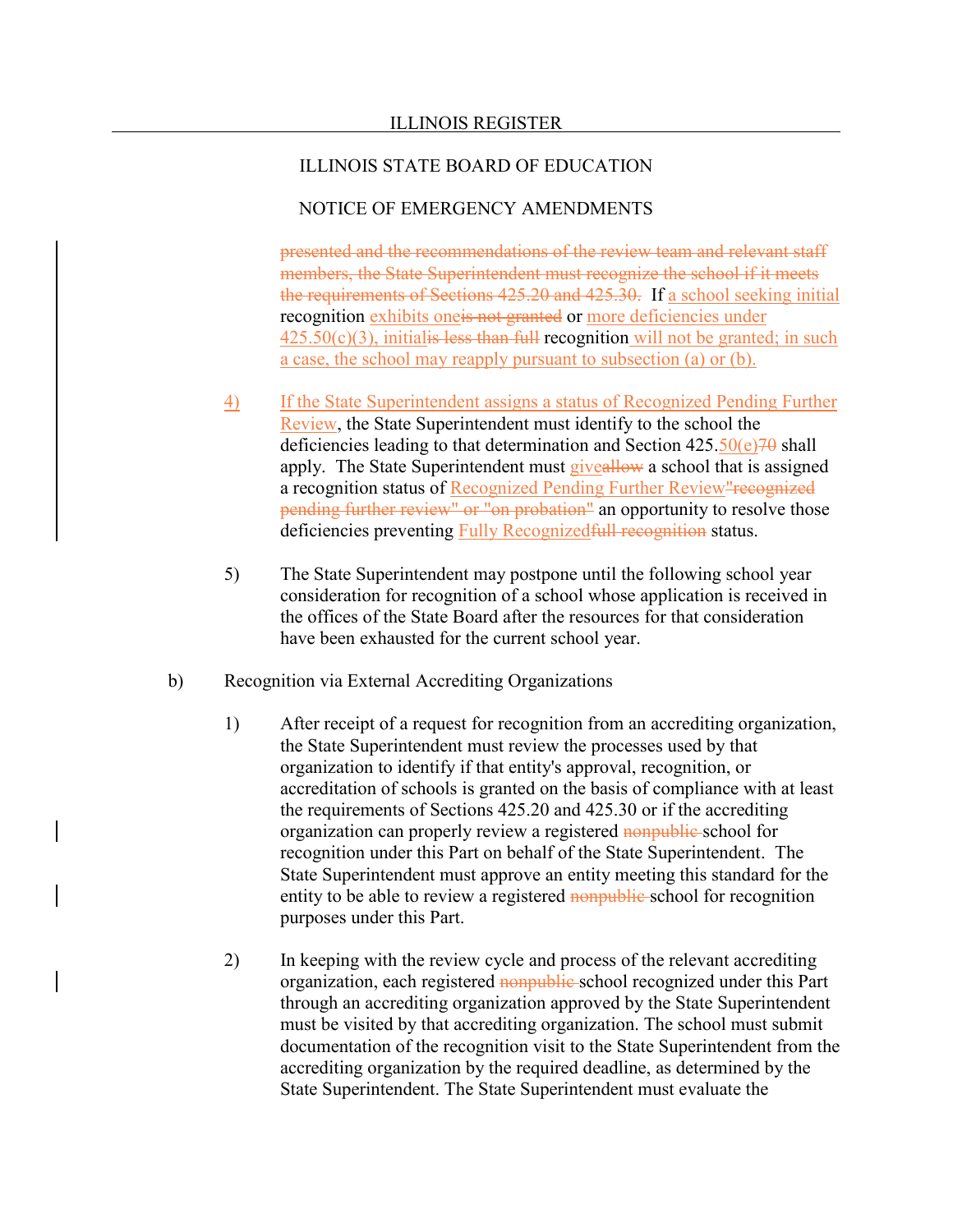#### NOTICE OF EMERGENCY AMENDMENTS

presented and the recommendations of the review team and relevant staff members, the State Superintendent must recognize the school if it meets the requirements of Sections 425.20 and 425.30. If a school seeking initial recognition exhibits one<del>is not granted</del> or more deficiencies under  $425.50(c)(3)$ , initialis less than full recognition will not be granted; in such a case, the school may reapply pursuant to subsection (a) or (b).

- 4) If the State Superintendent assigns a status of Recognized Pending Further Review, the State Superintendent must identify to the school the deficiencies leading to that determination and Section  $425.50(e)70$  shall apply. The State Superintendent must giveallow a school that is assigned a recognition status of Recognized Pending Further Review"recognized pending further review" or "on probation" an opportunity to resolve those deficiencies preventing Fully Recognized full recognition status.
- 5) The State Superintendent may postpone until the following school year consideration for recognition of a school whose application is received in the offices of the State Board after the resources for that consideration have been exhausted for the current school year.
- b) Recognition via External Accrediting Organizations
	- 1) After receipt of a request for recognition from an accrediting organization, the State Superintendent must review the processes used by that organization to identify if that entity's approval, recognition, or accreditation of schools is granted on the basis of compliance with at least the requirements of Sections 425.20 and 425.30 or if the accrediting organization can properly review a registered nonpublic school for recognition under this Part on behalf of the State Superintendent. The State Superintendent must approve an entity meeting this standard for the entity to be able to review a registered **nonpublic** school for recognition purposes under this Part.
	- 2) In keeping with the review cycle and process of the relevant accrediting organization, each registered nonpublic school recognized under this Part through an accrediting organization approved by the State Superintendent must be visited by that accrediting organization. The school must submit documentation of the recognition visit to the State Superintendent from the accrediting organization by the required deadline, as determined by the State Superintendent. The State Superintendent must evaluate the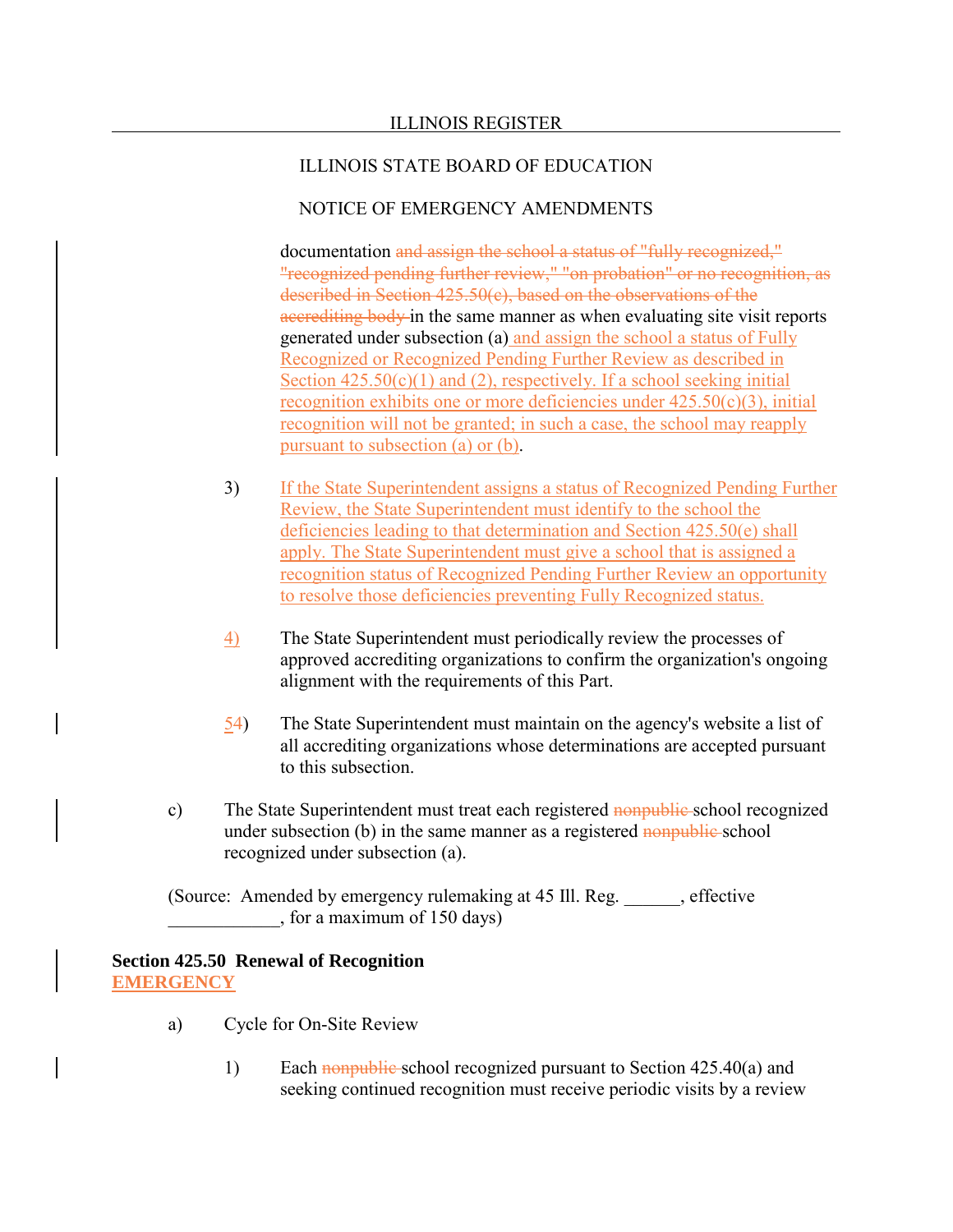#### NOTICE OF EMERGENCY AMENDMENTS

documentation and assign the school a status of "fully recognized." "recognized pending further review," "on probation" or no recognition, as described in Section 425.50(c), based on the observations of the accrediting body in the same manner as when evaluating site visit reports generated under subsection (a) and assign the school a status of Fully Recognized or Recognized Pending Further Review as described in Section  $425.50(c)(1)$  and (2), respectively. If a school seeking initial recognition exhibits one or more deficiencies under  $425.50(c)(3)$ , initial recognition will not be granted; in such a case, the school may reapply pursuant to subsection (a) or (b).

- 3) If the State Superintendent assigns a status of Recognized Pending Further Review, the State Superintendent must identify to the school the deficiencies leading to that determination and Section 425.50(e) shall apply. The State Superintendent must give a school that is assigned a recognition status of Recognized Pending Further Review an opportunity to resolve those deficiencies preventing Fully Recognized status.
- 4) The State Superintendent must periodically review the processes of approved accrediting organizations to confirm the organization's ongoing alignment with the requirements of this Part.
- 54) The State Superintendent must maintain on the agency's website a list of all accrediting organizations whose determinations are accepted pursuant to this subsection.
- c) The State Superintendent must treat each registered nonpublic school recognized under subsection (b) in the same manner as a registered nonpublic school recognized under subsection (a).

(Source: Amended by emergency rulemaking at 45 III. Reg. effective \_\_\_\_\_\_\_\_\_\_\_\_, for a maximum of 150 days)

#### **Section 425.50 Renewal of Recognition EMERGENCY**

- a) Cycle for On-Site Review
	- 1) Each nonpublic school recognized pursuant to Section 425.40(a) and seeking continued recognition must receive periodic visits by a review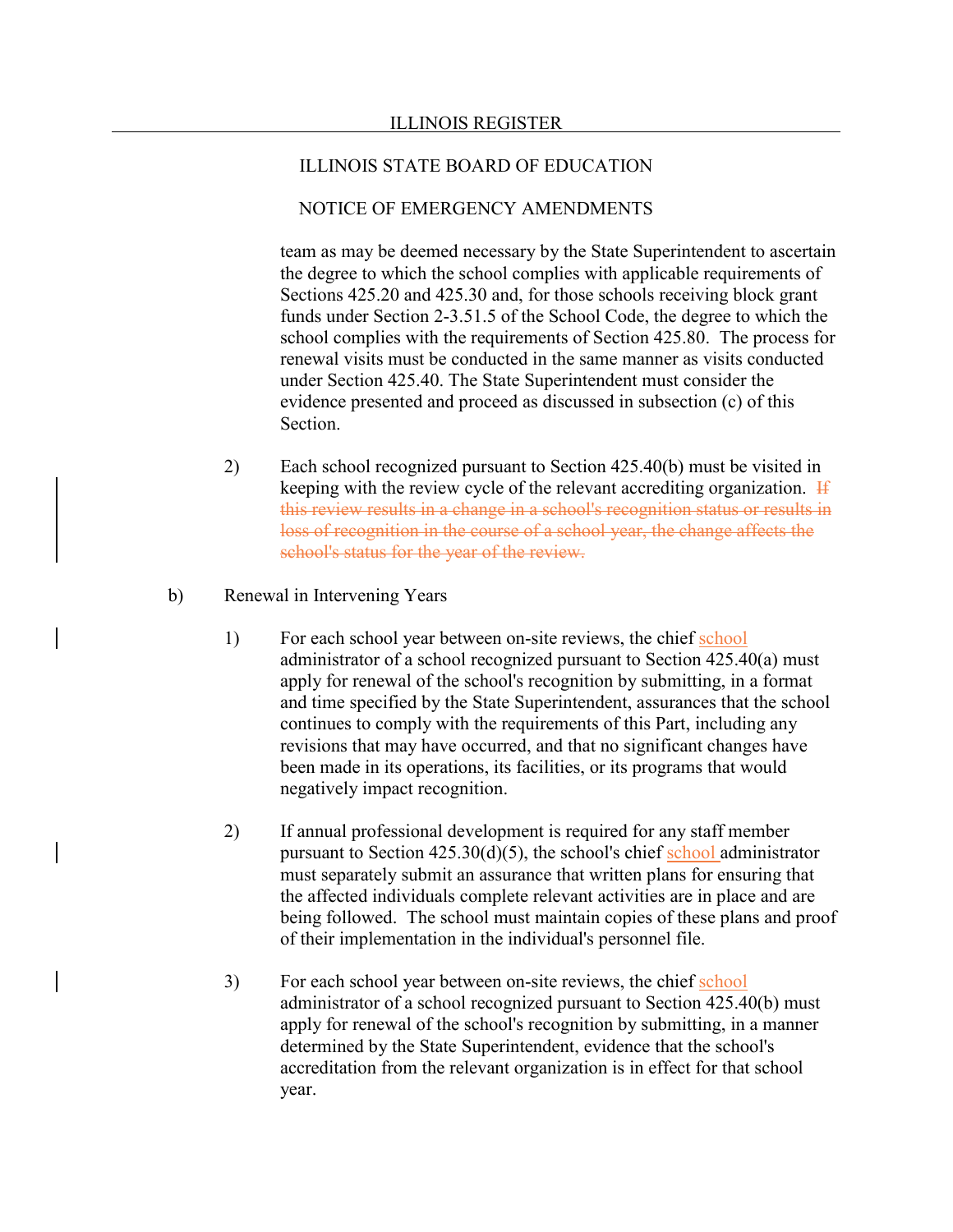## NOTICE OF EMERGENCY AMENDMENTS

team as may be deemed necessary by the State Superintendent to ascertain the degree to which the school complies with applicable requirements of Sections 425.20 and 425.30 and, for those schools receiving block grant funds under Section 2-3.51.5 of the School Code, the degree to which the school complies with the requirements of Section 425.80. The process for renewal visits must be conducted in the same manner as visits conducted under Section 425.40. The State Superintendent must consider the evidence presented and proceed as discussed in subsection (c) of this Section.

- 2) Each school recognized pursuant to Section 425.40(b) must be visited in keeping with the review cycle of the relevant accrediting organization. If this review results in a change in a school's recognition status or results in loss of recognition in the course of a school year, the change affects the school's status for the year of the review.
- b) Renewal in Intervening Years
	- 1) For each school year between on-site reviews, the chief school administrator of a school recognized pursuant to Section 425.40(a) must apply for renewal of the school's recognition by submitting, in a format and time specified by the State Superintendent, assurances that the school continues to comply with the requirements of this Part, including any revisions that may have occurred, and that no significant changes have been made in its operations, its facilities, or its programs that would negatively impact recognition.
	- 2) If annual professional development is required for any staff member pursuant to Section 425.30(d)(5), the school's chief school administrator must separately submit an assurance that written plans for ensuring that the affected individuals complete relevant activities are in place and are being followed. The school must maintain copies of these plans and proof of their implementation in the individual's personnel file.
	- 3) For each school year between on-site reviews, the chief school administrator of a school recognized pursuant to Section 425.40(b) must apply for renewal of the school's recognition by submitting, in a manner determined by the State Superintendent, evidence that the school's accreditation from the relevant organization is in effect for that school year.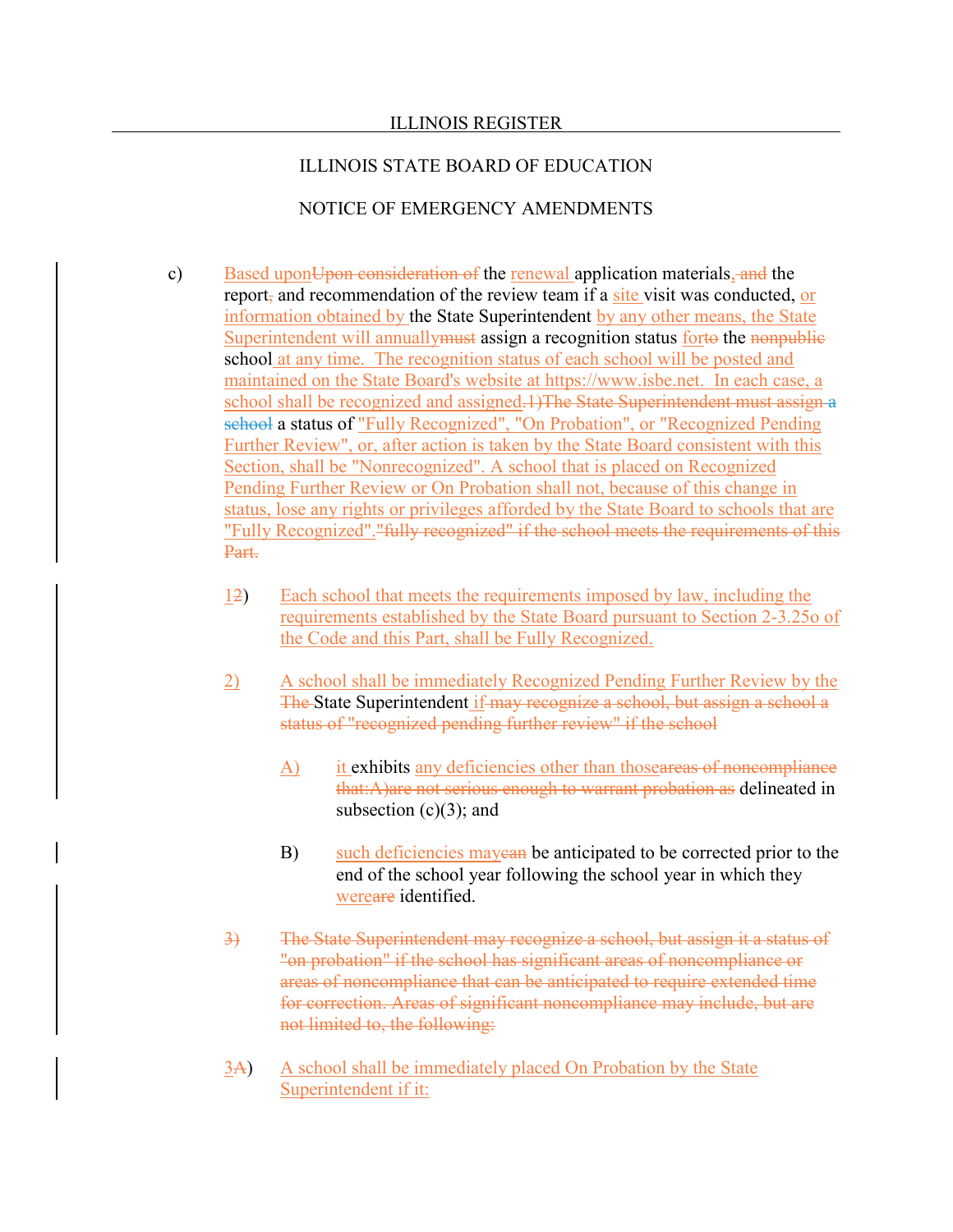#### ILLINOIS STATE BOARD OF EDUCATION

- c) Based upon Upon consideration of the renewal application materials, and the report, and recommendation of the review team if a site visit was conducted, or information obtained by the State Superintendent by any other means, the State Superintendent will annually must assign a recognition status forto the nonpublic school at any time. The recognition status of each school will be posted and maintained on the State Board's website at https://www.isbe.net. In each case, a school shall be recognized and assigned.1)The State Superintendent must assign a school a status of "Fully Recognized", "On Probation", or "Recognized Pending Further Review", or, after action is taken by the State Board consistent with this Section, shall be "Nonrecognized". A school that is placed on Recognized Pending Further Review or On Probation shall not, because of this change in status, lose any rights or privileges afforded by the State Board to schools that are "Fully Recognized"."fully recognized" if the school meets the requirements of this Part.
	- 12) Each school that meets the requirements imposed by law, including the requirements established by the State Board pursuant to Section 2-3.25o of the Code and this Part, shall be Fully Recognized.
	- 2) A school shall be immediately Recognized Pending Further Review by the The State Superintendent if may recognize a school, but assign a school a status of "recognized pending further review" if the school
		- A) it exhibits any deficiencies other than those areas of noncompliance that:A)are not serious enough to warrant probation as delineated in subsection  $(c)(3)$ ; and
		- B) such deficiencies may exam be anticipated to be corrected prior to the end of the school year following the school year in which they wereare identified.
	- 3) The State Superintendent may recognize a school, but assign it a status of "on probation" if the school has significant areas of noncompliance or areas of noncompliance that can be anticipated to require extended time for correction. Areas of significant noncompliance may include, but are not limited to, the following:
	- 3A) A school shall be immediately placed On Probation by the State Superintendent if it: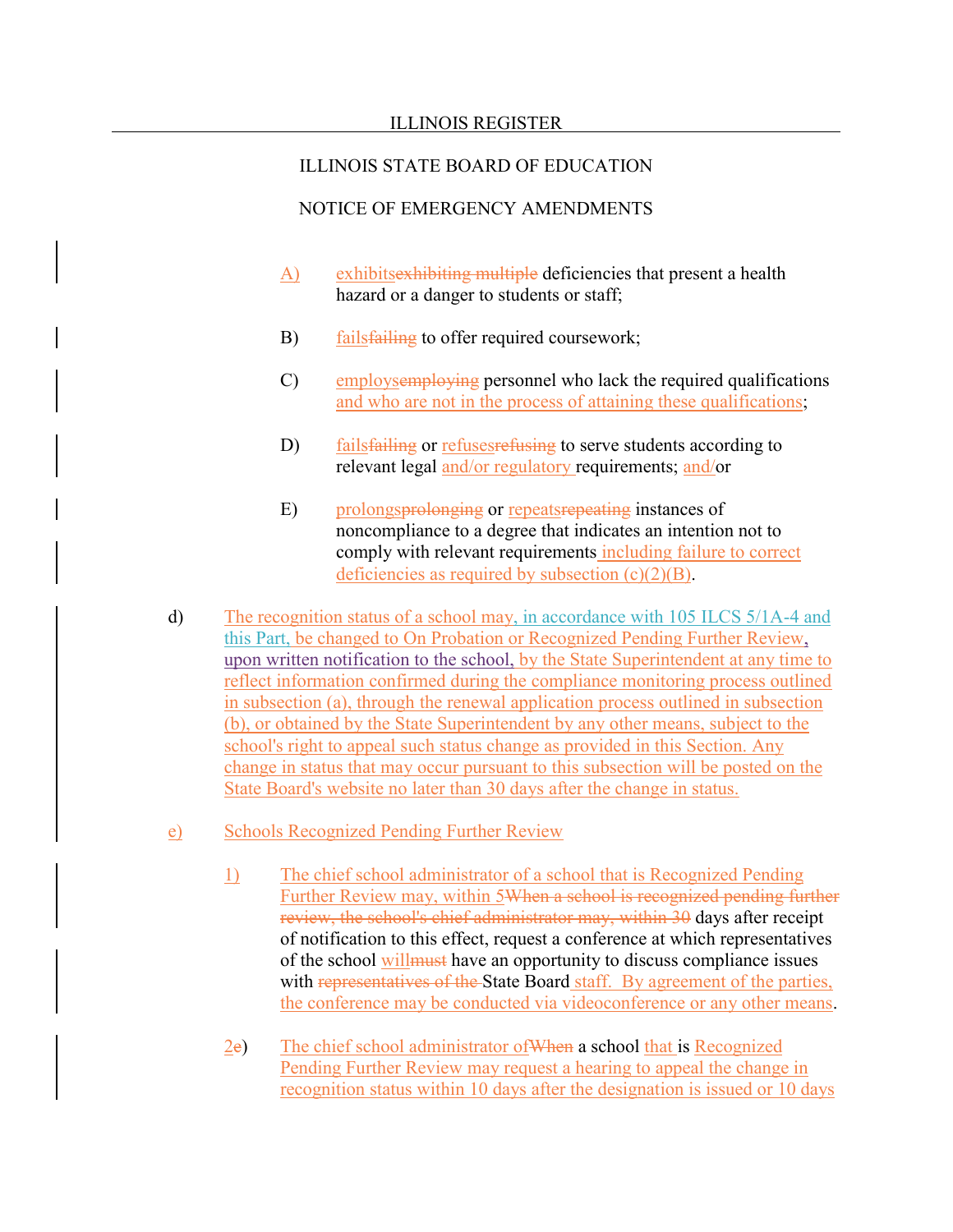- A) exhibits exhibiting multiple deficiencies that present a health hazard or a danger to students or staff;
- B) fails failing to offer required coursework;
- C) employsemploying personnel who lack the required qualifications and who are not in the process of attaining these qualifications;
- D) fails failing or refuses refusing to serve students according to relevant legal and/or regulatory requirements; and/or
- E) prolongs prolonging or repeats repeating instances of noncompliance to a degree that indicates an intention not to comply with relevant requirements including failure to correct deficiencies as required by subsection  $(c)(2)(B)$ .
- d) The recognition status of a school may, in accordance with 105 ILCS 5/1A-4 and this Part, be changed to On Probation or Recognized Pending Further Review, upon written notification to the school, by the State Superintendent at any time to reflect information confirmed during the compliance monitoring process outlined in subsection (a), through the renewal application process outlined in subsection (b), or obtained by the State Superintendent by any other means, subject to the school's right to appeal such status change as provided in this Section. Any change in status that may occur pursuant to this subsection will be posted on the State Board's website no later than 30 days after the change in status.
- e) Schools Recognized Pending Further Review
	- 1) The chief school administrator of a school that is Recognized Pending Further Review may, within 5When a school is recognized pending further review, the school's chief administrator may, within 30 days after receipt of notification to this effect, request a conference at which representatives of the school willmust have an opportunity to discuss compliance issues with representatives of the State Board staff. By agreement of the parties, the conference may be conducted via videoconference or any other means.
	- 2e) The chief school administrator ofWhen a school that is Recognized Pending Further Review may request a hearing to appeal the change in recognition status within 10 days after the designation is issued or 10 days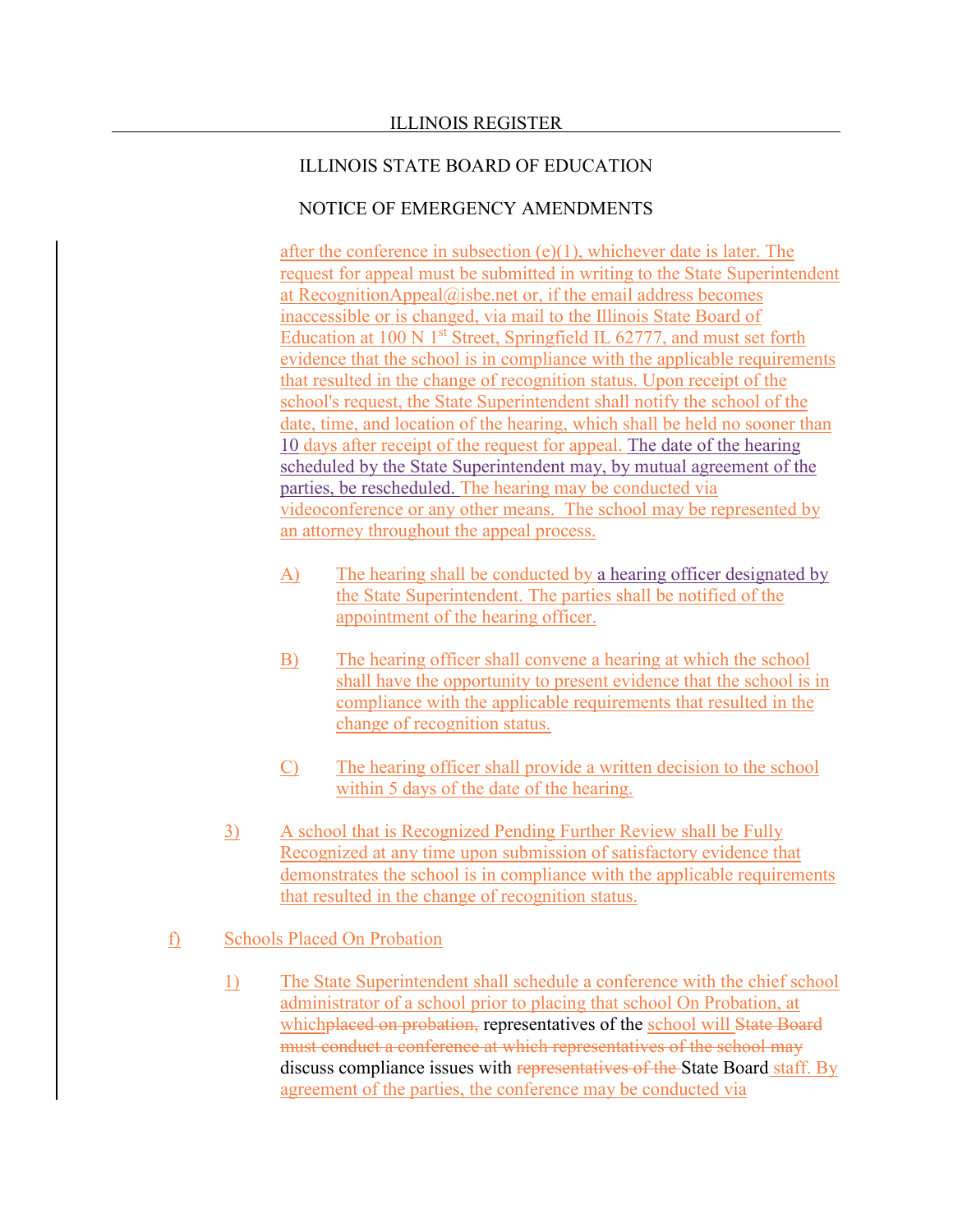## NOTICE OF EMERGENCY AMENDMENTS

after the conference in subsection  $(e)(1)$ , whichever date is later. The request for appeal must be submitted in writing to the State Superintendent at RecognitionAppeal@isbe.net or, if the email address becomes inaccessible or is changed, via mail to the Illinois State Board of Education at 100 N  $1<sup>st</sup>$  Street, Springfield IL 62777, and must set forth evidence that the school is in compliance with the applicable requirements that resulted in the change of recognition status. Upon receipt of the school's request, the State Superintendent shall notify the school of the date, time, and location of the hearing, which shall be held no sooner than 10 days after receipt of the request for appeal. The date of the hearing scheduled by the State Superintendent may, by mutual agreement of the parties, be rescheduled. The hearing may be conducted via videoconference or any other means. The school may be represented by an attorney throughout the appeal process.

- A) The hearing shall be conducted by a hearing officer designated by the State Superintendent. The parties shall be notified of the appointment of the hearing officer.
- B) The hearing officer shall convene a hearing at which the school shall have the opportunity to present evidence that the school is in compliance with the applicable requirements that resulted in the change of recognition status.
- C) The hearing officer shall provide a written decision to the school within 5 days of the date of the hearing.
- 3) A school that is Recognized Pending Further Review shall be Fully Recognized at any time upon submission of satisfactory evidence that demonstrates the school is in compliance with the applicable requirements that resulted in the change of recognition status.

### f) Schools Placed On Probation

1) The State Superintendent shall schedule a conference with the chief school administrator of a school prior to placing that school On Probation, at whichplaced on probation, representatives of the school will State Board must conduct a conference at which representatives of the school may discuss compliance issues with representatives of the State Board staff. By agreement of the parties, the conference may be conducted via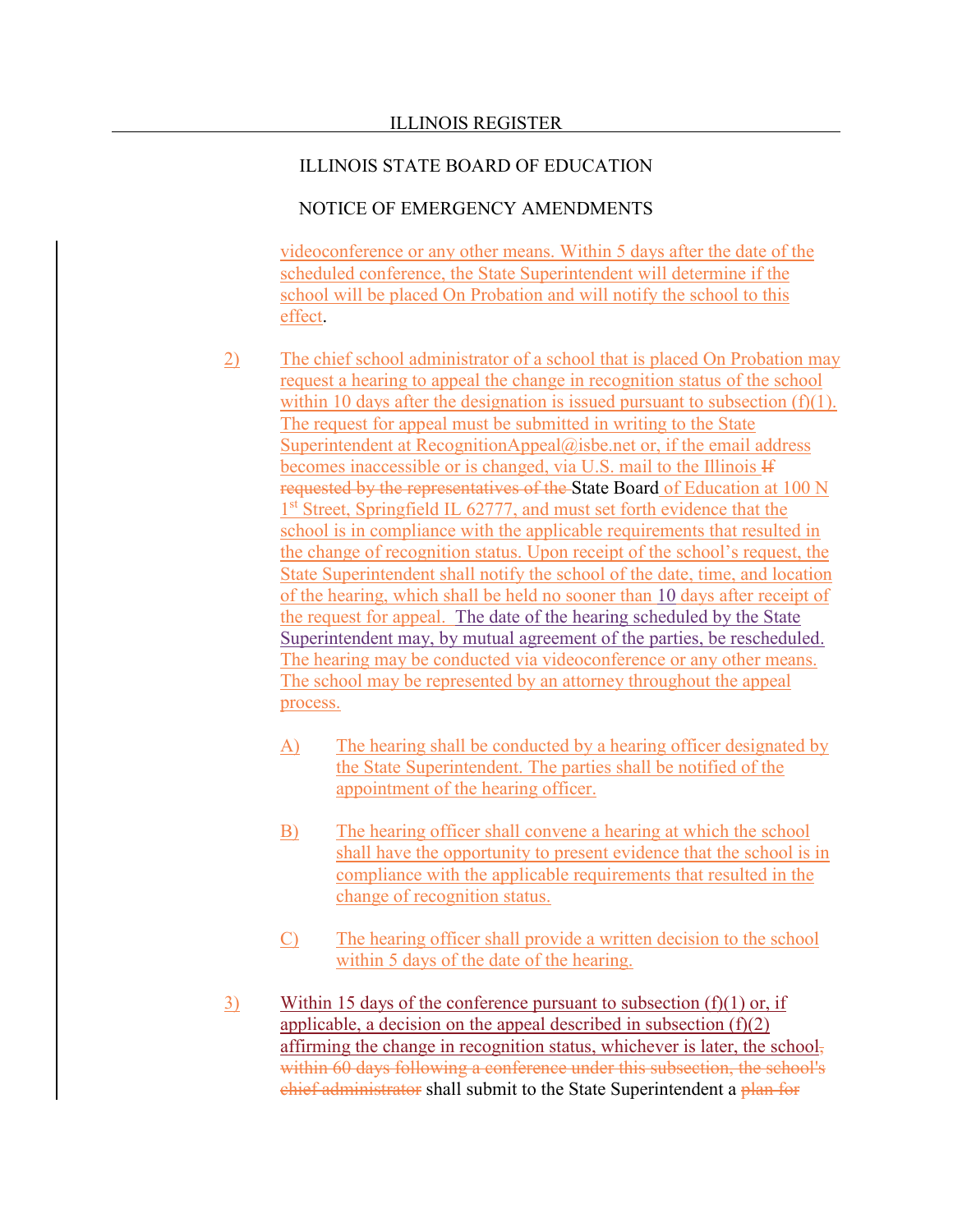### NOTICE OF EMERGENCY AMENDMENTS

videoconference or any other means. Within 5 days after the date of the scheduled conference, the State Superintendent will determine if the school will be placed On Probation and will notify the school to this effect.

- 2) The chief school administrator of a school that is placed On Probation may request a hearing to appeal the change in recognition status of the school within 10 days after the designation is issued pursuant to subsection  $(f)(1)$ . The request for appeal must be submitted in writing to the State Superintendent at RecognitionAppeal@isbe.net or, if the email address becomes inaccessible or is changed, via U.S. mail to the Illinois If requested by the representatives of the State Board of Education at 100 N 1<sup>st</sup> Street, Springfield IL 62777, and must set forth evidence that the school is in compliance with the applicable requirements that resulted in the change of recognition status. Upon receipt of the school's request, the State Superintendent shall notify the school of the date, time, and location of the hearing, which shall be held no sooner than 10 days after receipt of the request for appeal. The date of the hearing scheduled by the State Superintendent may, by mutual agreement of the parties, be rescheduled. The hearing may be conducted via videoconference or any other means. The school may be represented by an attorney throughout the appeal process.
	- A) The hearing shall be conducted by a hearing officer designated by the State Superintendent. The parties shall be notified of the appointment of the hearing officer.
	- B) The hearing officer shall convene a hearing at which the school shall have the opportunity to present evidence that the school is in compliance with the applicable requirements that resulted in the change of recognition status.
	- C) The hearing officer shall provide a written decision to the school within 5 days of the date of the hearing.
- 3) Within 15 days of the conference pursuant to subsection  $(f)(1)$  or, if applicable, a decision on the appeal described in subsection  $(f)(2)$ affirming the change in recognition status, whichever is later, the schoolwithin 60 days following a conference under this subsection, the school's chief administrator shall submit to the State Superintendent a plan for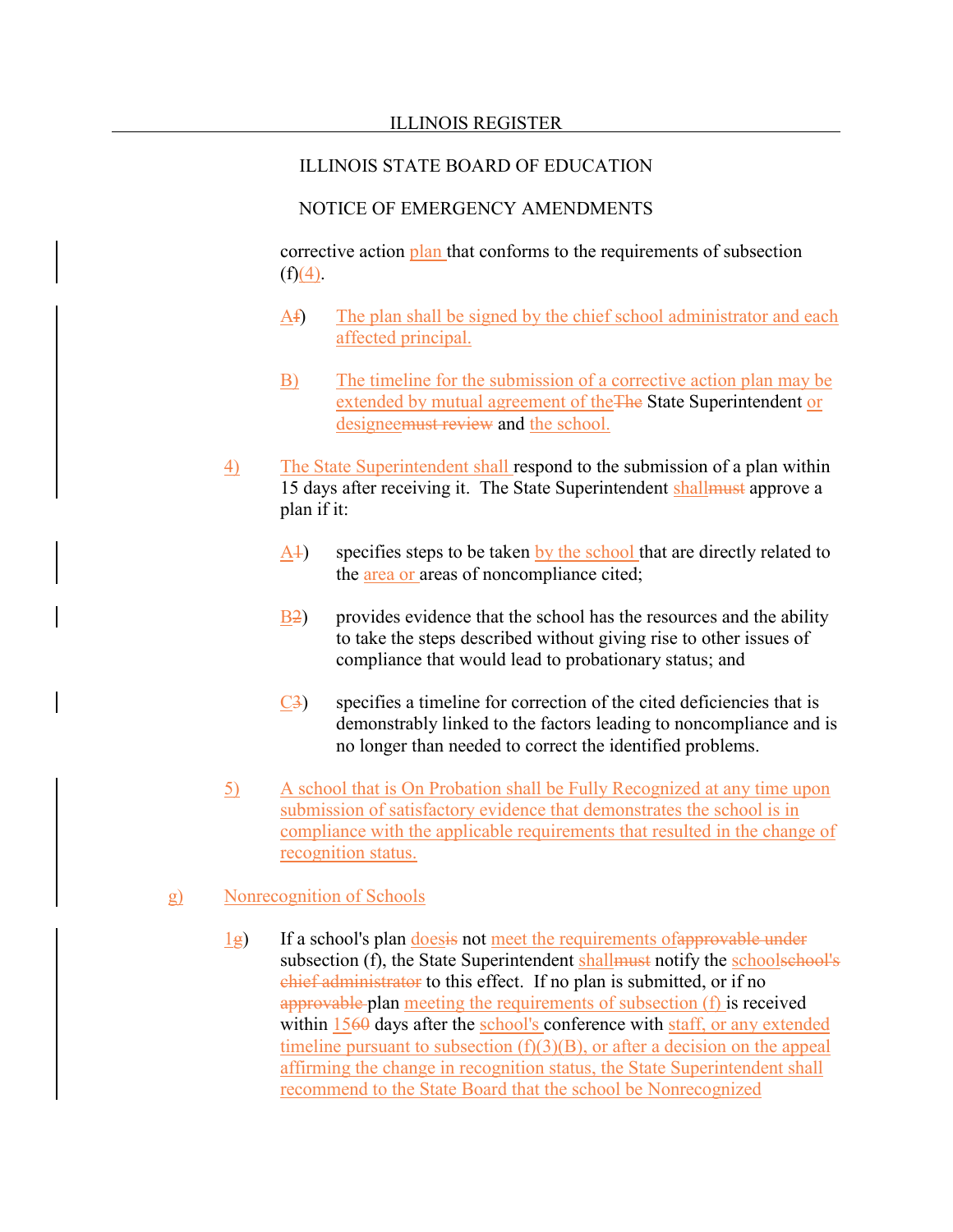### NOTICE OF EMERGENCY AMENDMENTS

corrective action plan that conforms to the requirements of subsection  $(f)(4)$ .

- Af) The plan shall be signed by the chief school administrator and each affected principal.
- B) The timeline for the submission of a corrective action plan may be extended by mutual agreement of theThe State Superintendent or designeemust review and the school.
- 4) The State Superintendent shall respond to the submission of a plan within 15 days after receiving it. The State Superintendent shallmust approve a plan if it:
	- A<sup>1</sup>) specifies steps to be taken by the school that are directly related to the area or areas of noncompliance cited;
	- B2) provides evidence that the school has the resources and the ability to take the steps described without giving rise to other issues of compliance that would lead to probationary status; and
	- C3) specifies a timeline for correction of the cited deficiencies that is demonstrably linked to the factors leading to noncompliance and is no longer than needed to correct the identified problems.
- 5) A school that is On Probation shall be Fully Recognized at any time upon submission of satisfactory evidence that demonstrates the school is in compliance with the applicable requirements that resulted in the change of recognition status.

#### g) Nonrecognition of Schools

 $\frac{1}{2}$  If a school's plan doesis not meet the requirements of approvable under subsection (f), the State Superintendent shall must notify the schools eheel's chief administrator to this effect. If no plan is submitted, or if no approvable plan meeting the requirements of subsection (f) is received within 1560 days after the school's conference with staff, or any extended timeline pursuant to subsection  $(f)(3)(B)$ , or after a decision on the appeal affirming the change in recognition status, the State Superintendent shall recommend to the State Board that the school be Nonrecognized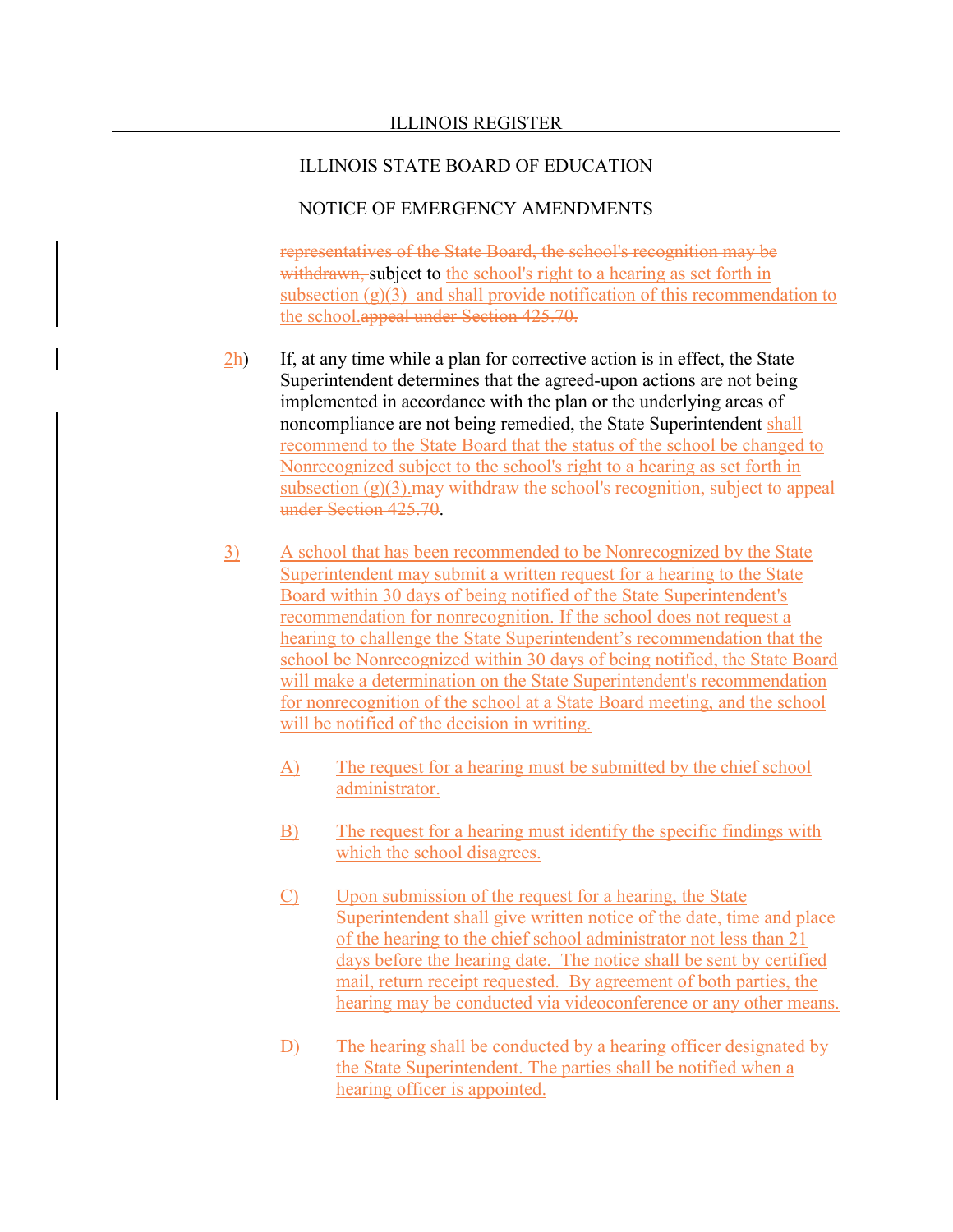### NOTICE OF EMERGENCY AMENDMENTS

representatives of the State Board, the school's recognition may be withdrawn, subject to the school's right to a hearing as set forth in subsection  $(g)(3)$  and shall provide notification of this recommendation to the school.appeal under Section 425.70.

- $\frac{2h}{2}$  If, at any time while a plan for corrective action is in effect, the State Superintendent determines that the agreed-upon actions are not being implemented in accordance with the plan or the underlying areas of noncompliance are not being remedied, the State Superintendent shall recommend to the State Board that the status of the school be changed to Nonrecognized subject to the school's right to a hearing as set forth in subsection  $(g)(3)$ . may withdraw the school's recognition, subject to appeal under Section 425.70.
- 3) A school that has been recommended to be Nonrecognized by the State Superintendent may submit a written request for a hearing to the State Board within 30 days of being notified of the State Superintendent's recommendation for nonrecognition. If the school does not request a hearing to challenge the State Superintendent's recommendation that the school be Nonrecognized within 30 days of being notified, the State Board will make a determination on the State Superintendent's recommendation for nonrecognition of the school at a State Board meeting, and the school will be notified of the decision in writing.
	- A) The request for a hearing must be submitted by the chief school administrator.
	- B) The request for a hearing must identify the specific findings with which the school disagrees.
	- C) Upon submission of the request for a hearing, the State Superintendent shall give written notice of the date, time and place of the hearing to the chief school administrator not less than 21 days before the hearing date. The notice shall be sent by certified mail, return receipt requested. By agreement of both parties, the hearing may be conducted via videoconference or any other means.
	- D) The hearing shall be conducted by a hearing officer designated by the State Superintendent. The parties shall be notified when a hearing officer is appointed.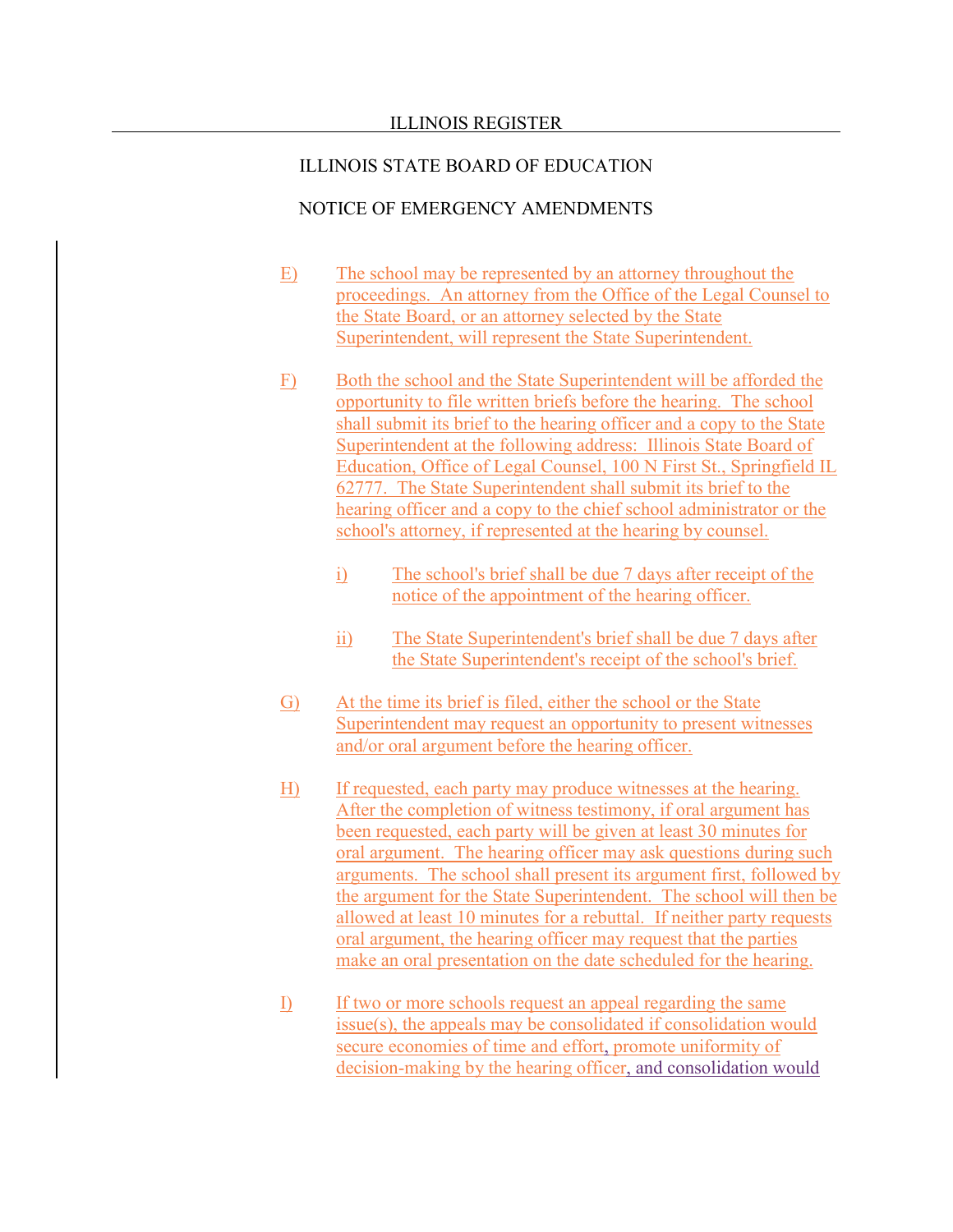- E) The school may be represented by an attorney throughout the proceedings. An attorney from the Office of the Legal Counsel to the State Board, or an attorney selected by the State Superintendent, will represent the State Superintendent.
- F) Both the school and the State Superintendent will be afforded the opportunity to file written briefs before the hearing. The school shall submit its brief to the hearing officer and a copy to the State Superintendent at the following address: Illinois State Board of Education, Office of Legal Counsel, 100 N First St., Springfield IL 62777. The State Superintendent shall submit its brief to the hearing officer and a copy to the chief school administrator or the school's attorney, if represented at the hearing by counsel.
	- i) The school's brief shall be due 7 days after receipt of the notice of the appointment of the hearing officer.
	- ii) The State Superintendent's brief shall be due 7 days after the State Superintendent's receipt of the school's brief.
- G) At the time its brief is filed, either the school or the State Superintendent may request an opportunity to present witnesses and/or oral argument before the hearing officer.
- H) If requested, each party may produce witnesses at the hearing. After the completion of witness testimony, if oral argument has been requested, each party will be given at least 30 minutes for oral argument. The hearing officer may ask questions during such arguments. The school shall present its argument first, followed by the argument for the State Superintendent. The school will then be allowed at least 10 minutes for a rebuttal. If neither party requests oral argument, the hearing officer may request that the parties make an oral presentation on the date scheduled for the hearing.
- I) If two or more schools request an appeal regarding the same issue(s), the appeals may be consolidated if consolidation would secure economies of time and effort, promote uniformity of decision-making by the hearing officer, and consolidation would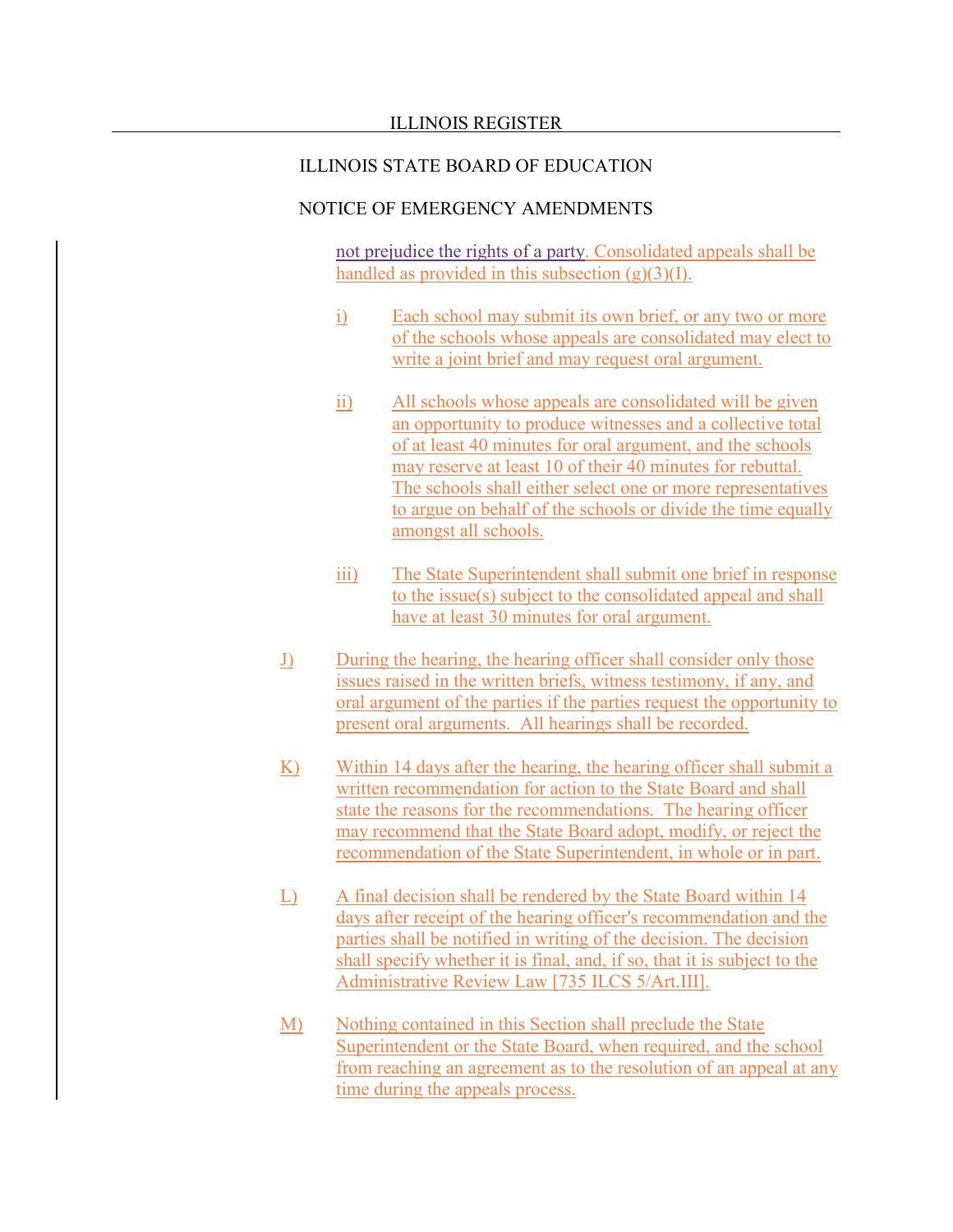### NOTICE OF EMERGENCY AMENDMENTS

not prejudice the rights of a party. Consolidated appeals shall be handled as provided in this subsection  $(g)(3)(I)$ .

- i) Each school may submit its own brief, or any two or more of the schools whose appeals are consolidated may elect to write a joint brief and may request oral argument.
- ii) All schools whose appeals are consolidated will be given an opportunity to produce witnesses and a collective total of at least 40 minutes for oral argument, and the schools may reserve at least 10 of their 40 minutes for rebuttal. The schools shall either select one or more representatives to argue on behalf of the schools or divide the time equally amongst all schools.
- iii) The State Superintendent shall submit one brief in response to the issue(s) subject to the consolidated appeal and shall have at least 30 minutes for oral argument.
- J) During the hearing, the hearing officer shall consider only those issues raised in the written briefs, witness testimony, if any, and oral argument of the parties if the parties request the opportunity to present oral arguments. All hearings shall be recorded.
- K) Within 14 days after the hearing, the hearing officer shall submit a written recommendation for action to the State Board and shall state the reasons for the recommendations. The hearing officer may recommend that the State Board adopt, modify, or reject the recommendation of the State Superintendent, in whole or in part.
- L) A final decision shall be rendered by the State Board within 14 days after receipt of the hearing officer's recommendation and the parties shall be notified in writing of the decision. The decision shall specify whether it is final, and, if so, that it is subject to the Administrative Review Law [735 ILCS 5/Art.III].
- M) Nothing contained in this Section shall preclude the State Superintendent or the State Board, when required, and the school from reaching an agreement as to the resolution of an appeal at any time during the appeals process.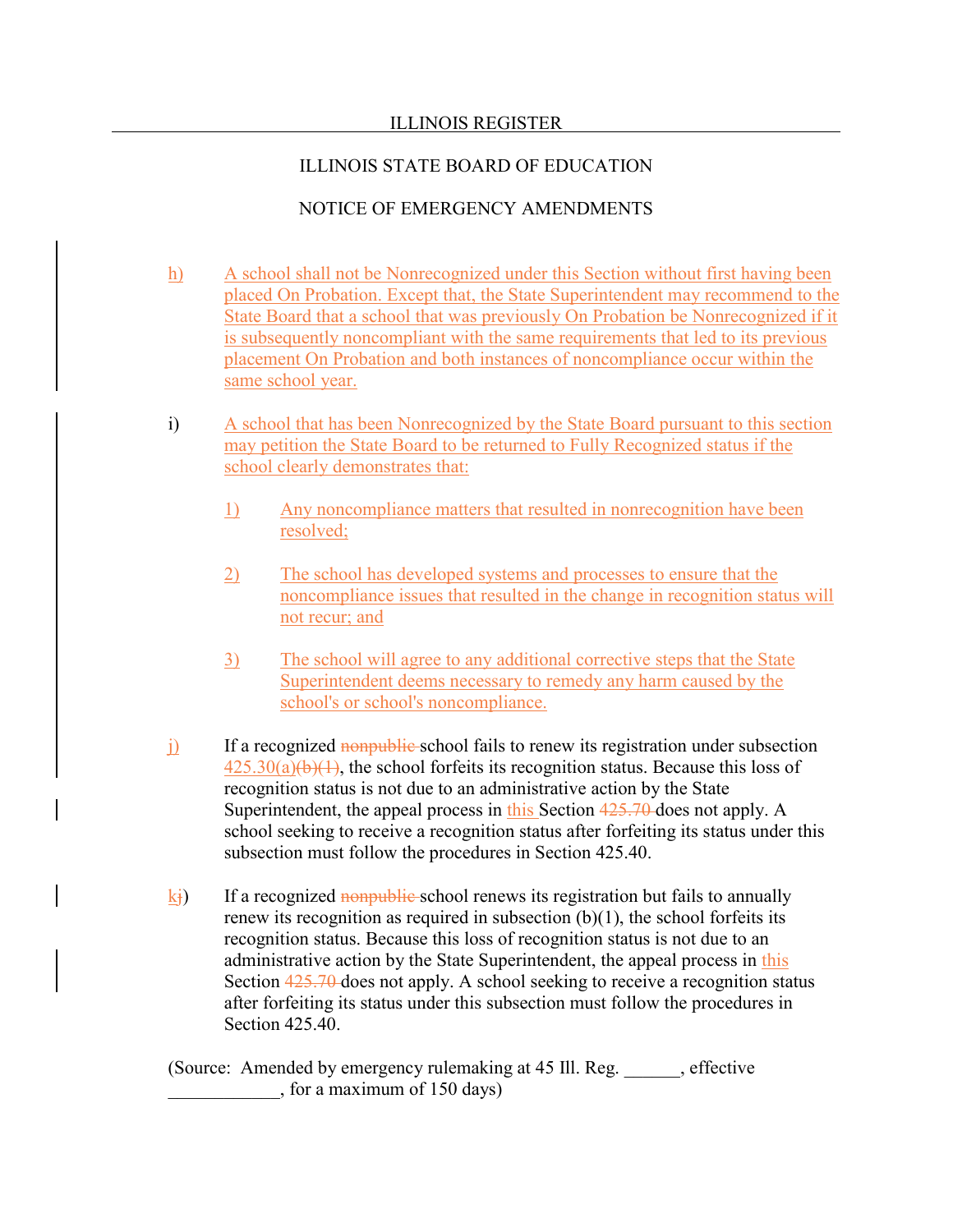# ILLINOIS STATE BOARD OF EDUCATION

# NOTICE OF EMERGENCY AMENDMENTS

- h) A school shall not be Nonrecognized under this Section without first having been placed On Probation. Except that, the State Superintendent may recommend to the State Board that a school that was previously On Probation be Nonrecognized if it is subsequently noncompliant with the same requirements that led to its previous placement On Probation and both instances of noncompliance occur within the same school year.
- i) A school that has been Nonrecognized by the State Board pursuant to this section may petition the State Board to be returned to Fully Recognized status if the school clearly demonstrates that:
	- 1) Any noncompliance matters that resulted in nonrecognition have been resolved;
	- 2) The school has developed systems and processes to ensure that the noncompliance issues that resulted in the change in recognition status will not recur; and
	- 3) The school will agree to any additional corrective steps that the State Superintendent deems necessary to remedy any harm caused by the school's or school's noncompliance.
- $j$  If a recognized nonpublic school fails to renew its registration under subsection  $425.30(a)(b)(1)$ , the school forfeits its recognition status. Because this loss of recognition status is not due to an administrative action by the State Superintendent, the appeal process in this Section 425.70 does not apply. A school seeking to receive a recognition status after forfeiting its status under this subsection must follow the procedures in Section 425.40.
- $k_i$ ) If a recognized nonpublic school renews its registration but fails to annually renew its recognition as required in subsection  $(b)(1)$ , the school forfeits its recognition status. Because this loss of recognition status is not due to an administrative action by the State Superintendent, the appeal process in this Section  $425.70$  does not apply. A school seeking to receive a recognition status after forfeiting its status under this subsection must follow the procedures in Section 425.40.

(Source: Amended by emergency rulemaking at 45 Ill. Reg. \_\_\_\_\_\_, effective \_\_\_\_\_\_\_\_\_\_\_\_, for a maximum of 150 days)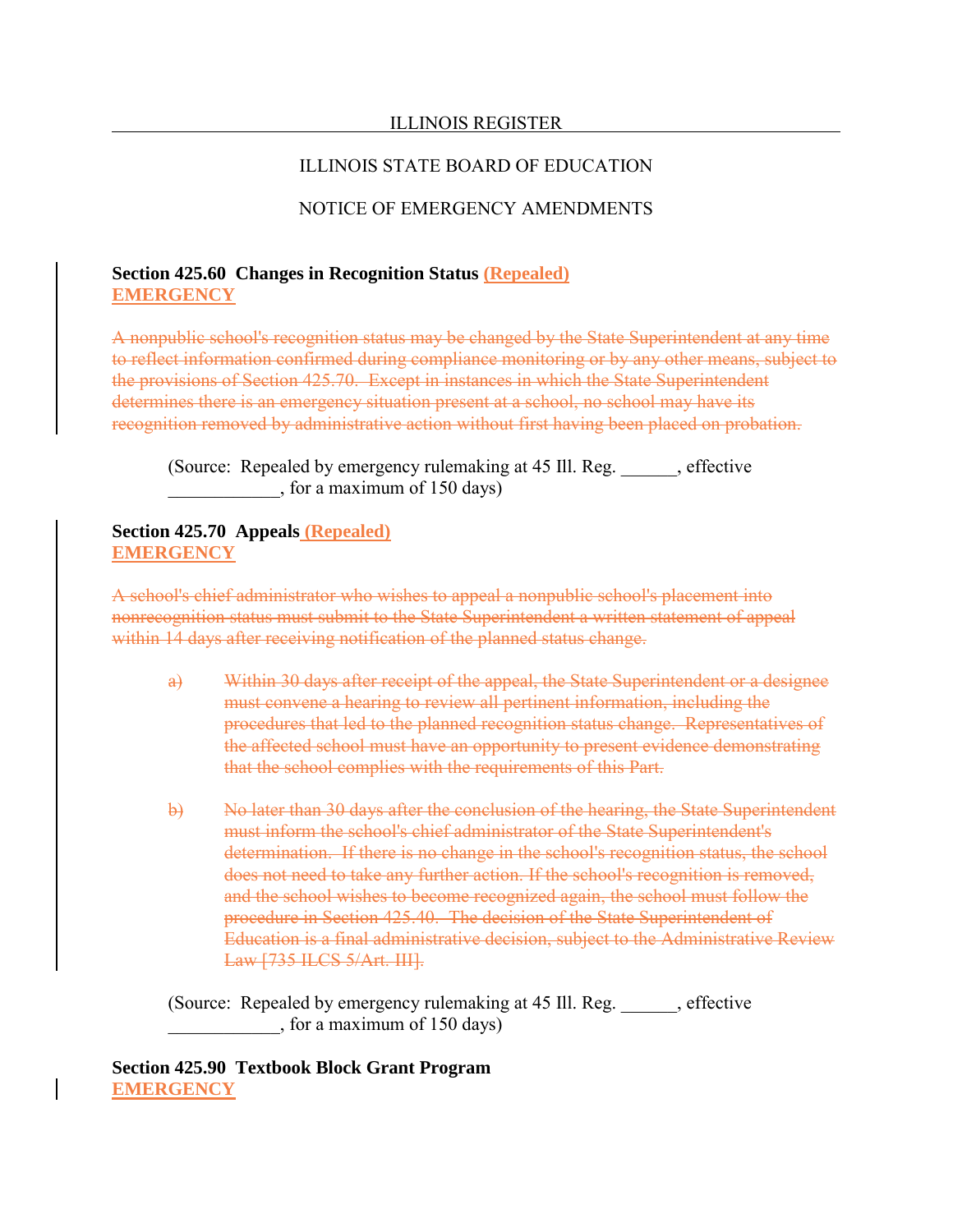### ILLINOIS STATE BOARD OF EDUCATION

## NOTICE OF EMERGENCY AMENDMENTS

### **Section 425.60 Changes in Recognition Status (Repealed) EMERGENCY**

A nonpublic school's recognition status may be changed by the State Superintendent at any time to reflect information confirmed during compliance monitoring or by any other means, subject to the provisions of Section 425.70. Except in instances in which the State Superintendent determines there is an emergency situation present at a school, no school may have its recognition removed by administrative action without first having been placed on probation.

(Source: Repealed by emergency rulemaking at 45 Ill. Reg. effective \_\_\_\_\_\_\_\_\_\_\_\_, for a maximum of 150 days)

**Section 425.70 Appeals (Repealed) EMERGENCY**

A school's chief administrator who wishes to appeal a nonpublic school's placement into nonrecognition status must submit to the State Superintendent a written statement of appeal within 14 days after receiving notification of the planned status change.

- a) Within 30 days after receipt of the appeal, the State Superintendent or a designee must convene a hearing to review all pertinent information, including the procedures that led to the planned recognition status change. Representatives of the affected school must have an opportunity to present evidence demonstrating that the school complies with the requirements of this Part.
- b) No later than 30 days after the conclusion of the hearing, the State Superintendent must inform the school's chief administrator of the State Superintendent's determination. If there is no change in the school's recognition status, the school does not need to take any further action. If the school's recognition is removed, and the school wishes to become recognized again, the school must follow the procedure in Section 425.40. The decision of the State Superintendent of Education is a final administrative decision, subject to the Administrative Review Law [735 ILCS 5/Art. III].

(Source: Repealed by emergency rulemaking at 45 Ill. Reg. effective \_\_\_\_\_\_\_\_\_\_\_\_, for a maximum of 150 days)

**Section 425.90 Textbook Block Grant Program EMERGENCY**